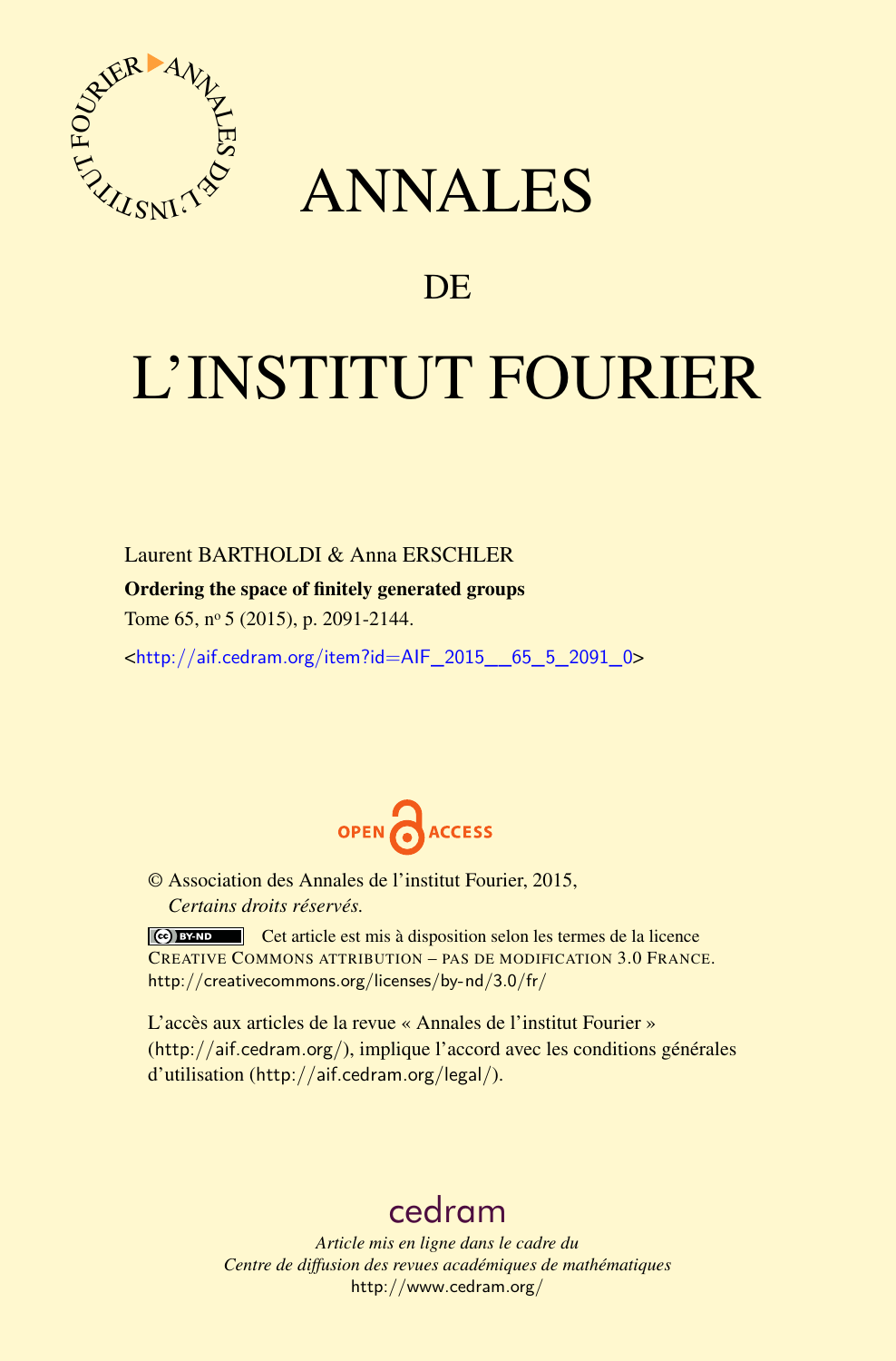

## ANNALES

### **DE**

# L'INSTITUT FOURIER

#### Laurent BARTHOLDI & Anna ERSCHLER

#### Ordering the space of finitely generated groups

Tome 65, nº 5 (2015), p. 2091-2144.

 $\kappa$ http://aif.cedram.org/item?id=AIF 2015 65 5 2091 0>



© Association des Annales de l'institut Fourier, 2015, *Certains droits réservés.*

Cet article est mis à disposition selon les termes de la licence CREATIVE COMMONS ATTRIBUTION – PAS DE MODIFICATION 3.0 FRANCE. <http://creativecommons.org/licenses/by-nd/3.0/fr/>

L'accès aux articles de la revue « Annales de l'institut Fourier » (<http://aif.cedram.org/>), implique l'accord avec les conditions générales d'utilisation (<http://aif.cedram.org/legal/>).

## [cedram](http://www.cedram.org/)

*Article mis en ligne dans le cadre du Centre de diffusion des revues académiques de mathématiques* <http://www.cedram.org/>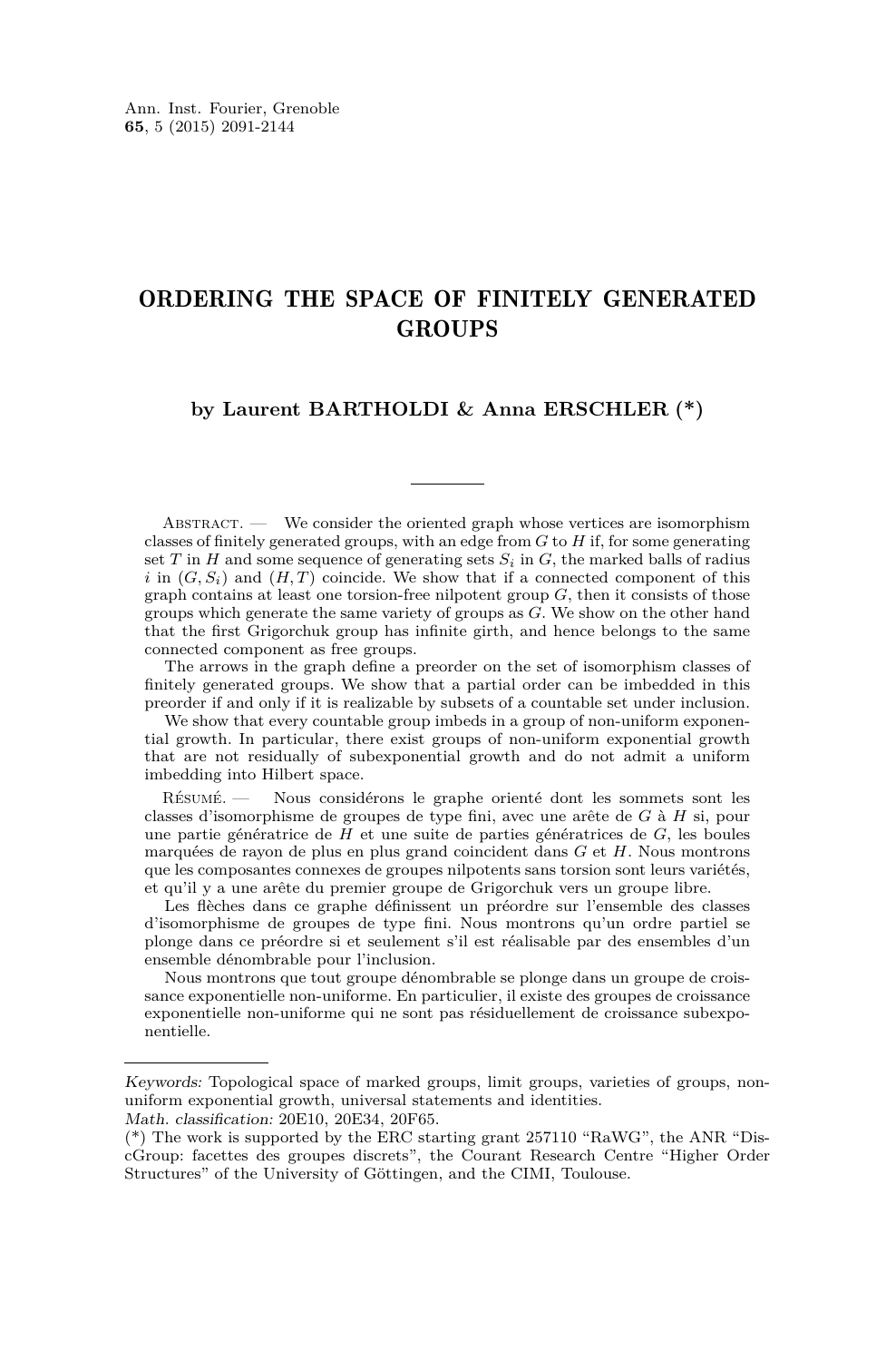#### ORDERING THE SPACE OF FINITELY GENERATED **GROUPS**

#### **by Laurent BARTHOLDI & Anna ERSCHLER (\*)**

ABSTRACT. — We consider the oriented graph whose vertices are isomorphism classes of finitely generated groups, with an edge from *G* to *H* if, for some generating set  $T$  in  $H$  and some sequence of generating sets  $S_i$  in  $G$ , the marked balls of radius *i* in  $(G, S_i)$  and  $(H, T)$  coincide. We show that if a connected component of this graph contains at least one torsion-free nilpotent group *G*, then it consists of those groups which generate the same variety of groups as *G*. We show on the other hand that the first Grigorchuk group has infinite girth, and hence belongs to the same connected component as free groups.

The arrows in the graph define a preorder on the set of isomorphism classes of finitely generated groups. We show that a partial order can be imbedded in this preorder if and only if it is realizable by subsets of a countable set under inclusion.

We show that every countable group imbeds in a group of non-uniform exponential growth. In particular, there exist groups of non-uniform exponential growth that are not residually of subexponential growth and do not admit a uniform imbedding into Hilbert space.

Résumé. — Nous considérons le graphe orienté dont les sommets sont les classes d'isomorphisme de groupes de type fini, avec une arête de *G* à *H* si, pour une partie génératrice de *H* et une suite de parties génératrices de *G*, les boules marquées de rayon de plus en plus grand coincident dans *G* et *H*. Nous montrons que les composantes connexes de groupes nilpotents sans torsion sont leurs variétés, et qu'il y a une arête du premier groupe de Grigorchuk vers un groupe libre.

Les flèches dans ce graphe définissent un préordre sur l'ensemble des classes d'isomorphisme de groupes de type fini. Nous montrons qu'un ordre partiel se plonge dans ce préordre si et seulement s'il est réalisable par des ensembles d'un ensemble dénombrable pour l'inclusion.

Nous montrons que tout groupe dénombrable se plonge dans un groupe de croissance exponentielle non-uniforme. En particulier, il existe des groupes de croissance exponentielle non-uniforme qui ne sont pas résiduellement de croissance subexponentielle.

Keywords: Topological space of marked groups, limit groups, varieties of groups, nonuniform exponential growth, universal statements and identities.

Math. classification: 20E10, 20E34, 20F65.

<sup>(\*)</sup> The work is supported by the ERC starting grant 257110 "RaWG", the ANR "DiscGroup: facettes des groupes discrets", the Courant Research Centre "Higher Order Structures" of the University of Göttingen, and the CIMI, Toulouse.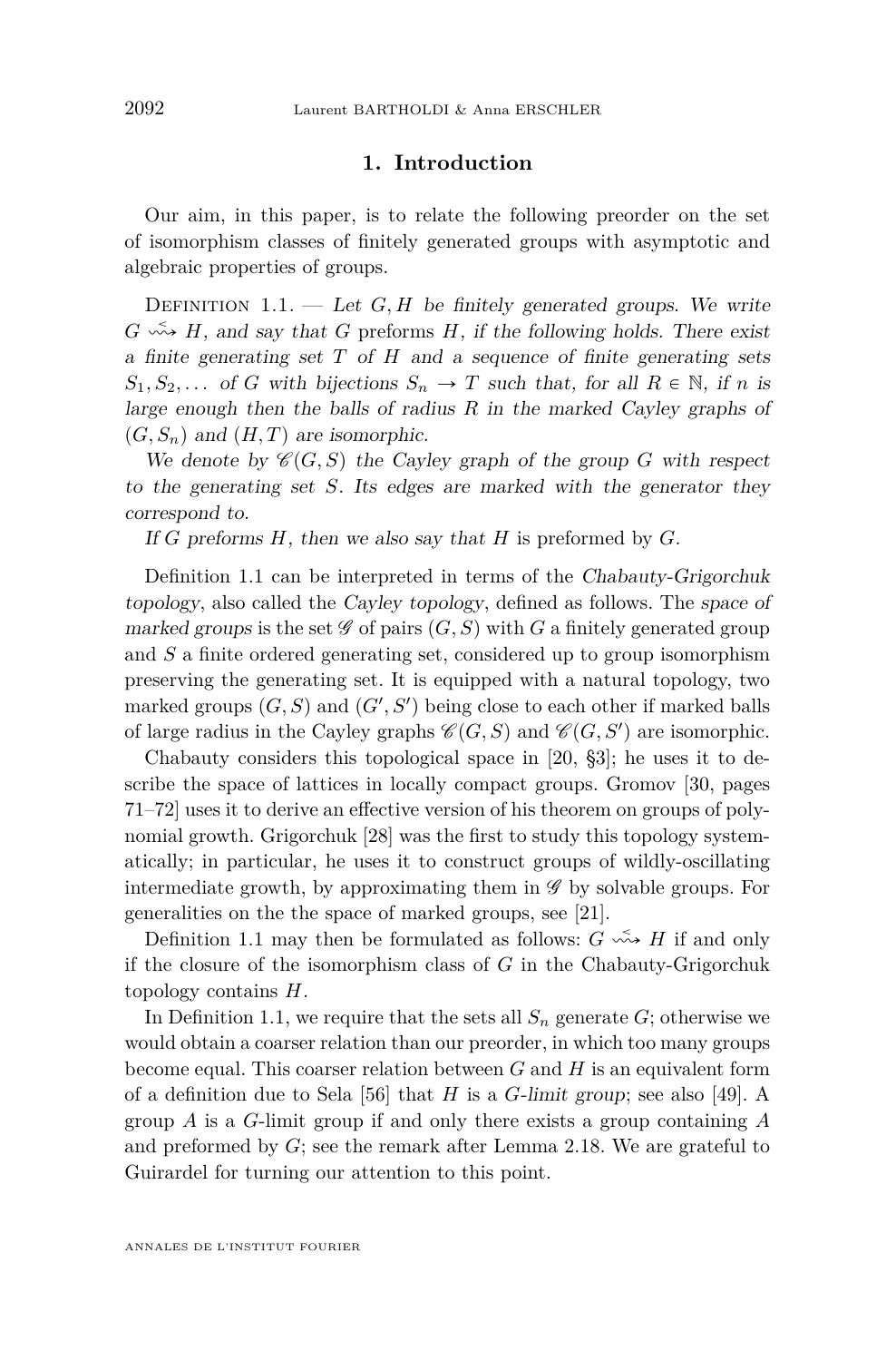#### **1. Introduction**

<span id="page-2-0"></span>Our aim, in this paper, is to relate the following preorder on the set of isomorphism classes of finitely generated groups with asymptotic and algebraic properties of groups.

DEFINITION  $1.1.$  — Let  $G, H$  be finitely generated groups. We write  $G \nightharpoonup H$ , and say that *G* preforms *H*, if the following holds. There exist a finite generating set *T* of *H* and a sequence of finite generating sets  $S_1, S_2, \ldots$  of *G* with bijections  $S_n \to T$  such that, for all  $R \in \mathbb{N}$ , if *n* is large enough then the balls of radius *R* in the marked Cayley graphs of  $(G, S_n)$  and  $(H, T)$  are isomorphic.

We denote by  $\mathcal{C}(G, S)$  the Cayley graph of the group *G* with respect to the generating set *S*. Its edges are marked with the generator they correspond to.

If *G* preforms *H*, then we also say that *H* is preformed by *G*.

Definition 1.1 can be interpreted in terms of the Chabauty-Grigorchuk topology, also called the Cayley topology, defined as follows. The space of marked groups is the set  $\mathscr G$  of pairs  $(G, S)$  with  $G$  a finitely generated group and *S* a finite ordered generating set, considered up to group isomorphism preserving the generating set. It is equipped with a natural topology, two marked groups  $(G, S)$  and  $(G', S')$  being close to each other if marked balls of large radius in the Cayley graphs  $\mathscr{C}(G, S)$  and  $\mathscr{C}(G, S')$  are isomorphic.

Chabauty considers this topological space in [\[20,](#page-52-0) §3]; he uses it to describe the space of lattices in locally compact groups. Gromov [\[30,](#page-52-0) pages 71–72] uses it to derive an effective version of his theorem on groups of polynomial growth. Grigorchuk [\[28\]](#page-52-0) was the first to study this topology systematically; in particular, he uses it to construct groups of wildly-oscillating intermediate growth, by approximating them in  $\mathscr G$  by solvable groups. For generalities on the the space of marked groups, see [\[21\]](#page-52-0).

Definition 1.1 may then be formulated as follows:  $G \leftrightarrow H$  if and only if the closure of the isomorphism class of *G* in the Chabauty-Grigorchuk topology contains *H*.

In Definition 1.1, we require that the sets all  $S_n$  generate  $G$ ; otherwise we would obtain a coarser relation than our preorder, in which too many groups become equal. This coarser relation between *G* and *H* is an equivalent form of a definition due to Sela [\[56\]](#page-54-0) that *H* is a *G*-limit group; see also [\[49\]](#page-53-0). A group *A* is a *G*-limit group if and only there exists a group containing *A* and preformed by *G*; see the remark after Lemma [2.18.](#page-16-0) We are grateful to Guirardel for turning our attention to this point.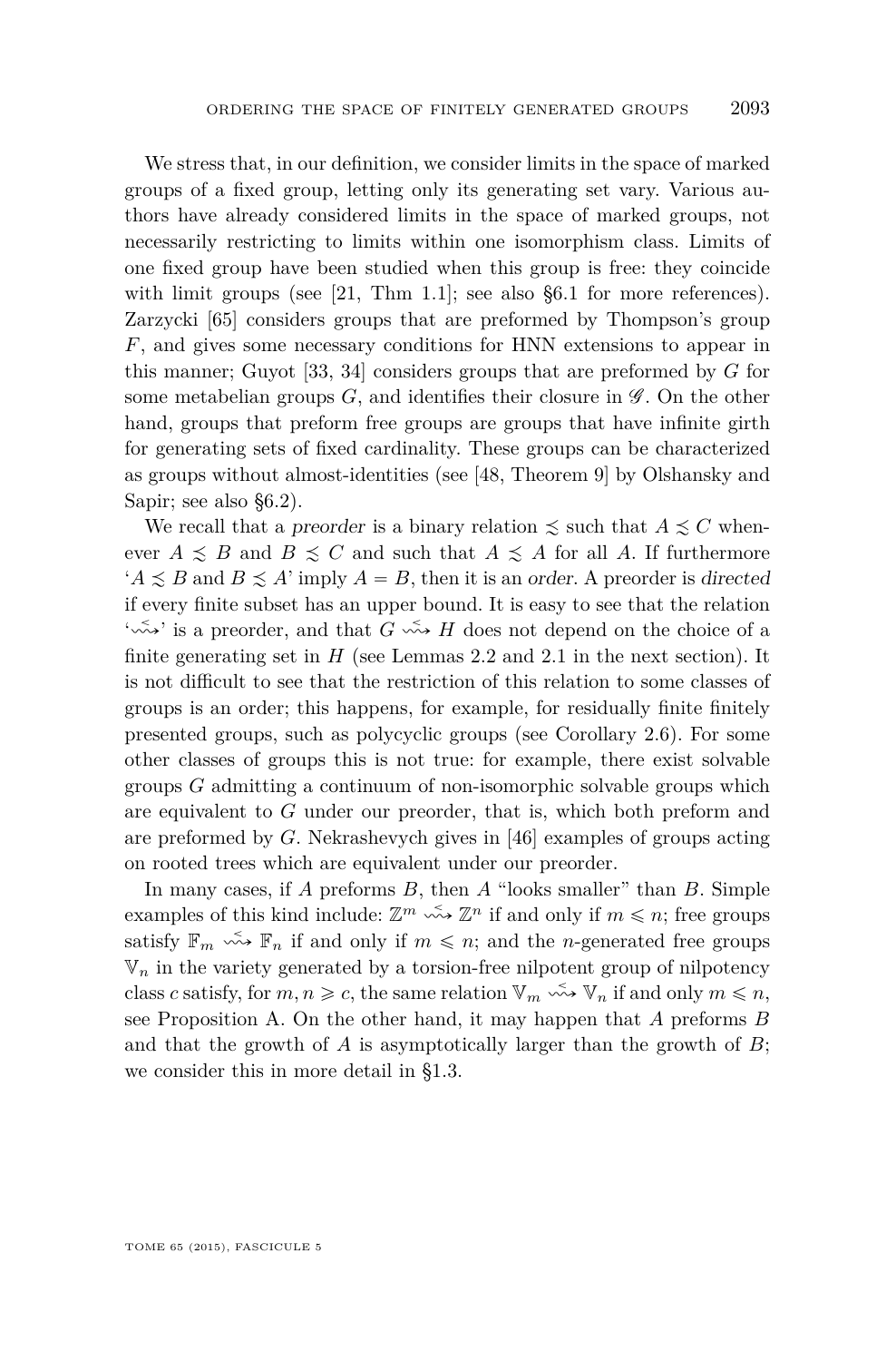We stress that, in our definition, we consider limits in the space of marked groups of a fixed group, letting only its generating set vary. Various authors have already considered limits in the space of marked groups, not necessarily restricting to limits within one isomorphism class. Limits of one fixed group have been studied when this group is free: they coincide with limit groups (see [\[21,](#page-52-0) Thm 1.1]; see also [§6.1](#page-36-0) for more references). Zarzycki [\[65\]](#page-54-0) considers groups that are preformed by Thompson's group *F*, and gives some necessary conditions for HNN extensions to appear in this manner; Guyot [\[33,](#page-53-0) [34\]](#page-53-0) considers groups that are preformed by *G* for some metabelian groups  $G$ , and identifies their closure in  $\mathscr G$ . On the other hand, groups that preform free groups are groups that have infinite girth for generating sets of fixed cardinality. These groups can be characterized as groups without almost-identities (see [\[48,](#page-53-0) Theorem 9] by Olshansky and Sapir; see also [§6.2\)](#page-36-0).

We recall that a preorder is a binary relation  $\leq$  such that  $A \leq C$  whenever  $A \preceq B$  and  $B \preceq C$  and such that  $A \preceq A$  for all A. If furthermore  $'A \leq B$  and  $B \leq A'$  imply  $A = B$ , then it is an order. A preorder is directed if every finite subset has an upper bound. It is easy to see that the relation ' $\sim$ <sup>'</sup>, is a preorder, and that *G*  $\sim$ <sup>5</sup>, *H* does not depend on the choice of a finite generating set in  $H$  (see Lemmas [2.2](#page-9-0) and [2.1](#page-8-0) in the next section). It is not difficult to see that the restriction of this relation to some classes of groups is an order; this happens, for example, for residually finite finitely presented groups, such as polycyclic groups (see Corollary [2.6\)](#page-10-0). For some other classes of groups this is not true: for example, there exist solvable groups *G* admitting a continuum of non-isomorphic solvable groups which are equivalent to *G* under our preorder, that is, which both preform and are preformed by *G*. Nekrashevych gives in [\[46\]](#page-53-0) examples of groups acting on rooted trees which are equivalent under our preorder.

In many cases, if *A* preforms *B*, then *A* "looks smaller" than *B*. Simple examples of this kind include:  $\mathbb{Z}^m \xrightarrow{\sim} \mathbb{Z}^n$  if and only if  $m \leq n$ ; free groups satisfy  $\mathbb{F}_m$   $\stackrel{\sim}{\leadsto} \mathbb{F}_n$  if and only if  $m \leq n$ ; and the *n*-generated free groups  $\mathbb{V}_n$  in the variety generated by a torsion-free nilpotent group of nilpotency class *c* satisfy, for  $m, n \geq c$ , the same relation  $\mathbb{V}_m \xrightarrow{\sim} \mathbb{V}_n$  if and only  $m \leq n$ , see Proposition [A.](#page-5-0) On the other hand, it may happen that *A* preforms *B* and that the growth of *A* is asymptotically larger than the growth of *B*; we consider this in more detail in [§1.3.](#page-7-0)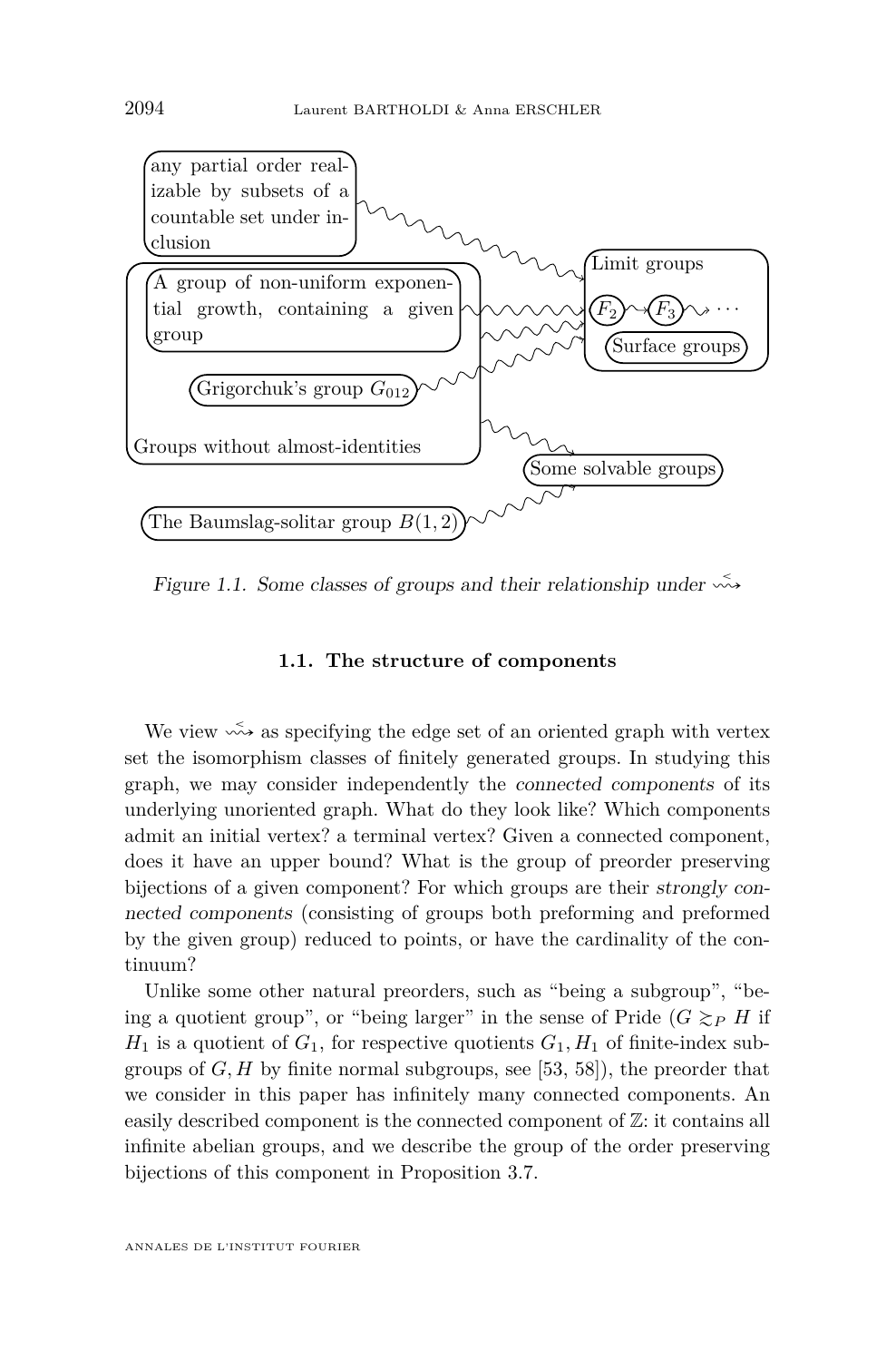

Figure 1.1. Some classes of groups and their relationship under  $\sim$ 

#### **1.1. The structure of components**

We view  $\stackrel{\sim}{\leadsto}$  as specifying the edge set of an oriented graph with vertex set the isomorphism classes of finitely generated groups. In studying this graph, we may consider independently the connected components of its underlying unoriented graph. What do they look like? Which components admit an initial vertex? a terminal vertex? Given a connected component, does it have an upper bound? What is the group of preorder preserving bijections of a given component? For which groups are their strongly connected components (consisting of groups both preforming and preformed by the given group) reduced to points, or have the cardinality of the continuum?

Unlike some other natural preorders, such as "being a subgroup", "being a quotient group", or "being larger" in the sense of Pride  $(G \gtrsim_P H)$  if  $H_1$  is a quotient of  $G_1$ , for respective quotients  $G_1$ ,  $H_1$  of finite-index subgroups of *G, H* by finite normal subgroups, see [\[53,](#page-53-0) [58\]](#page-54-0)), the preorder that we consider in this paper has infinitely many connected components. An easily described component is the connected component of Z: it contains all infinite abelian groups, and we describe the group of the order preserving bijections of this component in Proposition [3.7.](#page-22-0)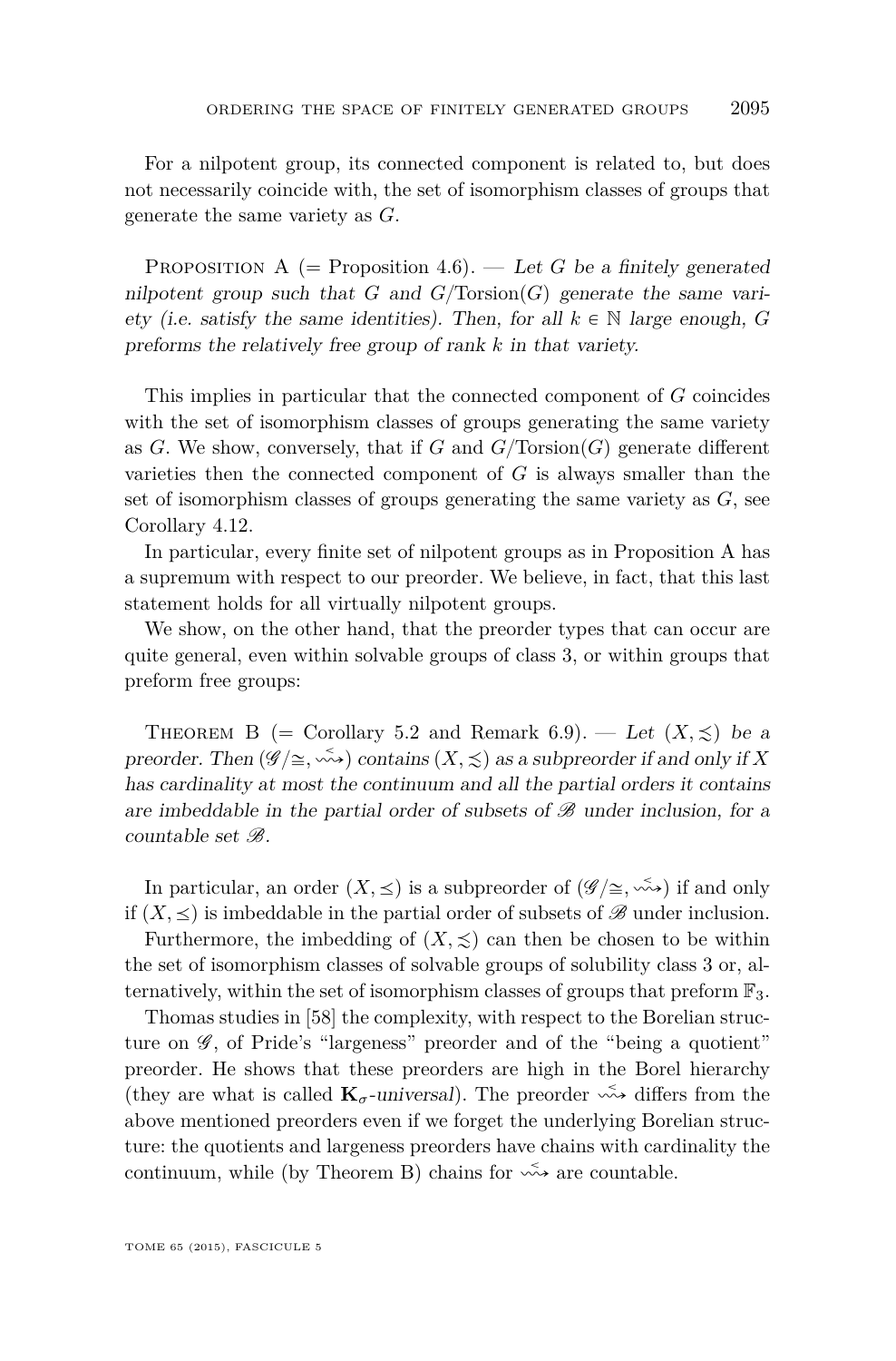<span id="page-5-0"></span>For a nilpotent group, its connected component is related to, but does not necessarily coincide with, the set of isomorphism classes of groups that generate the same variety as *G*.

PROPOSITION A  $(=$  Proposition [4.6\)](#page-29-0). — Let *G* be a finitely generated nilpotent group such that *G* and  $G/Torsion(G)$  generate the same variety (i.e. satisfy the same identities). Then, for all  $k \in \mathbb{N}$  large enough, *G* preforms the relatively free group of rank *k* in that variety.

This implies in particular that the connected component of *G* coincides with the set of isomorphism classes of groups generating the same variety as *G*. We show, conversely, that if *G* and  $G/\text{Torsion}(G)$  generate different varieties then the connected component of *G* is always smaller than the set of isomorphism classes of groups generating the same variety as *G*, see Corollary [4.12.](#page-31-0)

In particular, every finite set of nilpotent groups as in Proposition A has a supremum with respect to our preorder. We believe, in fact, that this last statement holds for all virtually nilpotent groups.

We show, on the other hand, that the preorder types that can occur are quite general, even within solvable groups of class 3, or within groups that preform free groups:

THEOREM B (= Corollary [5.2](#page-33-0) and Remark [6.9\)](#page-39-0). — Let  $(X,\preceq)$  be a preorder. Then  $(\mathscr{G}/\cong, \stackrel{\sim}{\leadsto})$  contains  $(X, \preceq)$  as a subpreorder if and only if X has cardinality at most the continuum and all the partial orders it contains are imbeddable in the partial order of subsets of  $\mathscr B$  under inclusion, for a countable set  $\mathscr{B}$ 

In particular, an order  $(X, \leq)$  is a subpreorder of  $(\mathscr{G}/\cong, \leq,\leq)$  if and only if  $(X, \leq)$  is imbeddable in the partial order of subsets of  $\mathscr{B}$  under inclusion.

Furthermore, the imbedding of  $(X, \leq)$  can then be chosen to be within the set of isomorphism classes of solvable groups of solubility class 3 or, alternatively, within the set of isomorphism classes of groups that preform  $\mathbb{F}_3$ .

Thomas studies in [\[58\]](#page-54-0) the complexity, with respect to the Borelian structure on  $\mathscr{G}$ , of Pride's "largeness" preorder and of the "being a quotient" preorder. He shows that these preorders are high in the Borel hierarchy (they are what is called  $\mathbf{K}_{\sigma}$ -universal). The preorder  $\stackrel{\leq}{\leadsto}$  differs from the above mentioned preorders even if we forget the underlying Borelian structure: the quotients and largeness preorders have chains with cardinality the continuum, while (by Theorem B) chains for  $\stackrel{\sim}{\leadsto}$  are countable.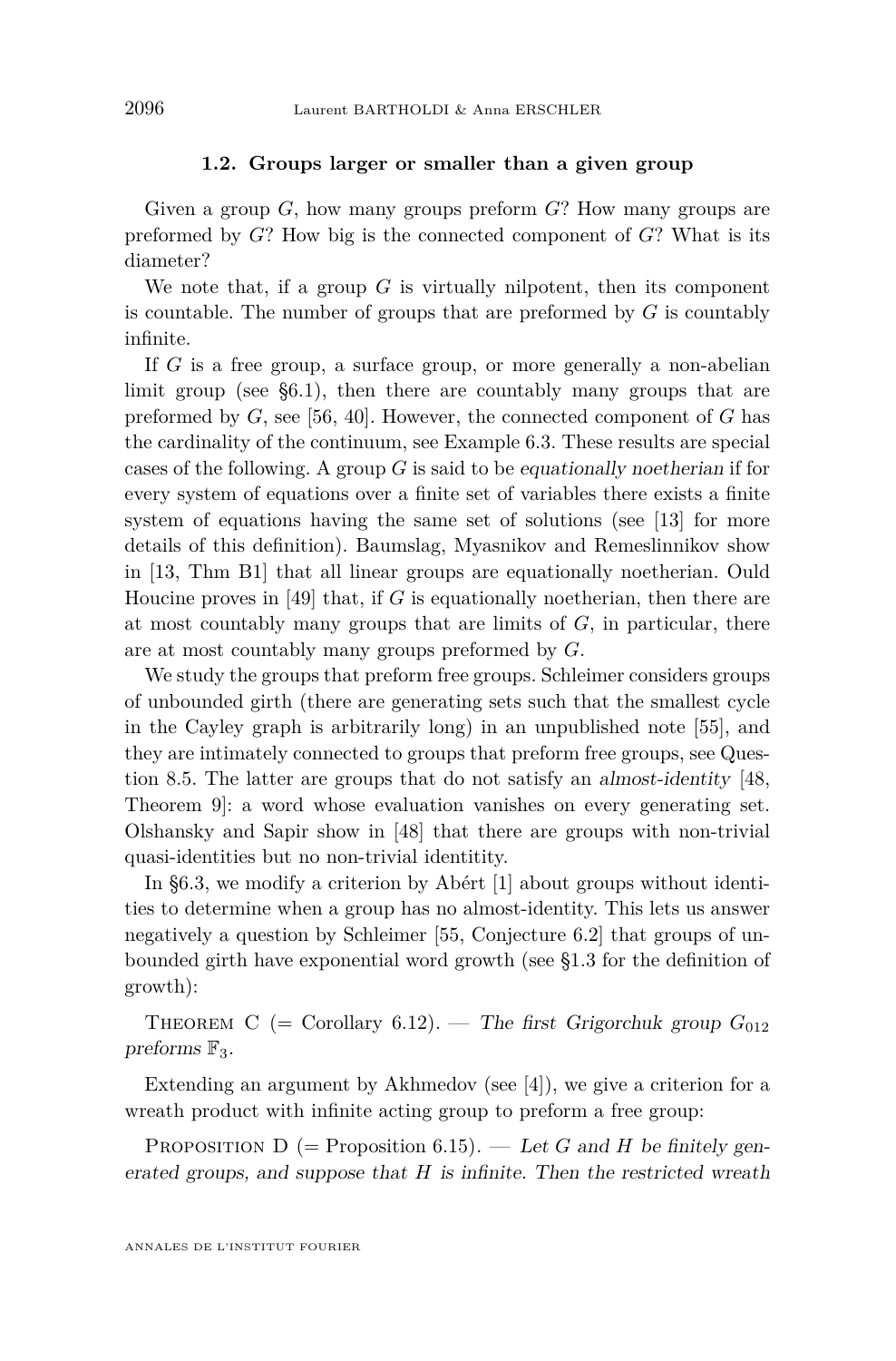#### **1.2. Groups larger or smaller than a given group**

<span id="page-6-0"></span>Given a group *G*, how many groups preform *G*? How many groups are preformed by *G*? How big is the connected component of *G*? What is its diameter?

We note that, if a group  $G$  is virtually nilpotent, then its component is countable. The number of groups that are preformed by *G* is countably infinite.

If *G* is a free group, a surface group, or more generally a non-abelian limit group (see [§6.1\)](#page-36-0), then there are countably many groups that are preformed by *G*, see [\[56,](#page-54-0) [40\]](#page-53-0). However, the connected component of *G* has the cardinality of the continuum, see Example [6.3.](#page-37-0) These results are special cases of the following. A group *G* is said to be equationally noetherian if for every system of equations over a finite set of variables there exists a finite system of equations having the same set of solutions (see [\[13\]](#page-52-0) for more details of this definition). Baumslag, Myasnikov and Remeslinnikov show in [\[13,](#page-52-0) Thm B1] that all linear groups are equationally noetherian. Ould Houcine proves in [\[49\]](#page-53-0) that, if *G* is equationally noetherian, then there are at most countably many groups that are limits of *G*, in particular, there are at most countably many groups preformed by *G*.

We study the groups that preform free groups. Schleimer considers groups of unbounded girth (there are generating sets such that the smallest cycle in the Cayley graph is arbitrarily long) in an unpublished note [\[55\]](#page-54-0), and they are intimately connected to groups that preform free groups, see Question [8.5.](#page-50-0) The latter are groups that do not satisfy an almost-identity [\[48,](#page-53-0) Theorem 9]: a word whose evaluation vanishes on every generating set. Olshansky and Sapir show in [\[48\]](#page-53-0) that there are groups with non-trivial quasi-identities but no non-trivial identitity.

In [§6.3,](#page-39-0) we modify a criterion by Abért [\[1\]](#page-51-0) about groups without identities to determine when a group has no almost-identity. This lets us answer negatively a question by Schleimer [\[55,](#page-54-0) Conjecture 6.2] that groups of unbounded girth have exponential word growth (see [§1.3](#page-7-0) for the definition of growth):

THEOREM C (= Corollary [6.12\)](#page-41-0). — The first Grigorchuk group  $G_{012}$ preforms  $\mathbb{F}_3$ .

Extending an argument by Akhmedov (see [\[4\]](#page-51-0)), we give a criterion for a wreath product with infinite acting group to preform a free group:

PROPOSITION  $D$  (= Proposition [6.15\)](#page-43-0). — Let *G* and *H* be finitely generated groups, and suppose that *H* is infinite. Then the restricted wreath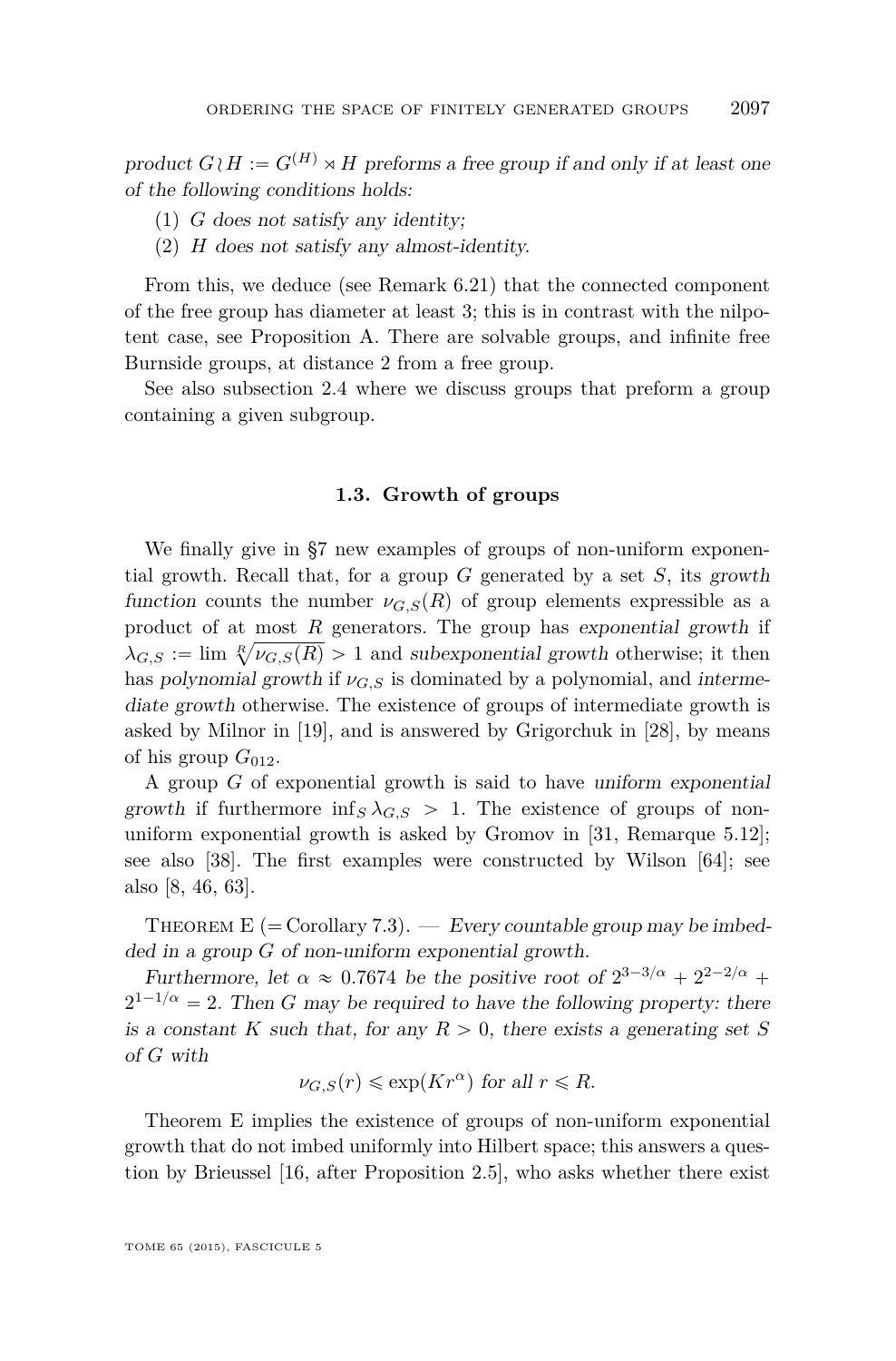<span id="page-7-0"></span>product  $G \wr H := G^{(H)} \rtimes H$  preforms a free group if and only if at least one of the following conditions holds:

- (1) *G* does not satisfy any identity;
- (2) *H* does not satisfy any almost-identity.

From this, we deduce (see Remark [6.21\)](#page-45-0) that the connected component of the free group has diameter at least 3; this is in contrast with the nilpotent case, see Proposition [A.](#page-5-0) There are solvable groups, and infinite free Burnside groups, at distance 2 from a free group.

See also subsection [2.4](#page-15-0) where we discuss groups that preform a group containing a given subgroup.

#### **1.3. Growth of groups**

We finally give in [§7](#page-47-0) new examples of groups of non-uniform exponential growth. Recall that, for a group *G* generated by a set *S*, its growth function counts the number  $\nu_{G,S}(R)$  of group elements expressible as a product of at most *R* generators. The group has exponential growth if  $\lambda_{G,S} := \lim_{n \to \infty} \sqrt[n]{\nu_{G,S}(R)} > 1$  and subexponential growth otherwise; it then has polynomial growth if  $\nu_{G,S}$  is dominated by a polynomial, and intermediate growth otherwise. The existence of groups of intermediate growth is asked by Milnor in [\[19\]](#page-52-0), and is answered by Grigorchuk in [\[28\]](#page-52-0), by means of his group  $G_{012}$ .

A group *G* of exponential growth is said to have uniform exponential growth if furthermore  $\inf_S \lambda_{G,S} > 1$ . The existence of groups of nonuniform exponential growth is asked by Gromov in [\[31,](#page-52-0) Remarque 5.12]; see also [\[38\]](#page-53-0). The first examples were constructed by Wilson [\[64\]](#page-54-0); see also [\[8,](#page-51-0) [46,](#page-53-0) [63\]](#page-54-0).

THEOREM E (= Corollary [7.3\)](#page-48-0). — Every countable group may be imbedded in a group *G* of non-uniform exponential growth.

Furthermore, let  $\alpha \approx 0.7674$  be the positive root of  $2^{3-3/\alpha} + 2^{2-2/\alpha} +$  $2^{1-1/\alpha} = 2$ . Then *G* may be required to have the following property: there is a constant *K* such that, for any  $R > 0$ , there exists a generating set *S* of *G* with

$$
\nu_{G,S}(r) \leq \exp(Kr^{\alpha}) \text{ for all } r \leq R.
$$

Theorem E implies the existence of groups of non-uniform exponential growth that do not imbed uniformly into Hilbert space; this answers a question by Brieussel [\[16,](#page-52-0) after Proposition 2.5], who asks whether there exist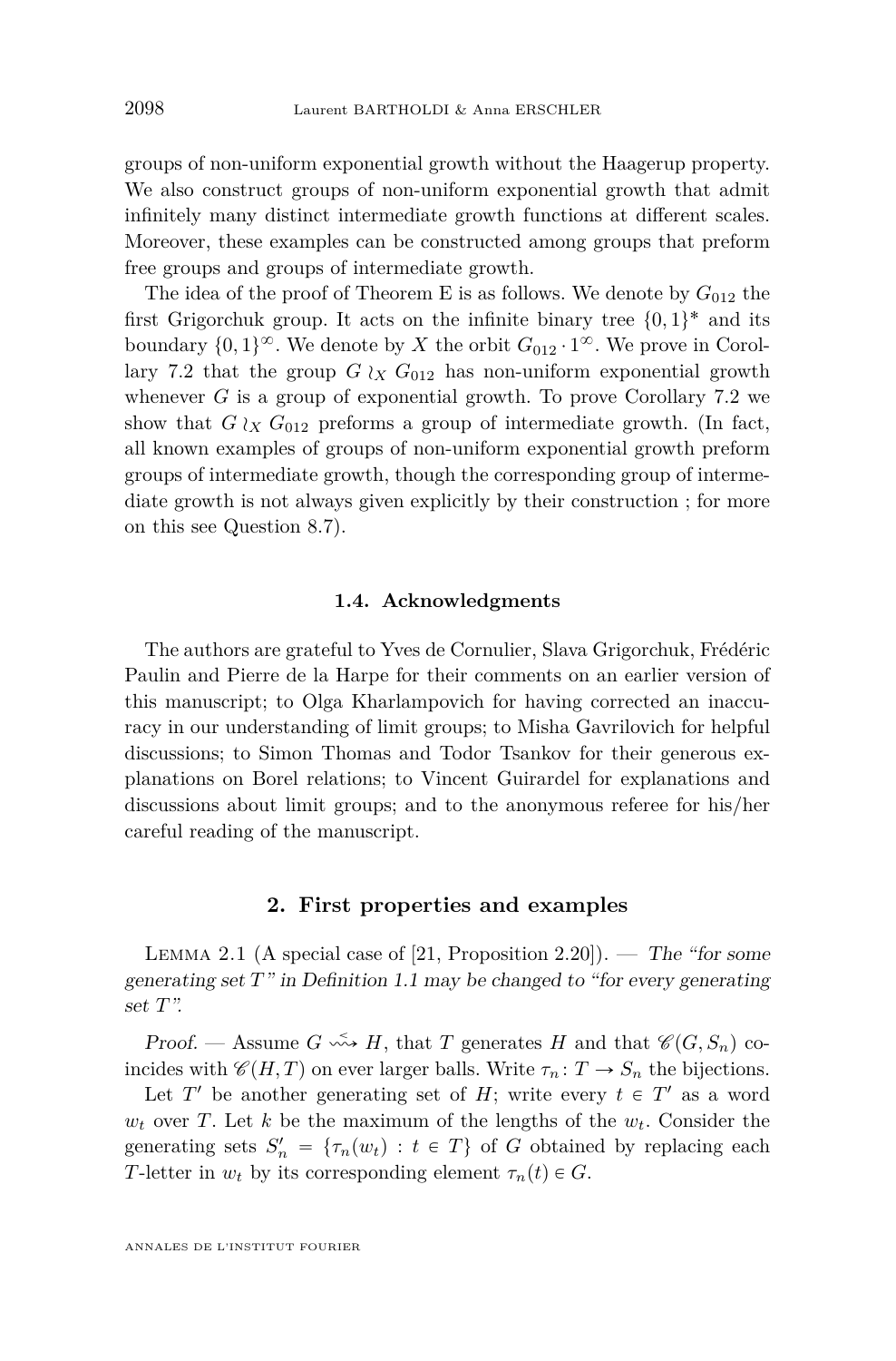groups of non-uniform exponential growth without the Haagerup property. We also construct groups of non-uniform exponential growth that admit infinitely many distinct intermediate growth functions at different scales. Moreover, these examples can be constructed among groups that preform free groups and groups of intermediate growth.

The idea of the proof of Theorem [E](#page-7-0) is as follows. We denote by  $G_{012}$  the first Grigorchuk group. It acts on the infinite binary tree  $\{0,1\}^*$  and its boundary  $\{0,1\}^{\infty}$ . We denote by *X* the orbit  $G_{012} \cdot 1^{\infty}$ . We prove in Corol-lary [7.2](#page-48-0) that the group  $G \wr_X G_{012}$  has non-uniform exponential growth whenever *G* is a group of exponential growth. To prove Corollary [7.2](#page-48-0) we show that  $G \wr_X G_{012}$  preforms a group of intermediate growth. (In fact, all known examples of groups of non-uniform exponential growth preform groups of intermediate growth, though the corresponding group of intermediate growth is not always given explicitly by their construction ; for more on this see Question [8.7\)](#page-51-0).

#### **1.4. Acknowledgments**

The authors are grateful to Yves de Cornulier, Slava Grigorchuk, Frédéric Paulin and Pierre de la Harpe for their comments on an earlier version of this manuscript; to Olga Kharlampovich for having corrected an inaccuracy in our understanding of limit groups; to Misha Gavrilovich for helpful discussions; to Simon Thomas and Todor Tsankov for their generous explanations on Borel relations; to Vincent Guirardel for explanations and discussions about limit groups; and to the anonymous referee for his/her careful reading of the manuscript.

#### **2. First properties and examples**

LEMMA 2.1 (A special case of  $[21,$  Proposition 2.20]). — The "for some generating set *T*" in Definition [1.1](#page-2-0) may be changed to "for every generating set *T*".

Proof. — Assume  $G \leftrightarrow H$ , that *T* generates *H* and that  $\mathscr{C}(G, S_n)$  coincides with  $\mathscr{C}(H, T)$  on ever larger balls. Write  $\tau_n : T \to S_n$  the bijections.

Let  $T'$  be another generating set of  $H$ ; write every  $t \in T'$  as a word  $w_t$  over *T*. Let *k* be the maximum of the lengths of the  $w_t$ . Consider the generating sets  $S'_n = \{\tau_n(w_t) : t \in T\}$  of *G* obtained by replacing each *T*-letter in  $w_t$  by its corresponding element  $\tau_n(t) \in G$ .

<span id="page-8-0"></span>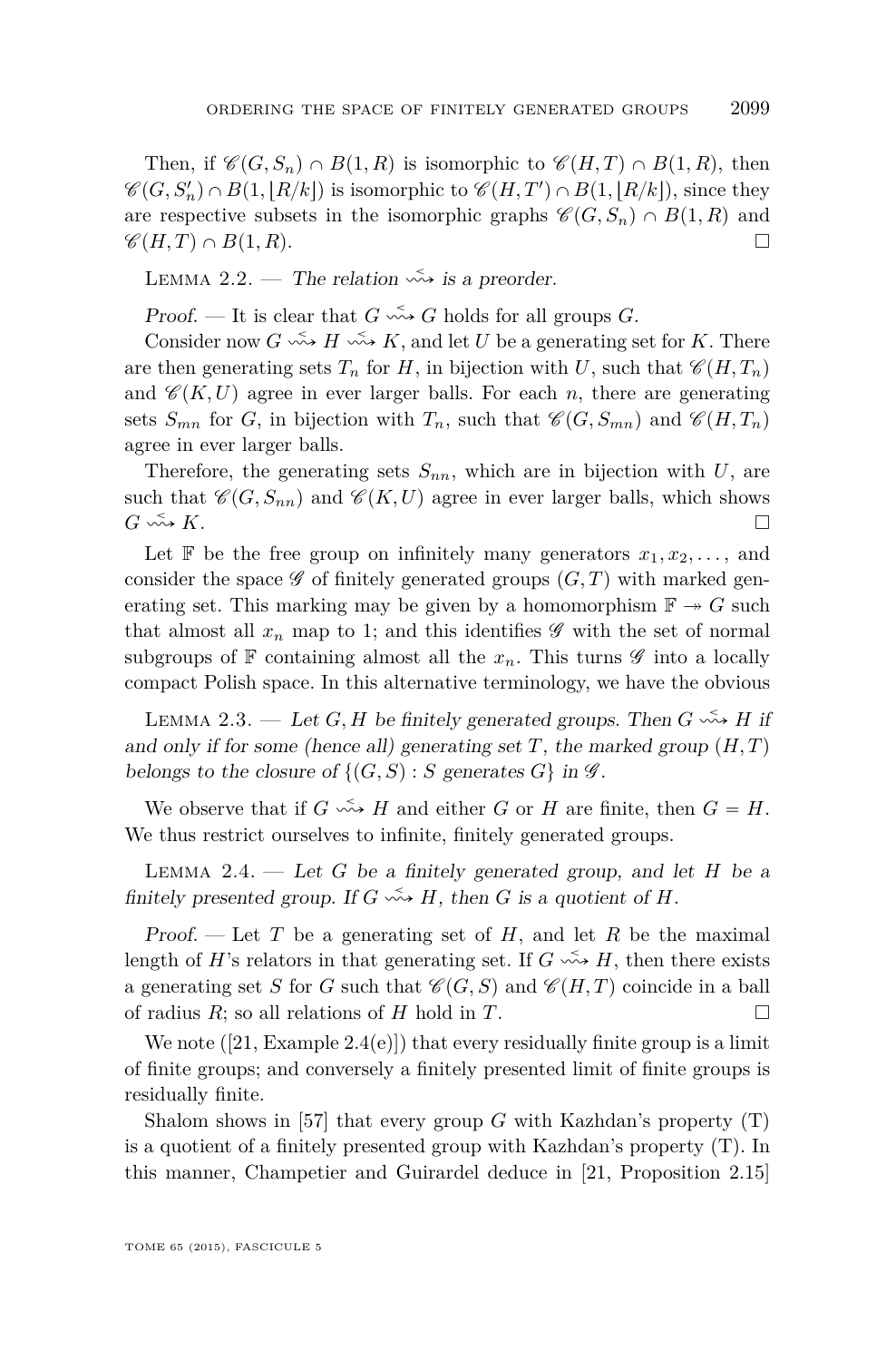<span id="page-9-0"></span>Then, if  $\mathscr{C}(G, S_n) \cap B(1, R)$  is isomorphic to  $\mathscr{C}(H, T) \cap B(1, R)$ , then  $\mathscr{C}(G, S_n') \cap B(1, [R/k])$  is isomorphic to  $\mathscr{C}(H, T') \cap B(1, [R/k])$ , since they are respective subsets in the isomorphic graphs  $\mathscr{C}(G, S_n) \cap B(1, R)$  and  $\mathscr{C}(H, T) \cap B(1, R)$ .

LEMMA 2.2. — The relation  $\stackrel{\sim}{\leadsto}$  is a preorder.

Proof. — It is clear that  $G \leftrightarrow G$  holds for all groups  $G$ .

Consider now  $G \leftrightarrow H \leftrightarrow K$ , and let *U* be a generating set for *K*. There are then generating sets  $T_n$  for *H*, in bijection with *U*, such that  $\mathscr{C}(H, T_n)$ and  $\mathscr{C}(K, U)$  agree in ever larger balls. For each *n*, there are generating sets  $S_{mn}$  for *G*, in bijection with  $T_n$ , such that  $\mathscr{C}(G, S_{mn})$  and  $\mathscr{C}(H, T_n)$ agree in ever larger balls.

Therefore, the generating sets  $S_{nn}$ , which are in bijection with  $U$ , are such that  $\mathscr{C}(G, S_{nn})$  and  $\mathscr{C}(K, U)$  agree in ever larger balls, which shows  $G \stackrel{\checkmark}{\longrightarrow} K$ .

Let  $\mathbb{F}$  be the free group on infinitely many generators  $x_1, x_2, \ldots$ , and consider the space  $\mathscr G$  of finitely generated groups  $(G, T)$  with marked generating set. This marking may be given by a homomorphism  $\mathbb{F} \to G$  such that almost all  $x_n$  map to 1; and this identifies  $\mathscr G$  with the set of normal subgroups of  $\mathbb F$  containing almost all the  $x_n$ . This turns  $\mathscr G$  into a locally compact Polish space. In this alternative terminology, we have the obvious

LEMMA 2.3. — Let *G*, *H* be finitely generated groups. Then  $G \leftrightarrow H$  if and only if for some (hence all) generating set *T*, the marked group  $(H, T)$ belongs to the closure of  $\{(G, S) : S \text{ generates } G\}$  in  $\mathscr{G}$ .

We observe that if  $G \leftrightarrow H$  and either  $G$  or  $H$  are finite, then  $G = H$ . We thus restrict ourselves to infinite, finitely generated groups.

Lemma 2.4. — Let *G* be a finitely generated group, and let *H* be a finitely presented group. If  $G \leftrightarrow H$ , then  $G$  is a quotient of  $H$ .

Proof.  $\overline{\phantom{a}}$  Let *T* be a generating set of *H*, and let *R* be the maximal length of *H*'s relators in that generating set. If  $G \leftrightarrow H$ , then there exists a generating set *S* for *G* such that  $\mathcal{C}(G, S)$  and  $\mathcal{C}(H, T)$  coincide in a ball of radius  $R$ ; so all relations of  $H$  hold in  $T$ .

We note  $([21, Example\ 2.4(e)])$  $([21, Example\ 2.4(e)])$  $([21, Example\ 2.4(e)])$  that every residually finite group is a limit of finite groups; and conversely a finitely presented limit of finite groups is residually finite.

Shalom shows in [\[57\]](#page-54-0) that every group *G* with Kazhdan's property (T) is a quotient of a finitely presented group with Kazhdan's property (T). In this manner, Champetier and Guirardel deduce in [\[21,](#page-52-0) Proposition 2.15]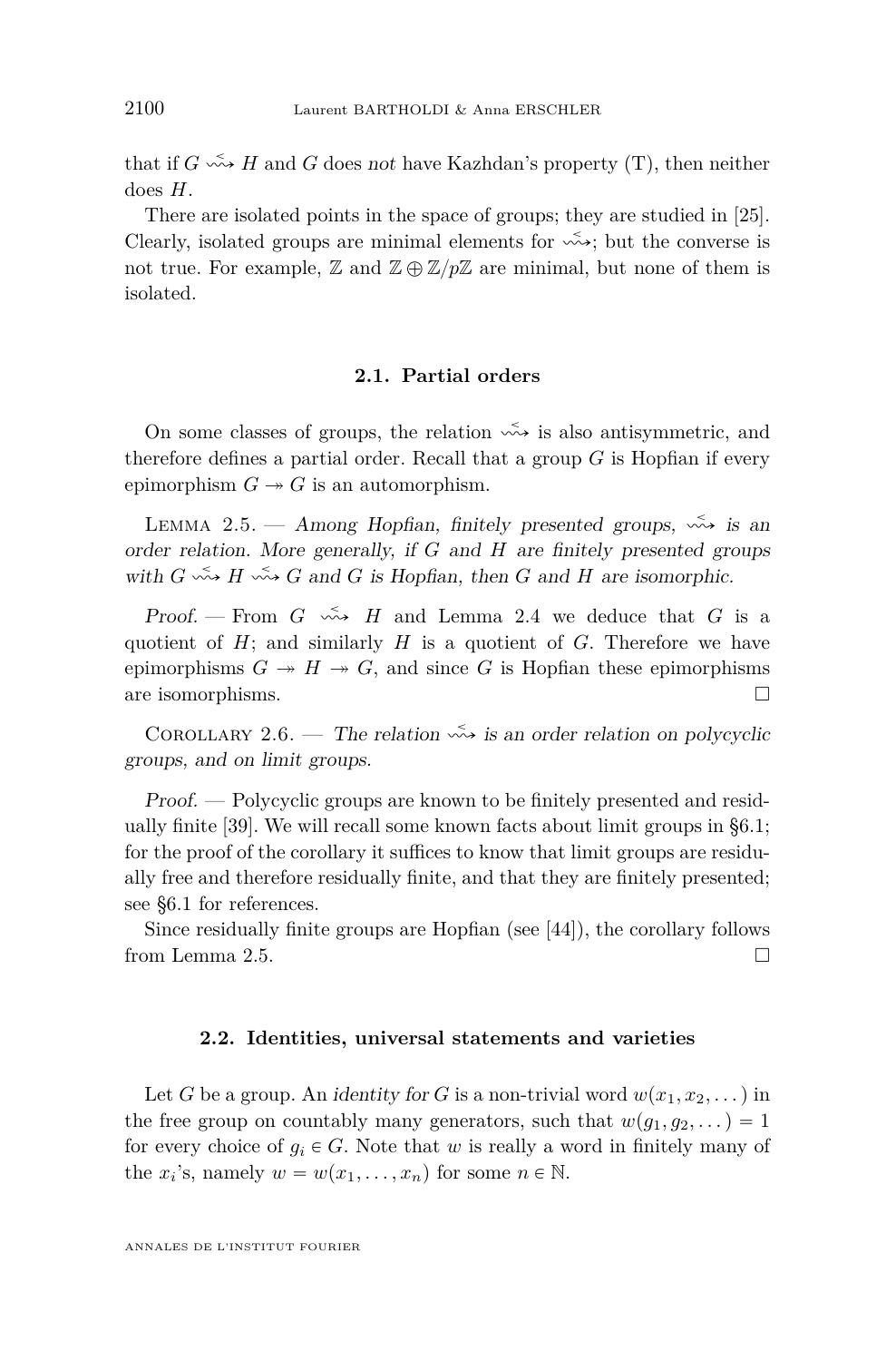<span id="page-10-0"></span>that if  $G \leftrightarrow H$  and  $G$  does not have Kazhdan's property (T), then neither does *H*.

There are isolated points in the space of groups; they are studied in [\[25\]](#page-52-0). Clearly, isolated groups are minimal elements for  $\stackrel{\sim}{\leadsto}$ ; but the converse is not true. For example,  $\mathbb{Z}$  and  $\mathbb{Z} \oplus \mathbb{Z}/p\mathbb{Z}$  are minimal, but none of them is isolated.

#### **2.1. Partial orders**

On some classes of groups, the relation  $\stackrel{\sim}{\leadsto}$  is also antisymmetric, and therefore defines a partial order. Recall that a group *G* is Hopfian if every epimorphism  $G \rightarrow G$  is an automorphism.

LEMMA 2.5. — Among Hopfian, finitely presented groups,  $\stackrel{\sim}{\rightsquigarrow}$  is an order relation. More generally, if *G* and *H* are finitely presented groups with  $G \leftrightarrow H \leftrightarrow G$  and  $G$  is Hopfian, then  $G$  and  $H$  are isomorphic.

Proof. – From  $G \leftrightarrow H$  and Lemma [2.4](#page-9-0) we deduce that  $G$  is a quotient of  $H$ ; and similarly  $H$  is a quotient of  $G$ . Therefore we have epimorphisms  $G \rightarrow H \rightarrow G$ , and since G is Hopfian these epimorphisms are isomorphisms.  $\hfill \square$ 

COROLLARY 2.6. — The relation  $\stackrel{\leq}{\leadsto}$  is an order relation on polycyclic groups, and on limit groups.

Proof. — Polycyclic groups are known to be finitely presented and residually finite [\[39\]](#page-53-0). We will recall some known facts about limit groups in [§6.1;](#page-36-0) for the proof of the corollary it suffices to know that limit groups are residually free and therefore residually finite, and that they are finitely presented; see [§6.1](#page-36-0) for references.

Since residually finite groups are Hopfian (see [\[44\]](#page-53-0)), the corollary follows from Lemma 2.5.

#### **2.2. Identities, universal statements and varieties**

Let *G* be a group. An *identity for G* is a non-trivial word  $w(x_1, x_2, \ldots)$  in the free group on countably many generators, such that  $w(g_1, g_2, \dots) = 1$ for every choice of  $g_i \in G$ . Note that *w* is really a word in finitely many of the  $x_i$ 's, namely  $w = w(x_1, \ldots, x_n)$  for some  $n \in \mathbb{N}$ .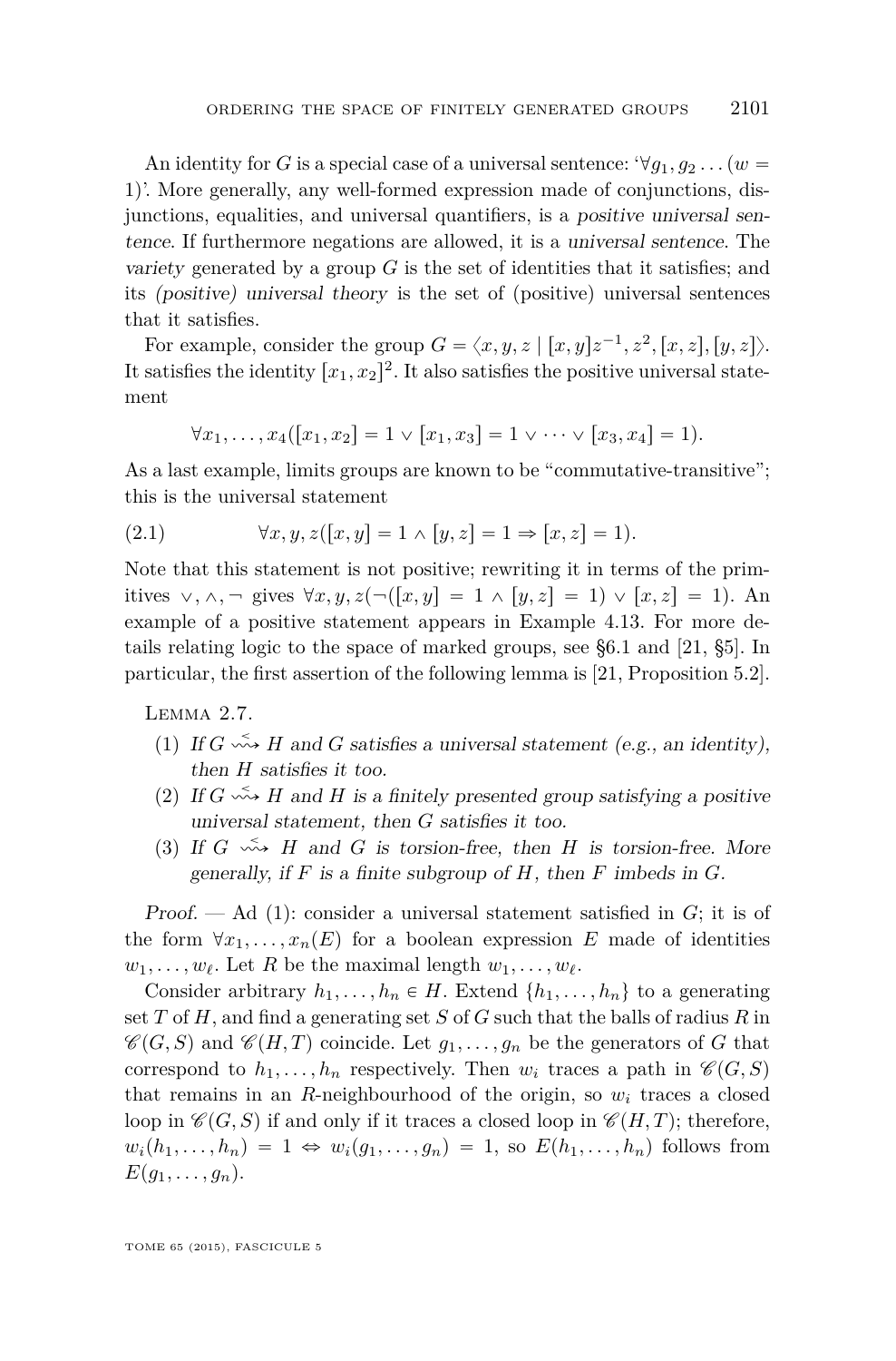<span id="page-11-0"></span>An identity for *G* is a special case of a universal sentence:  $\forall g_1, g_2 \dots (w =$ 1). More generally, any well-formed expression made of conjunctions, disjunctions, equalities, and universal quantifiers, is a positive universal sentence. If furthermore negations are allowed, it is a universal sentence. The variety generated by a group *G* is the set of identities that it satisfies; and its (positive) universal theory is the set of (positive) universal sentences that it satisfies.

For example, consider the group  $G = \langle x, y, z \mid [x, y]z^{-1}, z^2, [x, z], [y, z] \rangle$ . It satisfies the identity  $[x_1, x_2]^2$ . It also satisfies the positive universal statement

$$
\forall x_1, \ldots, x_4([x_1, x_2] = 1 \lor [x_1, x_3] = 1 \lor \cdots \lor [x_3, x_4] = 1).
$$

As a last example, limits groups are known to be "commutative-transitive"; this is the universal statement

(2.1) 
$$
\forall x, y, z([x, y] = 1 \land [y, z] = 1 \Rightarrow [x, z] = 1).
$$

Note that this statement is not positive; rewriting it in terms of the primitives  $\vee, \wedge, \neg$  gives  $\forall x, y, z \neg (x, y) = 1 \wedge [y, z] = 1 \vee [x, z] = 1$ . An example of a positive statement appears in Example [4.13.](#page-31-0) For more details relating logic to the space of marked groups, see [§6.1](#page-36-0) and [\[21,](#page-52-0) §5]. In particular, the first assertion of the following lemma is [\[21,](#page-52-0) Proposition 5.2].

Lemma 2.7.

- (1) If  $G \leftrightarrow H$  and  $G$  satisfies a universal statement (e.g., an identity), then *H* satisfies it too.
- (2) If  $G \leftrightarrow H$  and  $H$  is a finitely presented group satisfying a positive universal statement, then *G* satisfies it too.
- (3) If  $G \nightharpoonup H$  and  $G$  is torsion-free, then  $H$  is torsion-free. More generally, if *F* is a finite subgroup of *H*, then *F* imbeds in *G*.

Proof. — Ad (1): consider a universal statement satisfied in *G*; it is of the form  $\forall x_1, \ldots, x_n(E)$  for a boolean expression *E* made of identities  $w_1, \ldots, w_\ell$ . Let *R* be the maximal length  $w_1, \ldots, w_\ell$ .

Consider arbitrary  $h_1, \ldots, h_n \in H$ . Extend  $\{h_1, \ldots, h_n\}$  to a generating set *T* of *H*, and find a generating set *S* of *G* such that the balls of radius *R* in  $\mathscr{C}(G, S)$  and  $\mathscr{C}(H, T)$  coincide. Let  $g_1, \ldots, g_n$  be the generators of *G* that correspond to  $h_1, \ldots, h_n$  respectively. Then  $w_i$  traces a path in  $\mathscr{C}(G, S)$ that remains in an *R*-neighbourhood of the origin, so  $w_i$  traces a closed loop in  $\mathscr{C}(G, S)$  if and only if it traces a closed loop in  $\mathscr{C}(H, T)$ ; therefore,  $w_i(h_1,\ldots,h_n) = 1 \Leftrightarrow w_i(g_1,\ldots,g_n) = 1$ , so  $E(h_1,\ldots,h_n)$  follows from  $E(g_1, \ldots, g_n)$ .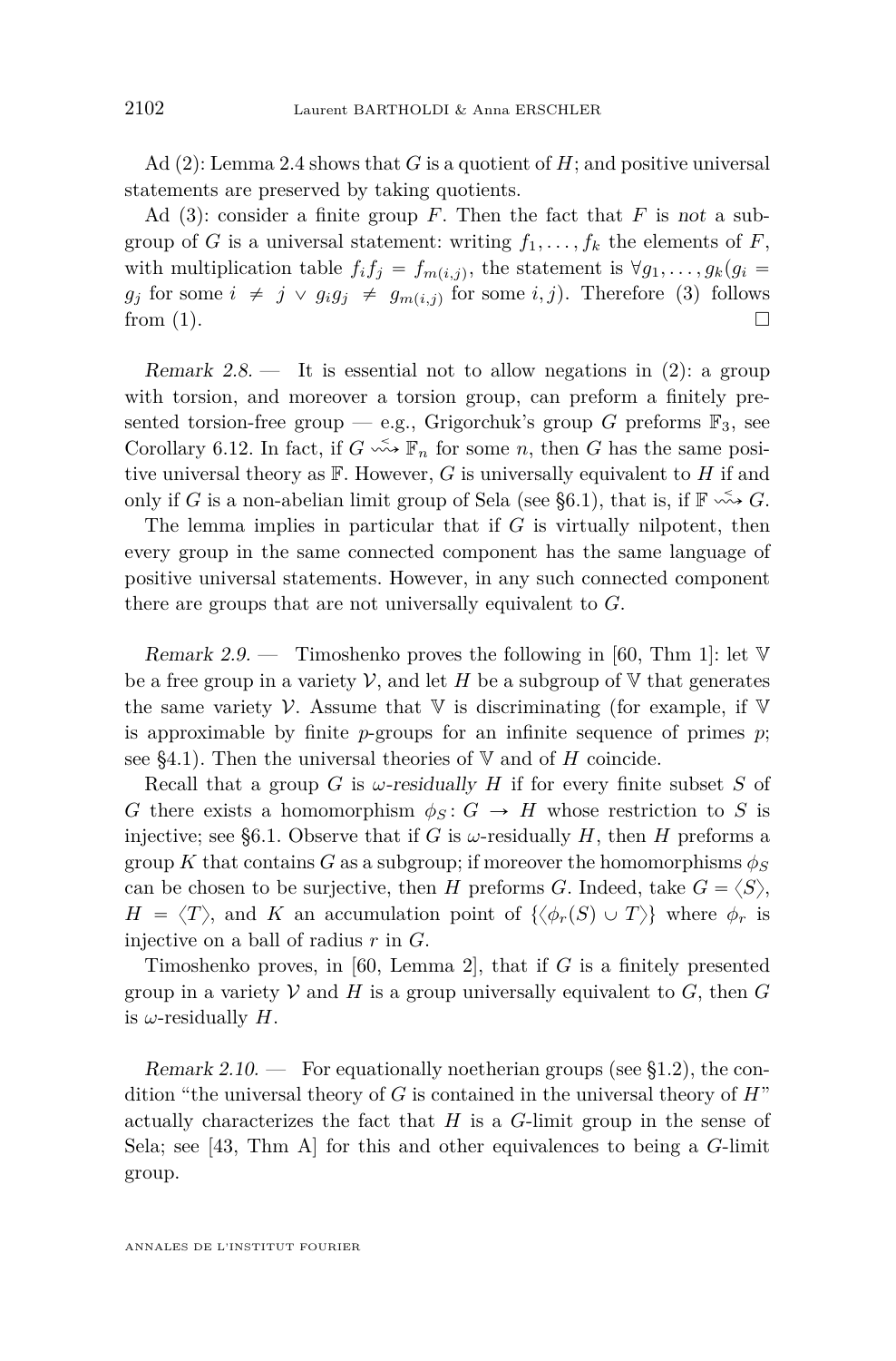Ad (2): Lemma [2.4](#page-9-0) shows that *G* is a quotient of *H*; and positive universal statements are preserved by taking quotients.

Ad (3): consider a finite group *F*. Then the fact that *F* is not a subgroup of *G* is a universal statement: writing  $f_1, \ldots, f_k$  the elements of *F*, with multiplication table  $f_i f_j = f_{m(i,j)}$ , the statement is  $\forall g_1, \ldots, g_k (g_i =$  $g_j$  for some  $i \neq j \vee g_i g_j \neq g_{m(i,j)}$  for some  $i, j$ ). Therefore (3) follows from (1).  $\Box$ 

Remark  $2.8$ . It is essential not to allow negations in  $(2)$ : a group with torsion, and moreover a torsion group, can preform a finitely presented torsion-free group — e.g., Grigorchuk's group *G* preforms  $\mathbb{F}_3$ , see Corollary [6.12.](#page-41-0) In fact, if  $G \xrightarrow{\sim} \mathbb{F}_n$  for some *n*, then *G* has the same positive universal theory as F. However, *G* is universally equivalent to *H* if and only if *G* is a non-abelian limit group of Sela (see [§6.1\)](#page-36-0), that is, if  $\mathbb{F} \xrightarrow{\sim} G$ .

The lemma implies in particular that if *G* is virtually nilpotent, then every group in the same connected component has the same language of positive universal statements. However, in any such connected component there are groups that are not universally equivalent to *G*.

Remark 2.9. — Timoshenko proves the following in [\[60,](#page-54-0) Thm 1]: let  $V$ be a free group in a variety  $\mathcal V$ , and let *H* be a subgroup of  $\nabla$  that generates the same variety V. Assume that  $\nabla$  is discriminating (for example, if  $\nabla$ is approximable by finite  $p$ -groups for an infinite sequence of primes  $p$ ; see [§4.1\)](#page-26-0). Then the universal theories of  $V$  and of  $H$  coincide.

Recall that a group *G* is  $\omega$ -residually *H* if for every finite subset *S* of *G* there exists a homomorphism  $\phi_S: G \to H$  whose restriction to *S* is injective; see [§6.1.](#page-36-0) Observe that if *G* is  $\omega$ -residually *H*, then *H* preforms a group *K* that contains *G* as a subgroup; if moreover the homomorphisms  $\phi_S$ can be chosen to be surjective, then *H* preforms *G*. Indeed, take  $G = \langle S \rangle$ ,  $H = \langle T \rangle$ , and *K* an accumulation point of  $\{ \langle \phi_r(S) \cup T \rangle \}$  where  $\phi_r$  is injective on a ball of radius *r* in *G*.

Timoshenko proves, in [\[60,](#page-54-0) Lemma 2], that if *G* is a finitely presented group in a variety  $V$  and  $H$  is a group universally equivalent to  $G$ , then  $G$ is  $\omega$ -residually  $H$ .

Remark 2.10. — For equationally noetherian groups (see  $\S1.2$ ), the condition "the universal theory of *G* is contained in the universal theory of *H*" actually characterizes the fact that *H* is a *G*-limit group in the sense of Sela; see [\[43,](#page-53-0) Thm A] for this and other equivalences to being a *G*-limit group.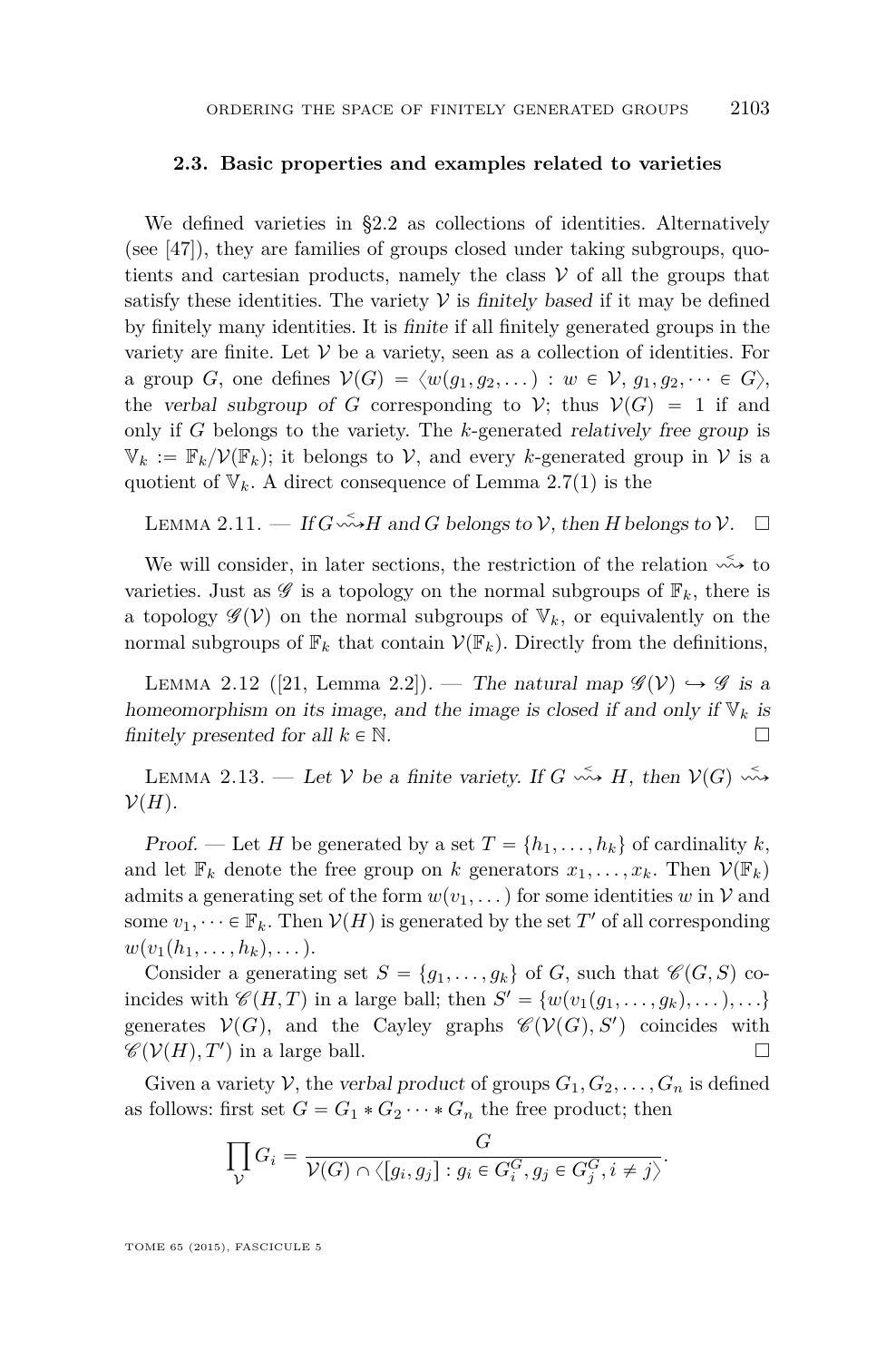#### **2.3. Basic properties and examples related to varieties**

We defined varieties in [§2.2](#page-10-0) as collections of identities. Alternatively (see [\[47\]](#page-53-0)), they are families of groups closed under taking subgroups, quotients and cartesian products, namely the class  $\mathcal V$  of all the groups that satisfy these identities. The variety  $V$  is finitely based if it may be defined by finitely many identities. It is finite if all finitely generated groups in the variety are finite. Let  $V$  be a variety, seen as a collection of identities. For a group *G*, one defines  $V(G) = \langle w(q_1, q_2, \dots) : w \in V, q_1, q_2, \dots \in G \rangle$ , the verbal subgroup of *G* corresponding to *V*; thus  $V(G) = 1$  if and only if *G* belongs to the variety. The *k*-generated relatively free group is  $\mathbb{V}_k := \mathbb{F}_k / \mathcal{V}(\mathbb{F}_k)$ ; it belongs to V, and every *k*-generated group in V is a quotient of  $V_k$ . A direct consequence of Lemma [2.7\(](#page-11-0)1) is the

LEMMA 2.11.  $-$  If  $G \stackrel{\sim}{\leadsto} H$  and  $G$  belongs to  $V$ , then  $H$  belongs to  $V$ .  $\Box$ 

We will consider, in later sections, the restriction of the relation  $\stackrel{\sim}{\leadsto}$  to varieties. Just as  $\mathscr G$  is a topology on the normal subgroups of  $\mathbb F_k$ , there is a topology  $\mathscr{G}(V)$  on the normal subgroups of  $V_k$ , or equivalently on the normal subgroups of  $\mathbb{F}_k$  that contain  $\mathcal{V}(\mathbb{F}_k)$ . Directly from the definitions,

LEMMA 2.12 ([\[21,](#page-52-0) Lemma 2.2]). — The natural map  $\mathscr{G}(V) \hookrightarrow \mathscr{G}$  is a homeomorphism on its image, and the image is closed if and only if  $V_k$  is finitely presented for all  $k \in \mathbb{N}$ .

LEMMA 2.13. — Let V be a finite variety. If  $G \leftrightarrow H$ , then  $V(G) \leftrightarrow$  $\mathcal{V}(H)$ .

Proof. — Let *H* be generated by a set  $T = \{h_1, \ldots, h_k\}$  of cardinality *k*, and let  $\mathbb{F}_k$  denote the free group on *k* generators  $x_1, \ldots, x_k$ . Then  $\mathcal{V}(\mathbb{F}_k)$ admits a generating set of the form  $w(v_1, \ldots)$  for some identities *w* in V and some  $v_1, \dots \in \mathbb{F}_k$ . Then  $V(H)$  is generated by the set  $T'$  of all corresponding  $w(v_1(h_1, \ldots, h_k), \ldots).$ 

Consider a generating set  $S = \{g_1, \ldots, g_k\}$  of *G*, such that  $\mathscr{C}(G, S)$  coincides with  $\mathscr{C}(H, T)$  in a large ball; then  $S' = \{w(v_1(g_1, \ldots, g_k), \ldots), \ldots\}$ generates  $V(G)$ , and the Cayley graphs  $\mathscr{C}(V(G), S')$  coincides with  $\mathscr{C}(\mathcal{V}(H), T')$  in a large ball.

Given a variety V, the verbal product of groups  $G_1, G_2, \ldots, G_n$  is defined as follows: first set  $G = G_1 * G_2 \cdots * G_n$  the free product; then

$$
\prod_{\mathcal{V}} G_i = \frac{G}{\mathcal{V}(G) \cap \langle [g_i, g_j] : g_i \in G_i^G, g_j \in G_j^G, i \neq j \rangle}.
$$

TOME 65 (2015), FASCICULE 5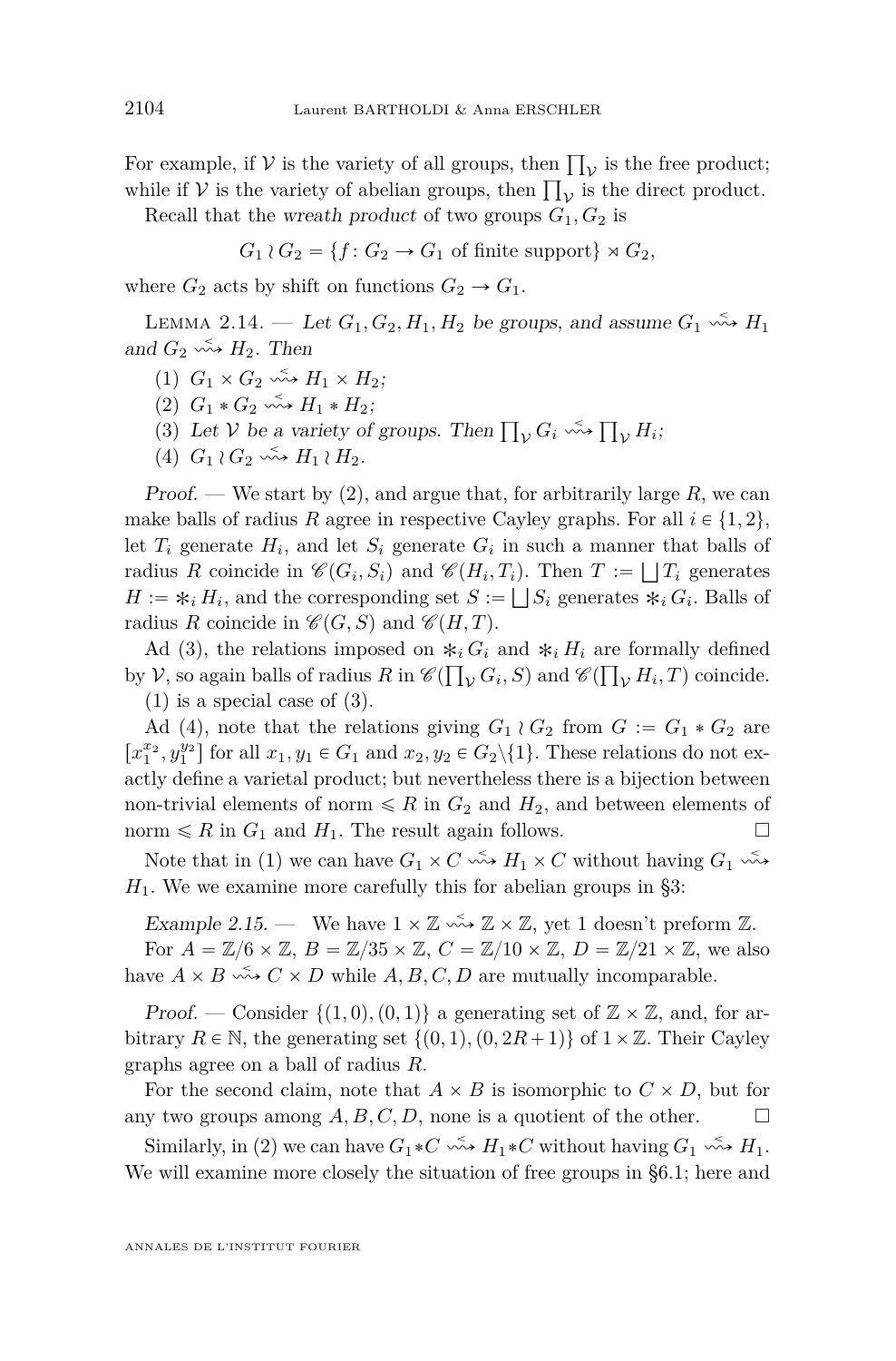<span id="page-14-0"></span>For example, if  $V$  is the variety of all groups, then  $\prod_{\mathcal{V}}$  is the free product; For example, if  $\nu$  is the variety of all groups, then  $\prod_{\mathcal{V}}$  is the direct product.<br>while if  $\nu$  is the variety of abelian groups, then  $\prod_{\mathcal{V}}$  is the direct product.

Recall that the wreath product of two groups  $G_1, G_2$  is

$$
G_1 \wr G_2 = \{ f \colon G_2 \to G_1 \text{ of finite support} \} \rtimes G_2,
$$

where  $G_2$  acts by shift on functions  $G_2 \rightarrow G_1$ .

LEMMA 2.14. — Let  $G_1, G_2, H_1, H_2$  be groups, and assume  $G_1 \xrightarrow{\sim} H_1$ and  $G_2 \leftrightarrow H_2$ . Then

- $(1)$   $G_1 \times G_2 \xrightarrow{\sim} H_1 \times H_2$ ;
- $(2)$   $G_1 * G_2 \xrightarrow{\sim} H_1 * H_2;$
- (3) Let V be a variety of groups. Then  $\prod_{\mathcal{V}} G_i \stackrel{\leq}{\leadsto} \prod_{\mathcal{V}} H_i$ ;
- (4)  $G_1 \wr G_2 \longrightarrow H_1 \wr H_2$ .

Proof. — We start by (2), and argue that, for arbitrarily large *R*, we can make balls of radius *R* agree in respective Cayley graphs. For all  $i \in \{1, 2\}$ , let  $T_i$  generate  $H_i$ , and let  $S_i$  generate  $G_i$  in such a manner that balls of radius *R* coincide in  $\mathscr{C}(G_i, S_i)$  and  $\mathscr{C}(H_i, T_i)$ . Then  $T := \bigsqcup T_i$  generates  $H := *_{i} H_{i}$ , and the corresponding set  $S := \bigsqcup S_{i}$  generates  $*_{i} G_{i}$ . Balls of radius *R* coincide in  $\mathcal{C}(G, S)$  and  $\mathcal{C}(H, T)$ .

Ad (3), the relations imposed on  $*_i G_i$  and  $*_i H_i$  are formally defined by  $V$ , so again balls of radius  $R$  in  $\mathscr{C}(\prod_V G_i, S)$  and  $\mathscr{C}(\prod_V H_i, T)$  coincide.  $(1)$  is a special case of  $(3)$ .

Ad (4), note that the relations giving  $G_1 \wr G_2$  from  $G := G_1 * G_2$  are  $[x_1^{x_2}, y_1^{y_2}]$  for all  $x_1, y_1 \in G_1$  and  $x_2, y_2 \in G_2 \setminus \{1\}$ . These relations do not exactly define a varietal product; but nevertheless there is a bijection between non-trivial elements of norm  $\leq R$  in  $G_2$  and  $H_2$ , and between elements of norm  $\leq R$  in  $G_1$  and  $H_1$ . The result again follows.

Note that in (1) we can have  $G_1 \times C \leftrightarrow H_1 \times C$  without having  $G_1 \leftrightarrow$  $H_1$ . We we examine more carefully this for abelian groups in [§3:](#page-20-0)

Example 2.15. — We have  $1 \times \mathbb{Z} \longrightarrow \mathbb{Z} \times \mathbb{Z}$ , yet 1 doesn't preform  $\mathbb{Z}$ .

For  $A = \mathbb{Z}/6 \times \mathbb{Z}$ ,  $B = \mathbb{Z}/35 \times \mathbb{Z}$ ,  $C = \mathbb{Z}/10 \times \mathbb{Z}$ ,  $D = \mathbb{Z}/21 \times \mathbb{Z}$ , we also have  $A \times B \xrightarrow{\sim} C \times D$  while  $A, B, C, D$  are mutually incomparable.

Proof. — Consider  $\{(1,0), (0,1)\}\$ a generating set of  $\mathbb{Z} \times \mathbb{Z}$ , and, for arbitrary  $R \in \mathbb{N}$ , the generating set  $\{(0,1), (0,2R+1)\}\$  of  $1\times\mathbb{Z}$ . Their Cayley graphs agree on a ball of radius *R*.

For the second claim, note that  $A \times B$  is isomorphic to  $C \times D$ , but for any two groups among  $A, B, C, D$ , none is a quotient of the other.

Similarly, in (2) we can have  $G_1 * C \longrightarrow H_1 * C$  without having  $G_1 \longrightarrow H_1$ . We will examine more closely the situation of free groups in [§6.1;](#page-36-0) here and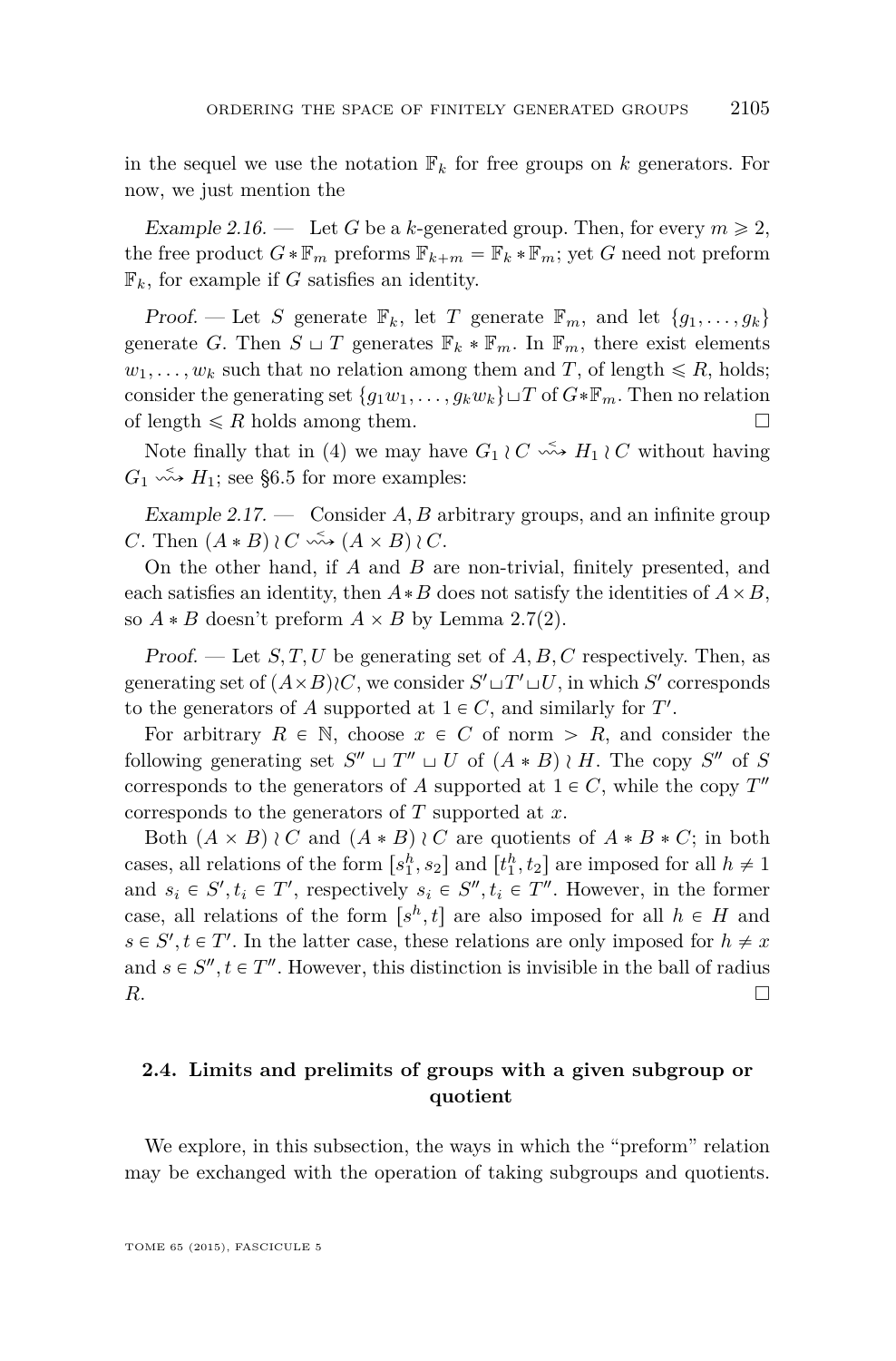<span id="page-15-0"></span>in the sequel we use the notation  $\mathbb{F}_k$  for free groups on k generators. For now, we just mention the

Example 2.16. — Let G be a k-generated group. Then, for every  $m \geq 2$ , the free product  $G * \mathbb{F}_m$  preforms  $\mathbb{F}_{k+m} = \mathbb{F}_k * \mathbb{F}_m$ ; yet *G* need not preform  $\mathbb{F}_k$ , for example if *G* satisfies an identity.

Proof. — Let *S* generate  $\mathbb{F}_k$ , let *T* generate  $\mathbb{F}_m$ , and let  $\{g_1, \ldots, g_k\}$ generate *G*. Then  $S \sqcup T$  generates  $\mathbb{F}_k * \mathbb{F}_m$ . In  $\mathbb{F}_m$ , there exist elements  $w_1, \ldots, w_k$  such that no relation among them and *T*, of length  $\leq R$ , holds; consider the generating set  $\{g_1w_1, \ldots, g_kw_k\}\sqcup T$  of  $G*F_m$ . Then no relation of length  $\leq R$  holds among them.

Note finally that in (4) we may have  $G_1 \wr C \longrightarrow H_1 \wr C$  without having  $G_1 \leftrightarrow H_1$ ; see [§6.5](#page-42-0) for more examples:

Example 2.17. — Consider *A, B* arbitrary groups, and an infinite group *C*. Then  $(A * B) \wr C \longrightarrow (A \times B) \wr C$ .

On the other hand, if *A* and *B* are non-trivial, finitely presented, and each satisfies an identity, then  $A * B$  does not satisfy the identities of  $A \times B$ , so  $A * B$  doesn't preform  $A \times B$  by Lemma [2.7\(](#page-11-0)2).

Proof. — Let *S, T, U* be generating set of *A, B, C* respectively. Then, as generating set of  $(A \times B) \wr C$ , we consider  $S' \sqcup T' \sqcup U$ , in which  $S'$  corresponds to the generators of A supported at  $1 \in C$ , and similarly for *T'*.

For arbitrary  $R \in \mathbb{N}$ , choose  $x \in C$  of norm  $\geq R$ , and consider the following generating set  $S'' \sqcup T'' \sqcup U$  of  $(A * B) \wr H$ . The copy  $S''$  of *S* corresponds to the generators of *A* supported at  $1 \in C$ , while the copy  $T''$ corresponds to the generators of *T* supported at *x*.

Both  $(A \times B) \wr C$  and  $(A * B) \wr C$  are quotients of  $A * B * C$ ; in both cases, all relations of the form  $[s_1^h, s_2]$  and  $[t_1^h, t_2]$  are imposed for all  $h \neq 1$ and  $s_i \in S', t_i \in T'$ , respectively  $s_i \in S'', t_i \in T''$ . However, in the former case, all relations of the form  $[s^h, t]$  are also imposed for all  $h \in H$  and  $s \in S', t \in T'$ . In the latter case, these relations are only imposed for  $h \neq x$ and  $s \in S'', t \in T''$ . However, this distinction is invisible in the ball of radius *R*.

#### **2.4. Limits and prelimits of groups with a given subgroup or quotient**

We explore, in this subsection, the ways in which the "preform" relation may be exchanged with the operation of taking subgroups and quotients.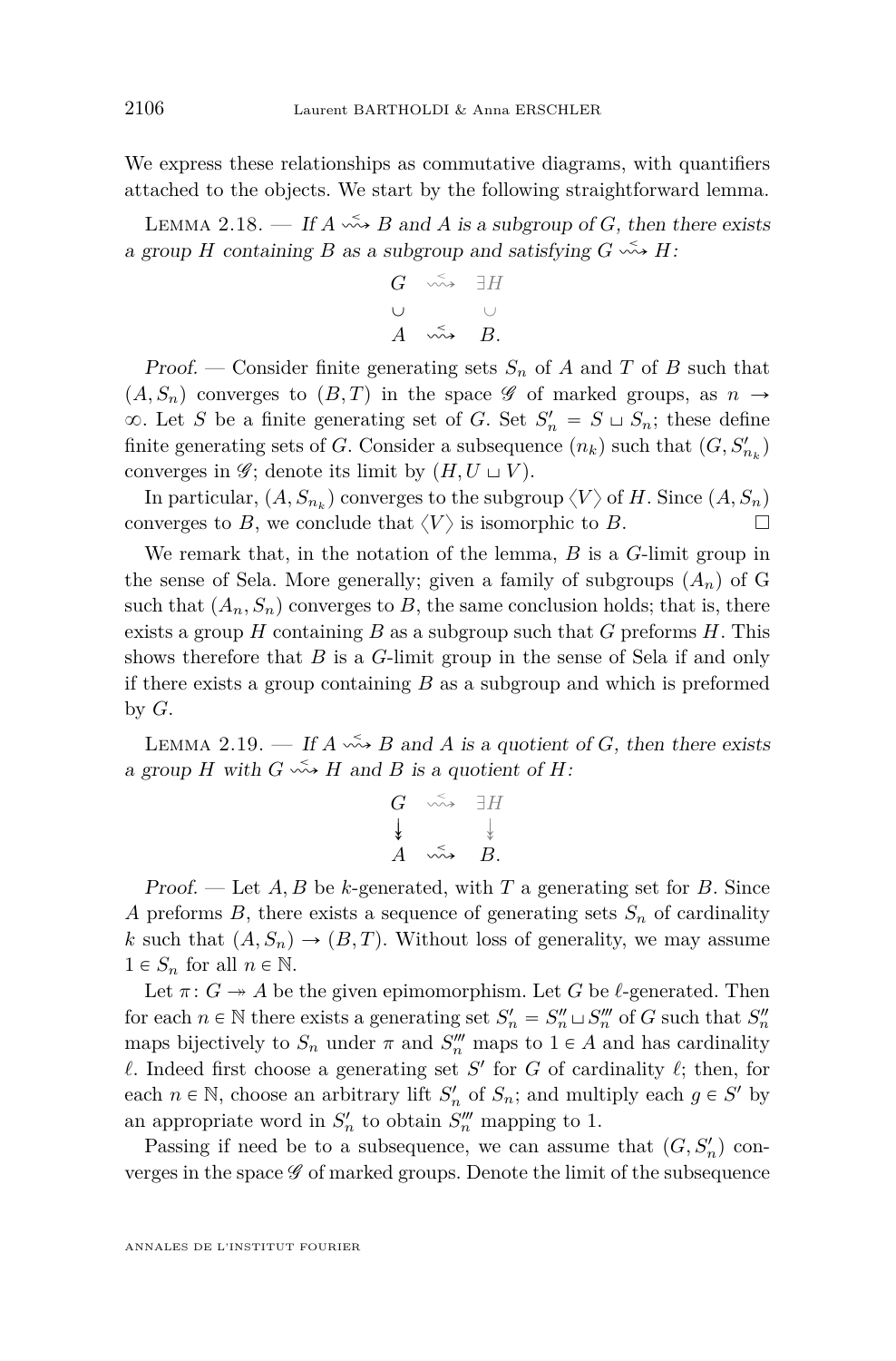<span id="page-16-0"></span>We express these relationships as commutative diagrams, with quantifiers attached to the objects. We start by the following straightforward lemma.

LEMMA 2.18. — If  $A \stackrel{\leq}{\longrightarrow} B$  and  $A$  is a subgroup of  $G$ , then there exists a group *H* containing *B* as a subgroup and satisfying  $G \leftrightarrow H$ :

$$
\begin{array}{ccc}\nG & \stackrel{\sim}{\leadsto} & \exists H \\
\cup & & \cup \\
A & \stackrel{\leq}{\leadsto} & B.\n\end{array}
$$

Proof. — Consider finite generating sets  $S_n$  of A and T of B such that  $(A, S_n)$  converges to  $(B, T)$  in the space G of marked groups, as  $n \to \infty$  $\infty$ . Let *S* be a finite generating set of *G*. Set  $S'_n = S \cup S_n$ ; these define finite generating sets of *G*. Consider a subsequence  $(n_k)$  such that  $(G, S'_{n_k})$ converges in  $\mathscr{G}$ ; denote its limit by  $(H, U \sqcup V)$ .

In particular,  $(A, S_{n_k})$  converges to the subgroup  $\langle V \rangle$  of *H*. Since  $(A, S_n)$ converges to *B*, we conclude that  $\langle V \rangle$  is isomorphic to *B*.

We remark that, in the notation of the lemma, *B* is a *G*-limit group in the sense of Sela. More generally; given a family of subgroups  $(A_n)$  of G such that  $(A_n, S_n)$  converges to *B*, the same conclusion holds; that is, there exists a group *H* containing *B* as a subgroup such that *G* preforms *H*. This shows therefore that *B* is a *G*-limit group in the sense of Sela if and only if there exists a group containing *B* as a subgroup and which is preformed by *G*.

LEMMA 2.19. — If  $A \stackrel{\leq}{\longrightarrow} B$  and  $A$  is a quotient of  $G$ , then there exists a group *H* with  $G \stackrel{\leq}{\leadsto} H$  and *B* is a quotient of *H*:

$$
\begin{array}{ccc}\nG & \stackrel{\sim}{\leadsto} & \exists H \\
\downarrow & & \downarrow \\
A & \stackrel{\leq}{\leadsto} & B.\n\end{array}
$$

Proof. — Let *A, B* be *k*-generated, with *T* a generating set for *B*. Since *A* preforms *B*, there exists a sequence of generating sets  $S_n$  of cardinality *k* such that  $(A, S_n) \to (B, T)$ . Without loss of generality, we may assume  $1 \in S_n$  for all  $n \in \mathbb{N}$ .

Let  $\pi: G \rightarrow A$  be the given epimomorphism. Let *G* be *l*-generated. Then for each  $n \in \mathbb{N}$  there exists a generating set  $S'_n = S''_n \sqcup S'''_n$  of *G* such that  $S''_n$ maps bijectively to  $S_n$  under  $\pi$  and  $S_n^{\prime\prime\prime}$  maps to  $1 \in A$  and has cardinality  $\ell$ . Indeed first choose a generating set *S*<sup> $\prime$ </sup> for *G* of cardinality  $\ell$ ; then, for each  $n \in \mathbb{N}$ , choose an arbitrary lift  $S'_n$  of  $S_n$ ; and multiply each  $g \in S'$  by an appropriate word in  $S_n'$  to obtain  $S_n''$  mapping to 1.

Passing if need be to a subsequence, we can assume that  $(G, S_n)$  converges in the space  $\mathscr G$  of marked groups. Denote the limit of the subsequence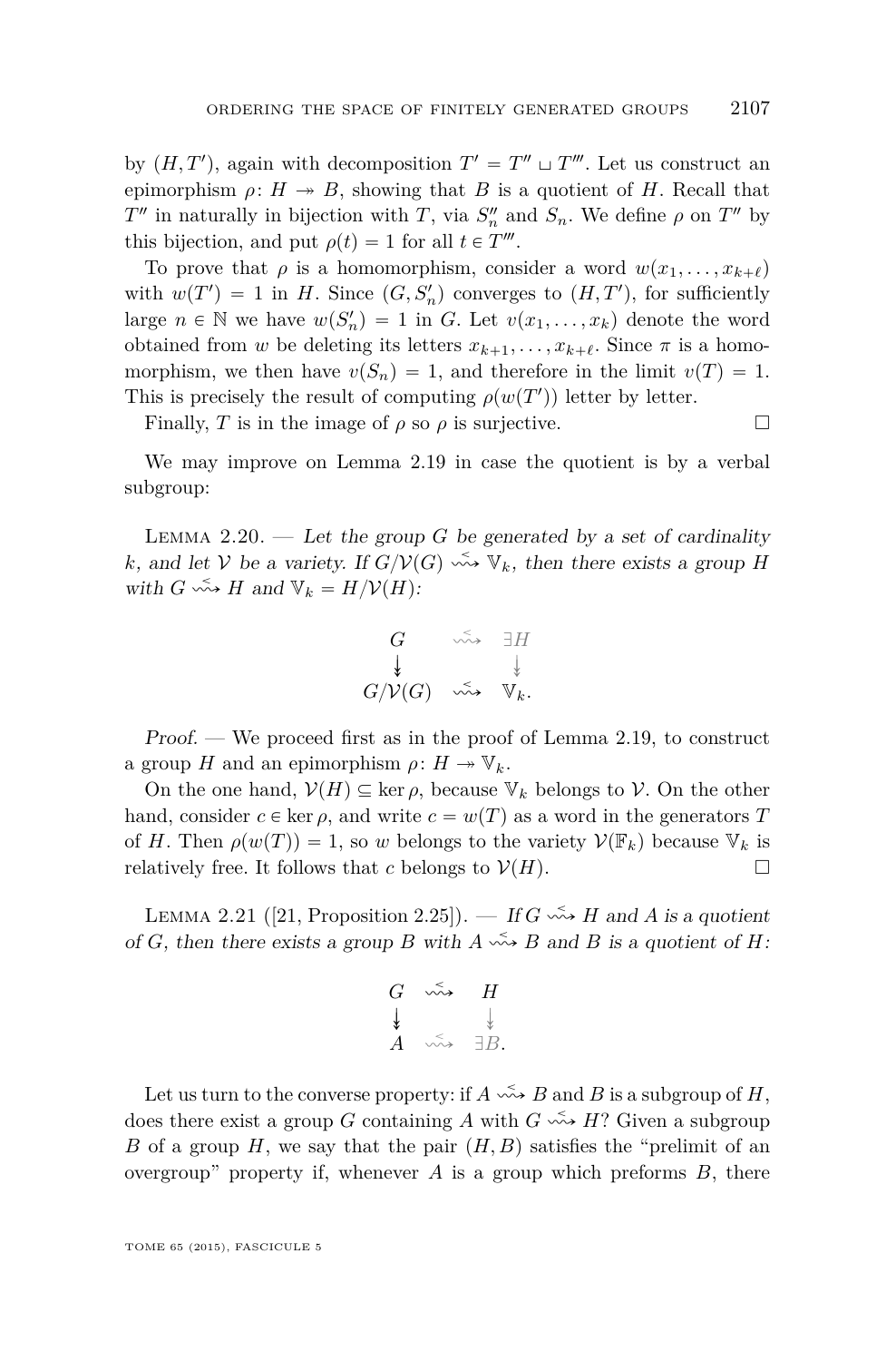<span id="page-17-0"></span>by  $(H, T')$ , again with decomposition  $T' = T'' \sqcup T'''$ . Let us construct an epimorphism  $\rho: H \to B$ , showing that *B* is a quotient of *H*. Recall that *T*<sup>*n*</sup> in naturally in bijection with *T*, via  $S_n^{\prime\prime}$  and  $S_n$ . We define  $\rho$  on *T*<sup>*n*</sup> by this bijection, and put  $\rho(t) = 1$  for all  $t \in T^{\prime\prime\prime}$ .

To prove that  $\rho$  is a homomorphism, consider a word  $w(x_1, \ldots, x_{k+\ell})$ with  $w(T') = 1$  in *H*. Since  $(G, S'_n)$  converges to  $(H, T')$ , for sufficiently large  $n \in \mathbb{N}$  we have  $w(S'_n) = 1$  in *G*. Let  $v(x_1, \ldots, x_k)$  denote the word obtained from *w* be deleting its letters  $x_{k+1}, \ldots, x_{k+\ell}$ . Since  $\pi$  is a homomorphism, we then have  $v(S_n) = 1$ , and therefore in the limit  $v(T) = 1$ . This is precisely the result of computing  $\rho(w(T'))$  letter by letter.

Finally, *T* is in the image of  $\rho$  so  $\rho$  is surjective.

We may improve on Lemma [2.19](#page-16-0) in case the quotient is by a verbal subgroup:

LEMMA 2.20. — Let the group *G* be generated by a set of cardinality *k*, and let  $V$  be a variety. If  $G/V(G) \longrightarrow V_k$ , then there exists a group *H* with  $G \rightsquigarrow H$  and  $V_k = H/V(H)$ :

$$
\begin{array}{ccc}\nG & \stackrel{\sim}{\leadsto} & \exists H \\
\downarrow & & \downarrow \\
G/\mathcal{V}(G) & \stackrel{\leq}{\leadsto} & \mathbb{V}_k.\n\end{array}
$$

Proof. — We proceed first as in the proof of Lemma [2.19,](#page-16-0) to construct a group *H* and an epimorphism  $\rho: H \to \mathbb{V}_k$ .

On the one hand,  $V(H) \subseteq \text{ker } \rho$ , because  $V_k$  belongs to V. On the other hand, consider  $c \in \text{ker } \rho$ , and write  $c = w(T)$  as a word in the generators T of *H*. Then  $\rho(w(T)) = 1$ , so *w* belongs to the variety  $V(\mathbb{F}_k)$  because  $V_k$  is relatively free. It follows that *c* belongs to  $V(H)$ .

LEMMA 2.21 ([\[21,](#page-52-0) Proposition 2.25]). — If  $G \leftrightarrow H$  and A is a quotient of *G*, then there exists a group *B* with  $A \xrightarrow{\sim} B$  and *B* is a quotient of *H*:

$$
\begin{array}{ccc}\nG & \stackrel{\sim}{\leadsto} & H \\
\downarrow & & \downarrow \\
A & \stackrel{\scriptstyle\sim}{\leadsto} & \exists B.\n\end{array}
$$

Let us turn to the converse property: if  $A \xrightarrow{\sim} B$  and *B* is a subgroup of *H*, does there exist a group *G* containing *A* with  $G \leftrightarrow H$ ? Given a subgroup *B* of a group *H*, we say that the pair  $(H, B)$  satisfies the "prelimit of an overgroup" property if, whenever *A* is a group which preforms *B*, there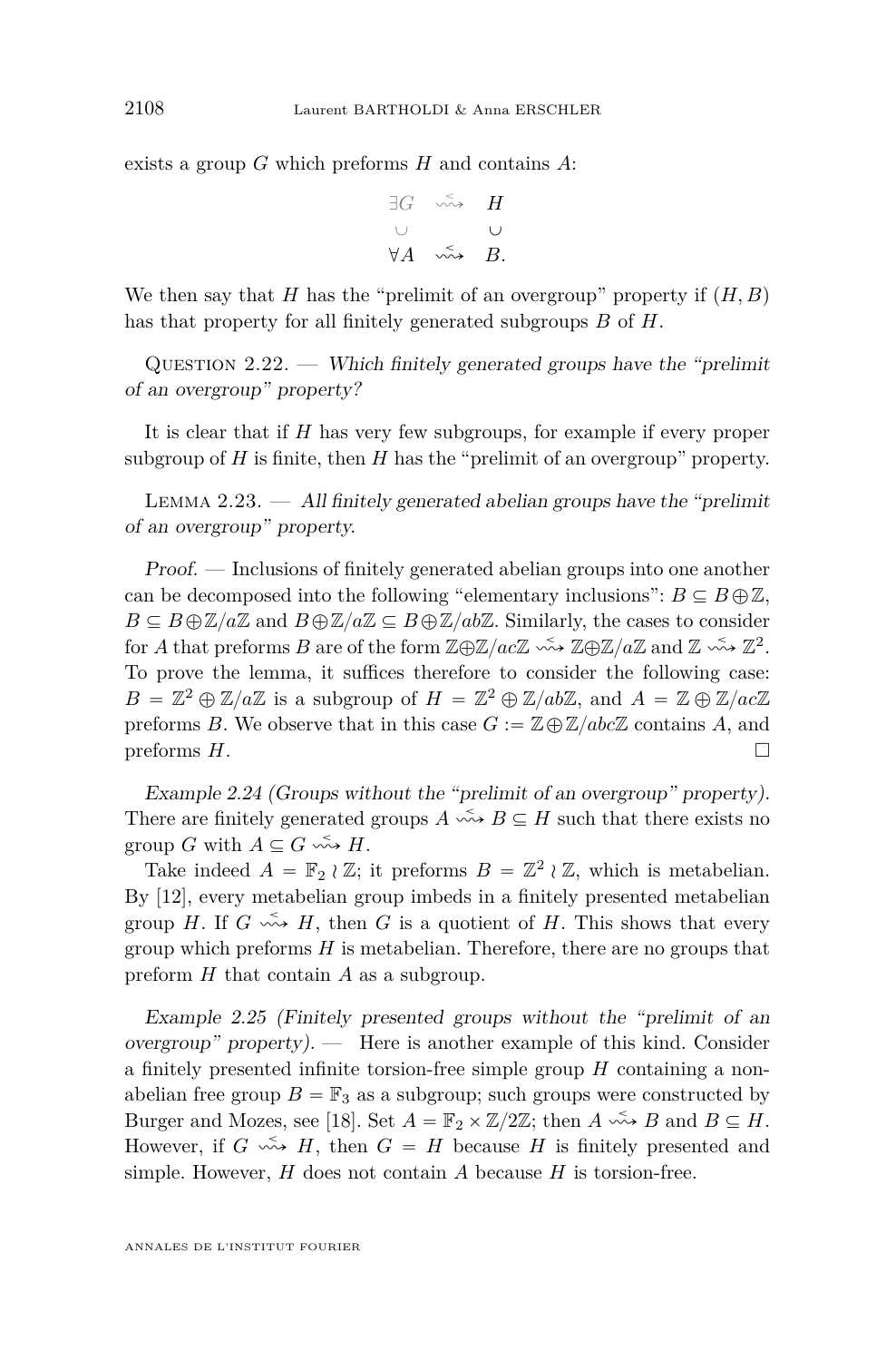exists a group *G* which preforms *H* and contains *A*:

$$
\exists G \quad \leadsto \quad H
$$
  

$$
\cup \qquad \qquad \cup
$$
  

$$
\forall A \quad \leadsto \quad B.
$$

We then say that *H* has the "prelimit of an overgroup" property if  $(H, B)$ has that property for all finitely generated subgroups *B* of *H*.

QUESTION  $2.22.$  — Which finitely generated groups have the "prelimit" of an overgroup" property?

It is clear that if *H* has very few subgroups, for example if every proper subgroup of *H* is finite, then *H* has the "prelimit of an overgroup" property.

LEMMA 2.23.  $\frac{d}{dt}$  All finitely generated abelian groups have the "prelimit" of an overgroup" property.

Proof. — Inclusions of finitely generated abelian groups into one another can be decomposed into the following "elementary inclusions":  $B \subseteq B \oplus \mathbb{Z}$ ,  $B \subseteq B \oplus \mathbb{Z}/a\mathbb{Z}$  and  $B \oplus \mathbb{Z}/a\mathbb{Z} \subseteq B \oplus \mathbb{Z}/ab\mathbb{Z}$ . Similarly, the cases to consider for *A* that preforms *B* are of the form  $\mathbb{Z} \oplus \mathbb{Z}/ac\mathbb{Z} \longrightarrow \mathbb{Z} \oplus \mathbb{Z}/a\mathbb{Z}$  and  $\mathbb{Z} \longrightarrow \mathbb{Z}^2$ . To prove the lemma, it suffices therefore to consider the following case:  $B = \mathbb{Z}^2 \oplus \mathbb{Z}/a\mathbb{Z}$  is a subgroup of  $H = \mathbb{Z}^2 \oplus \mathbb{Z}/ab\mathbb{Z}$ , and  $A = \mathbb{Z} \oplus \mathbb{Z}/ac\mathbb{Z}$ preforms *B*. We observe that in this case  $G := \mathbb{Z} \oplus \mathbb{Z}/abc\mathbb{Z}$  contains *A*, and preforms *H*.

Example 2.24 (Groups without the "prelimit of an overgroup" property). There are finitely generated groups  $A \xrightarrow{\sim} B \subseteq H$  such that there exists no group *G* with  $A \subseteq G \longrightarrow H$ .

Take indeed  $A = \mathbb{F}_2 \wr \mathbb{Z}$ ; it preforms  $B = \mathbb{Z}^2 \wr \mathbb{Z}$ , which is metabelian. By [\[12\]](#page-52-0), every metabelian group imbeds in a finitely presented metabelian group *H*. If  $G \xrightarrow{\sim} H$ , then *G* is a quotient of *H*. This shows that every group which preforms *H* is metabelian. Therefore, there are no groups that preform *H* that contain *A* as a subgroup.

Example 2.25 (Finitely presented groups without the "prelimit of an overgroup" property). — Here is another example of this kind. Consider a finitely presented infinite torsion-free simple group *H* containing a nonabelian free group  $B = \mathbb{F}_3$  as a subgroup; such groups were constructed by Burger and Mozes, see [\[18\]](#page-52-0). Set  $A = \mathbb{F}_2 \times \mathbb{Z}/2\mathbb{Z}$ ; then  $A \leftrightarrow B$  and  $B \subseteq H$ . However, if  $G \leftrightarrow H$ , then  $G = H$  because *H* is finitely presented and simple. However, *H* does not contain *A* because *H* is torsion-free.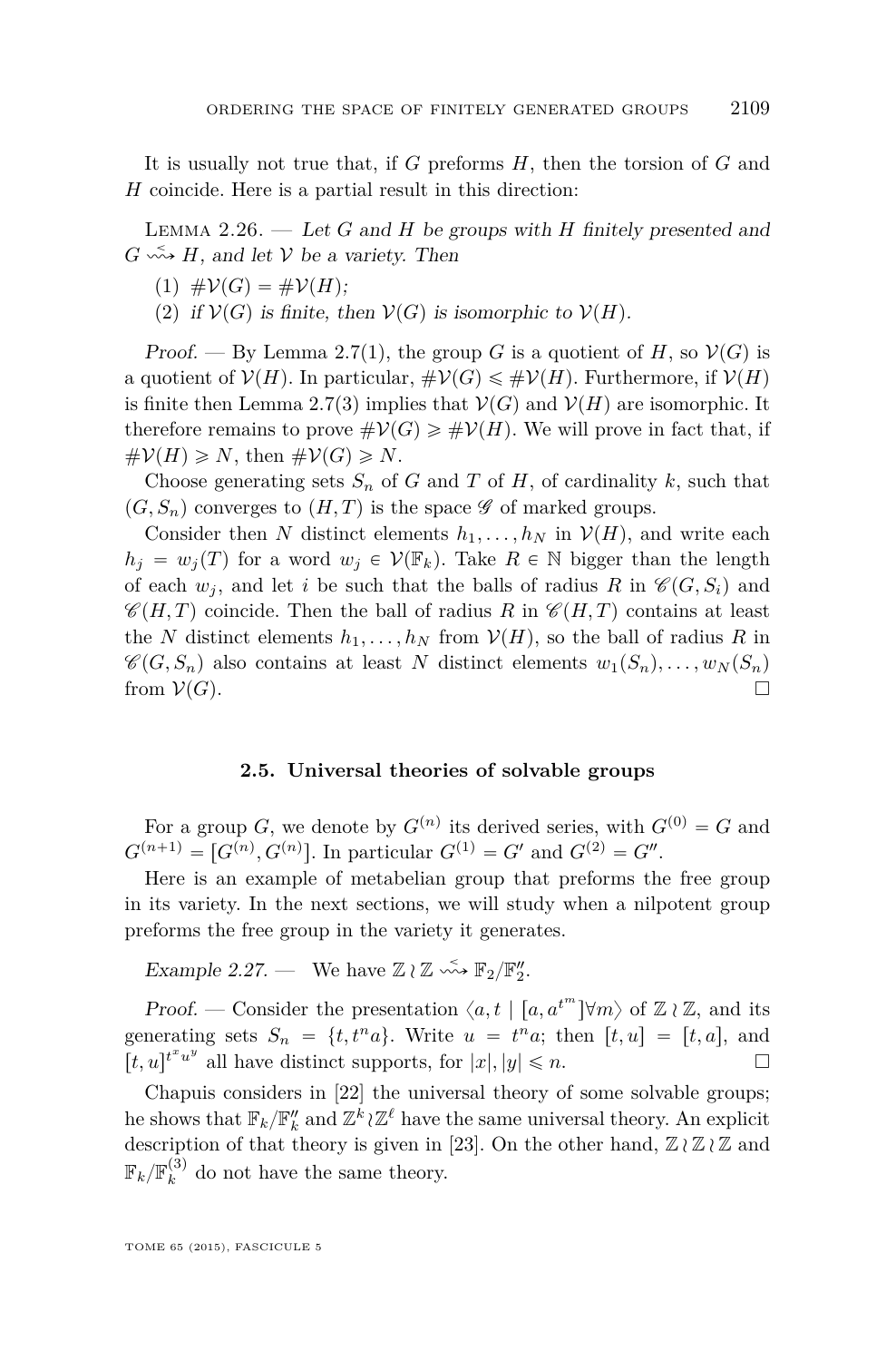<span id="page-19-0"></span>It is usually not true that, if *G* preforms *H*, then the torsion of *G* and *H* coincide. Here is a partial result in this direction:

Lemma 2.26. — Let *G* and *H* be groups with *H* finitely presented and  $G \nightharpoonup H$ , and let V be a variety. Then

$$
(1) \#V(G) = \#V(H);
$$

(2) if  $\mathcal{V}(G)$  is finite, then  $\mathcal{V}(G)$  is isomorphic to  $\mathcal{V}(H)$ .

Proof. — By Lemma [2.7\(](#page-11-0)1), the group *G* is a quotient of *H*, so  $V(G)$  is a quotient of  $V(H)$ . In particular,  $\#V(G) \leq \#V(H)$ . Furthermore, if  $V(H)$ is finite then Lemma [2.7\(](#page-11-0)3) implies that  $V(G)$  and  $V(H)$  are isomorphic. It therefore remains to prove  $\#\mathcal{V}(G) \geq \#\mathcal{V}(H)$ . We will prove in fact that, if  $\#\mathcal{V}(H) \geqslant N$ , then  $\#\mathcal{V}(G) \geqslant N$ .

Choose generating sets  $S_n$  of *G* and *T* of *H*, of cardinality *k*, such that  $(G, S_n)$  converges to  $(H, T)$  is the space  $\mathscr G$  of marked groups.

Consider then *N* distinct elements  $h_1, \ldots, h_N$  in  $V(H)$ , and write each  $h_j = w_j(T)$  for a word  $w_j \in V(\mathbb{F}_k)$ . Take  $R \in \mathbb{N}$  bigger than the length of each  $w_i$ , and let *i* be such that the balls of radius R in  $\mathcal{C}(G, S_i)$  and  $\mathscr{C}(H,T)$  coincide. Then the ball of radius *R* in  $\mathscr{C}(H,T)$  contains at least the *N* distinct elements  $h_1, \ldots, h_N$  from  $V(H)$ , so the ball of radius *R* in  $\mathscr{C}(G, S_n)$  also contains at least *N* distinct elements  $w_1(S_n), \ldots, w_N(S_n)$ from  $\mathcal{V}(G)$ .

#### **2.5. Universal theories of solvable groups**

For a group *G*, we denote by  $G^{(n)}$  its derived series, with  $G^{(0)} = G$  and  $G^{(n+1)} = [G^{(n)}, G^{(n)}]$ . In particular  $G^{(1)} = G'$  and  $G^{(2)} = G''$ .

Here is an example of metabelian group that preforms the free group in its variety. In the next sections, we will study when a nilpotent group preforms the free group in the variety it generates.

Example 2.27. — We have  $\mathbb{Z} \wr \mathbb{Z} \longrightarrow \mathbb{F}_2/\mathbb{F}_2''$ .

*Proof.* — Consider the presentation  $\langle a, t | [a, a^{t^m}] \forall m \rangle$  of  $\mathbb{Z} \wr \mathbb{Z}$ , and its generating sets  $S_n = \{t, t^n a\}$ . Write  $u = t^n a$ ; then  $[t, u] = [t, a]$ , and  $[t, u]$ <sup>*t*</sup><sup>*x*</sup><sup>*u*</sup> all have distinct supports, for  $|x|, |y| \le n$ .

Chapuis considers in [\[22\]](#page-52-0) the universal theory of some solvable groups; he shows that  $\mathbb{F}_k/\mathbb{F}_k''$  and  $\mathbb{Z}^k \wr \mathbb{Z}^\ell$  have the same universal theory. An explicit description of that theory is given in [\[23\]](#page-52-0). On the other hand,  $\mathbb{Z} \wr \mathbb{Z} \wr \mathbb{Z}$  and  $\mathbb{F}_k/\mathbb{F}_k^{(3)}$  do not have the same theory.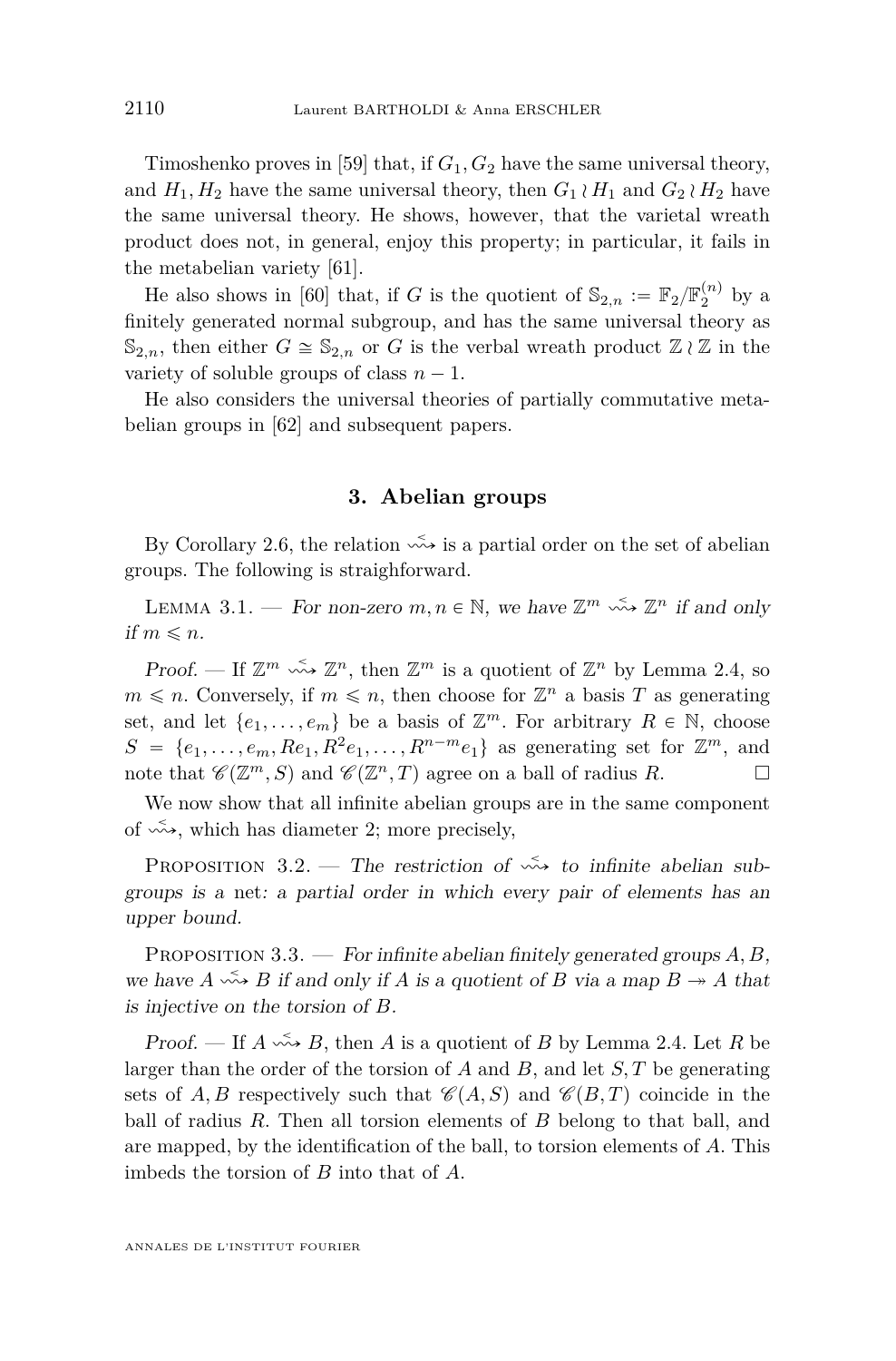<span id="page-20-0"></span>Timoshenko proves in [\[59\]](#page-54-0) that, if *G*1*, G*<sup>2</sup> have the same universal theory, and  $H_1, H_2$  have the same universal theory, then  $G_1 \wr H_1$  and  $G_2 \wr H_2$  have the same universal theory. He shows, however, that the varietal wreath product does not, in general, enjoy this property; in particular, it fails in the metabelian variety [\[61\]](#page-54-0).

He also shows in [\[60\]](#page-54-0) that, if *G* is the quotient of  $\mathbb{S}_{2,n} := \mathbb{F}_2 / \mathbb{F}_2^{(n)}$  by a finitely generated normal subgroup, and has the same universal theory as  $\mathbb{S}_{2,n}$ , then either  $G \cong \mathbb{S}_{2,n}$  or *G* is the verbal wreath product  $\mathbb{Z} \wr \mathbb{Z}$  in the variety of soluble groups of class  $n - 1$ .

He also considers the universal theories of partially commutative metabelian groups in [\[62\]](#page-54-0) and subsequent papers.

#### **3. Abelian groups**

By Corollary [2.6,](#page-10-0) the relation  $\stackrel{\sim}{\leadsto}$  is a partial order on the set of abelian groups. The following is straighforward.

LEMMA 3.1. – For non-zero  $m, n \in \mathbb{N}$ , we have  $\mathbb{Z}^m \xrightarrow{\sim} \mathbb{Z}^n$  if and only if  $m \leq n$ .

Proof. — If  $\mathbb{Z}^m \xrightarrow{\sim} \mathbb{Z}^n$ , then  $\mathbb{Z}^m$  is a quotient of  $\mathbb{Z}^n$  by Lemma [2.4,](#page-9-0) so  $m \leq n$ . Conversely, if  $m \leq n$ , then choose for  $\mathbb{Z}^n$  a basis *T* as generating set, and let  $\{e_1, \ldots, e_m\}$  be a basis of  $\mathbb{Z}^m$ . For arbitrary  $R \in \mathbb{N}$ , choose  $S = \{e_1, \ldots, e_m, Re_1, R^2e_1, \ldots, R^{n-m}e_1\}$  as generating set for  $\mathbb{Z}^m$ , and note that  $\mathscr{C}(\mathbb{Z}^m, S)$  and  $\mathscr{C}(\mathbb{Z}^n, T)$  agree on a ball of radius *R*.

We now show that all infinite abelian groups are in the same component of  $\sim$ , which has diameter 2; more precisely,

PROPOSITION 3.2. — The restriction of  $\stackrel{\leq}{\leadsto}$  to infinite abelian subgroups is a net: a partial order in which every pair of elements has an upper bound.

Proposition 3.3. — For infinite abelian finitely generated groups *A, B*, we have  $A \xrightarrow{\sim} B$  if and only if A is a quotient of B via a map  $B \to A$  that is injective on the torsion of *B*.

Proof. — If  $A \stackrel{\leq}{\leadsto} B$ , then A is a quotient of B by Lemma [2.4.](#page-9-0) Let R be larger than the order of the torsion of *A* and *B*, and let *S, T* be generating sets of A, B respectively such that  $\mathcal{C}(A, S)$  and  $\mathcal{C}(B, T)$  coincide in the ball of radius *R*. Then all torsion elements of *B* belong to that ball, and are mapped, by the identification of the ball, to torsion elements of *A*. This imbeds the torsion of *B* into that of *A*.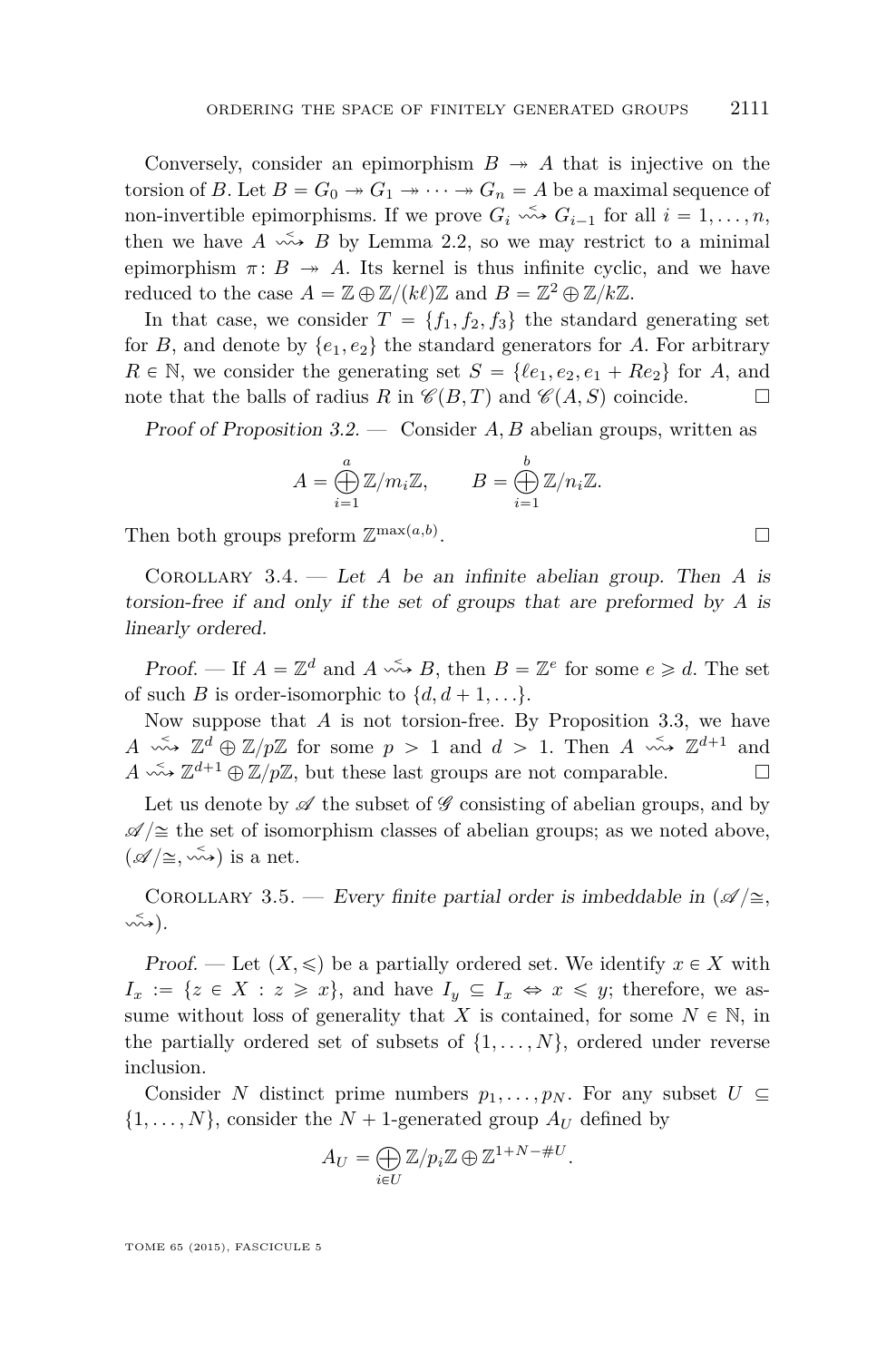<span id="page-21-0"></span>Conversely, consider an epimorphism  $B \rightarrow A$  that is injective on the torsion of *B*. Let  $B = G_0 \rightarrow G_1 \rightarrow \cdots \rightarrow G_n = A$  be a maximal sequence of non-invertible epimorphisms. If we prove  $G_i \leftrightarrow G_{i-1}$  for all  $i = 1, \ldots, n$ , then we have  $A \xrightarrow{\prec} B$  by Lemma [2.2,](#page-9-0) so we may restrict to a minimal epimorphism  $\pi: B \rightarrow A$ . Its kernel is thus infinite cyclic, and we have reduced to the case  $A = \mathbb{Z} \oplus \mathbb{Z}/(k\ell)\mathbb{Z}$  and  $B = \mathbb{Z}^2 \oplus \mathbb{Z}/k\mathbb{Z}$ .

In that case, we consider  $T = \{f_1, f_2, f_3\}$  the standard generating set for *B*, and denote by  $\{e_1, e_2\}$  the standard generators for *A*. For arbitrary  $R \in \mathbb{N}$ , we consider the generating set  $S = \{ \ell e_1, e_2, e_1 + Re_2 \}$  for *A*, and note that the balls of radius *R* in  $\mathcal{C}(B,T)$  and  $\mathcal{C}(A, S)$  coincide.

Proof of Proposition [3.2.](#page-20-0) — Consider *A, B* abelian groups, written as

$$
A = \bigoplus_{i=1}^{a} \mathbb{Z}/m_i\mathbb{Z}, \qquad B = \bigoplus_{i=1}^{b} \mathbb{Z}/n_i\mathbb{Z}.
$$

Then both groups preform  $\mathbb{Z}^{\max(a,b)}$ 

Corollary 3.4. — Let *A* be an infinite abelian group. Then *A* is torsion-free if and only if the set of groups that are preformed by *A* is linearly ordered.

*Proof.* — If  $A = \mathbb{Z}^d$  and  $A \stackrel{\leq}{\sim} B$ , then  $B = \mathbb{Z}^e$  for some  $e \geq d$ . The set of such *B* is order-isomorphic to  $\{d, d+1, ...\}$ .

Now suppose that *A* is not torsion-free. By Proposition [3.3,](#page-20-0) we have  $A \stackrel{\leq}{\longrightarrow} \mathbb{Z}^d \oplus \mathbb{Z}/p\mathbb{Z}$  for some  $p > 1$  and  $d > 1$ . Then  $A \stackrel{\leq}{\longrightarrow} \mathbb{Z}^{d+1}$  and  $A \stackrel{\leq}{\longrightarrow} \mathbb{Z}^{d+1} \oplus \mathbb{Z}/p\mathbb{Z}$ , but these last groups are not comparable.

Let us denote by  $\mathscr A$  the subset of  $\mathscr G$  consisting of abelian groups, and by  $\mathscr{A}/\cong$  the set of isomorphism classes of abelian groups; as we noted above,  $(\mathscr{A}/\cong, \stackrel{\sim}{\leadsto})$  is a net.

COROLLARY 3.5. — Every finite partial order is imbeddable in  $(\mathscr{A}/\cong,$ ù<sup>ă</sup> q.

Proof. — Let  $(X, \leq)$  be a partially ordered set. We identify  $x \in X$  with  $I_x := \{z \in X : z \geq x\}$ , and have  $I_y \subseteq I_x \Leftrightarrow x \leq y$ ; therefore, we assume without loss of generality that *X* is contained, for some  $N \in \mathbb{N}$ , in the partially ordered set of subsets of  $\{1, \ldots, N\}$ , ordered under reverse inclusion.

Consider *N* distinct prime numbers  $p_1, \ldots, p_N$ . For any subset  $U \subseteq$  $\{1, \ldots, N\}$ , consider the  $N + 1$ -generated group  $A_U$  defined by à

$$
A_U = \bigoplus_{i \in U} \mathbb{Z}/p_i \mathbb{Z} \oplus \mathbb{Z}^{1+N-\#U}.
$$

.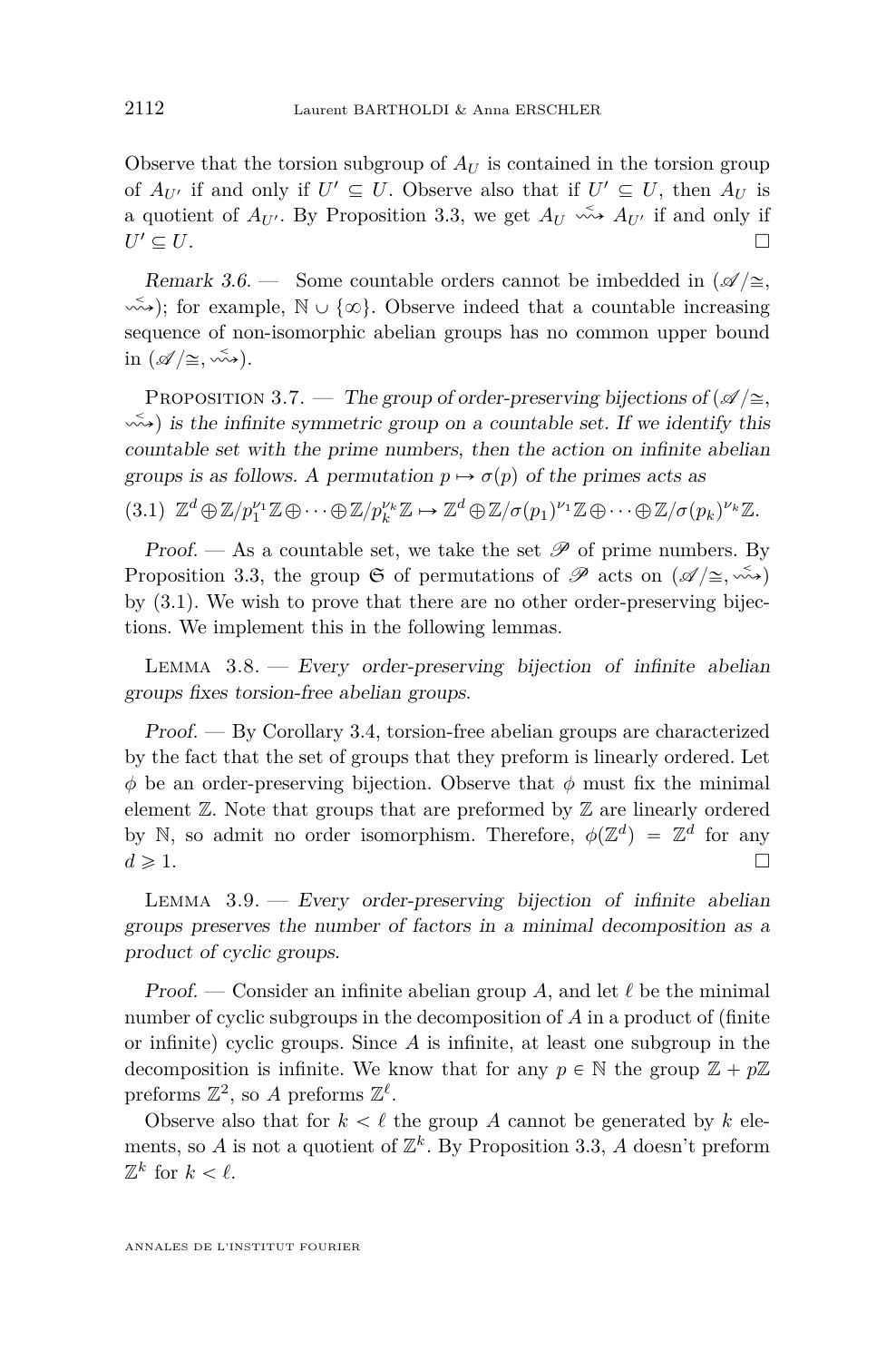<span id="page-22-0"></span>Observe that the torsion subgroup of  $A_U$  is contained in the torsion group of  $A_{U'}$  if and only if  $U' \subseteq U$ . Observe also that if  $U' \subseteq U$ , then  $A_U$  is a quotient of  $A_{U}$ . By Proposition [3.3,](#page-20-0) we get  $A_{U} \xrightarrow{\sim} A_{U}$  if and only if  $U' \subseteq U$ .  $\mathcal{U} \subseteq U.$ 

Remark 3.6. — Some countable orders cannot be imbedded in  $\mathcal{A}/\cong$ ,  $\sim$   $\rightarrow$ ); for example,  $\mathbb{N} \cup \{\infty\}$ . Observe indeed that a countable increasing sequence of non-isomorphic abelian groups has no common upper bound in  $(\mathscr{A}/\cong, \stackrel{\sim}{\leadsto}).$ 

PROPOSITION 3.7. — The group of order-preserving bijections of  $\mathscr{A}/\cong$ ,  $\sim$  is the infinite symmetric group on a countable set. If we identify this countable set with the prime numbers, then the action on infinite abelian groups is as follows. A permutation  $p \mapsto \sigma(p)$  of the primes acts as

 $(3.1)$   $\mathbb{Z}^d \oplus \mathbb{Z}/p_1^{\nu_1} \mathbb{Z} \oplus \cdots \oplus \mathbb{Z}/p_k^{\nu_k} \mathbb{Z} \mapsto \mathbb{Z}^d \oplus \mathbb{Z}/\sigma(p_1)^{\nu_1} \mathbb{Z} \oplus \cdots \oplus \mathbb{Z}/\sigma(p_k)^{\nu_k} \mathbb{Z}.$ 

Proof. — As a countable set, we take the set  $\mathscr P$  of prime numbers. By Proposition [3.3,](#page-20-0) the group  $\mathfrak S$  of permutations of  $\mathscr P$  acts on  $(\mathscr A/\cong,\stackrel{\sim}{\leadsto})$ by (3.1). We wish to prove that there are no other order-preserving bijections. We implement this in the following lemmas.

LEMMA  $3.8.$  – Every order-preserving bijection of infinite abelian groups fixes torsion-free abelian groups.

Proof. — By Corollary [3.4,](#page-21-0) torsion-free abelian groups are characterized by the fact that the set of groups that they preform is linearly ordered. Let *φ* be an order-preserving bijection. Observe that *φ* must fix the minimal element  $\mathbb{Z}$ . Note that groups that are preformed by  $\mathbb{Z}$  are linearly ordered by N, so admit no order isomorphism. Therefore,  $\phi(\mathbb{Z}^d) = \mathbb{Z}^d$  for any  $d \geqslant 1.$ 

LEMMA  $3.9.$  – Every order-preserving bijection of infinite abelian groups preserves the number of factors in a minimal decomposition as a product of cyclic groups.

Proof. — Consider an infinite abelian group A, and let  $\ell$  be the minimal number of cyclic subgroups in the decomposition of *A* in a product of (finite or infinite) cyclic groups. Since *A* is infinite, at least one subgroup in the decomposition is infinite. We know that for any  $p \in \mathbb{N}$  the group  $\mathbb{Z} + p\mathbb{Z}$ preforms  $\mathbb{Z}^2$ , so A preforms  $\mathbb{Z}^{\ell}$ .

Observe also that for  $k < \ell$  the group *A* cannot be generated by *k* elements, so *A* is not a quotient of  $\mathbb{Z}^k$ . By Proposition [3.3,](#page-20-0) *A* doesn't preform  $\mathbb{Z}^k$  for  $k < \ell$ .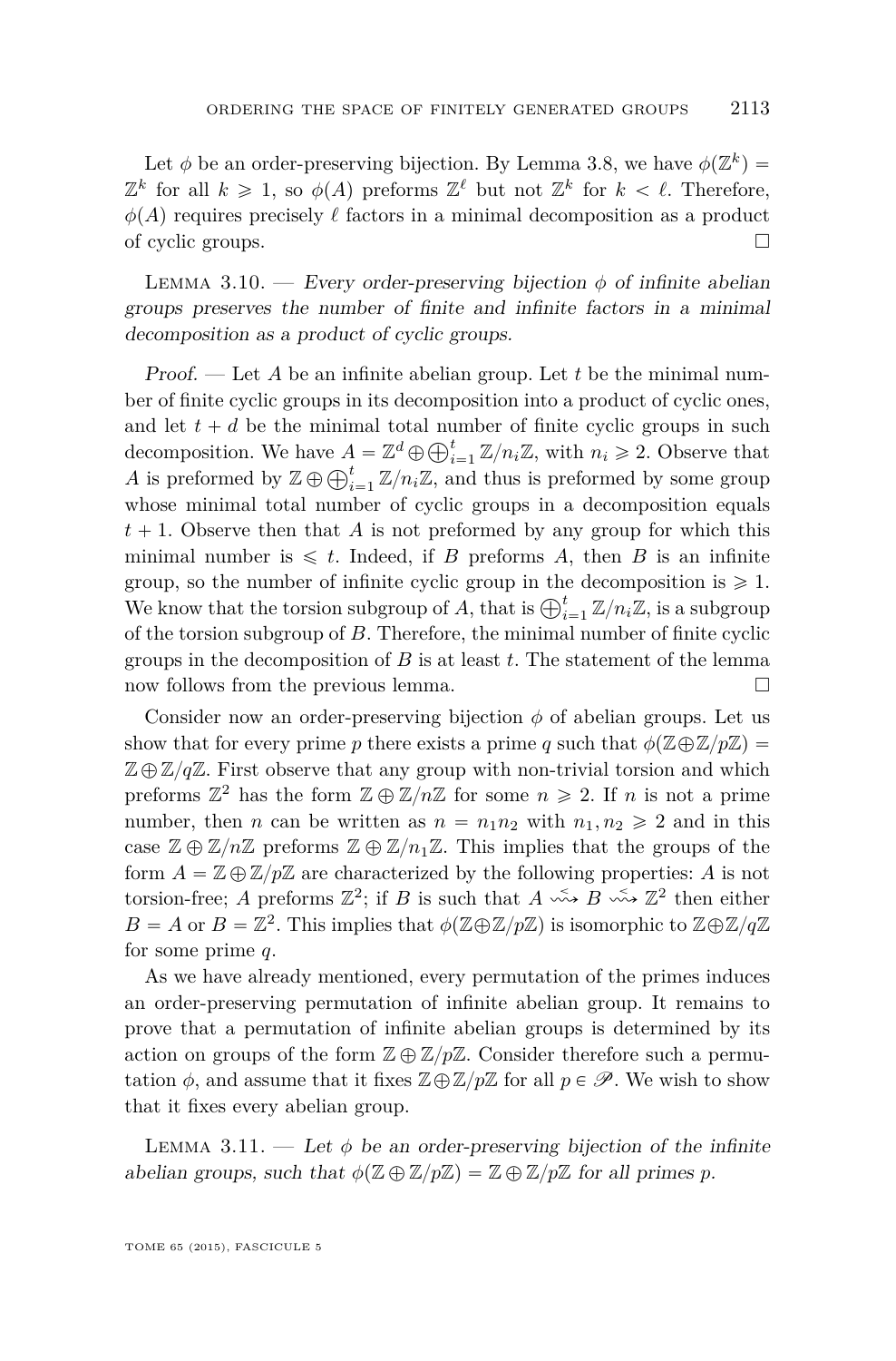<span id="page-23-0"></span>Let  $\phi$  be an order-preserving bijection. By Lemma [3.8,](#page-22-0) we have  $\phi(\mathbb{Z}^k)$  =  $\mathbb{Z}^k$  for all  $k \geq 1$ , so  $\phi(A)$  preforms  $\mathbb{Z}^{\ell}$  but not  $\mathbb{Z}^k$  for  $k < \ell$ . Therefore,  $\phi(A)$  requires precisely  $\ell$  factors in a minimal decomposition as a product of cyclic groups.  $\Box$ 

LEMMA 3.10. — Every order-preserving bijection  $\phi$  of infinite abelian groups preserves the number of finite and infinite factors in a minimal decomposition as a product of cyclic groups.

Proof. — Let *A* be an infinite abelian group. Let *t* be the minimal number of finite cyclic groups in its decomposition into a product of cyclic ones, and let  $t + d$  be the minimal total number of finite cyclic groups in such and let  $t + a$  be the minimal total number of finite cyclic groups in such decomposition. We have  $A = \mathbb{Z}^d \oplus \bigoplus_{i=1}^t \mathbb{Z}/n_i \mathbb{Z}$ , with  $n_i \geq 2$ . Observe that decomposition. We have  $A = \mathbb{Z}^* \oplus \bigoplus_{i=1}^t \mathbb{Z}/n_i\mathbb{Z}$ , with  $n_i \geq 2$ . Observe that A is preformed by  $\mathbb{Z} \oplus \bigoplus_{i=1}^t \mathbb{Z}/n_i\mathbb{Z}$ , and thus is preformed by some group whose minimal total number of cyclic groups in a decomposition equals  $t + 1$ . Observe then that *A* is not preformed by any group for which this minimal number is  $\leq t$ . Indeed, if *B* preforms *A*, then *B* is an infinite group, so the number of infinite cyclic group in the decomposition is  $\geq 1$ . group, so the number of infinite cyclic group in the decomposition is  $\geq 1$ .<br>We know that the torsion subgroup of *A*, that is  $\bigoplus_{i=1}^{t} \mathbb{Z}/n_i \mathbb{Z}$ , is a subgroup of the torsion subgroup of *B*. Therefore, the minimal number of finite cyclic groups in the decomposition of *B* is at least *t*. The statement of the lemma now follows from the previous lemma.

Consider now an order-preserving bijection  $\phi$  of abelian groups. Let us show that for every prime *p* there exists a prime *q* such that  $\phi(\mathbb{Z}\oplus\mathbb{Z}/p\mathbb{Z})=$  $\mathbb{Z} \oplus \mathbb{Z}/q\mathbb{Z}$ . First observe that any group with non-trivial torsion and which preforms  $\mathbb{Z}^2$  has the form  $\mathbb{Z} \oplus \mathbb{Z}/n\mathbb{Z}$  for some  $n \geqslant 2$ . If *n* is not a prime number, then *n* can be written as  $n = n_1 n_2$  with  $n_1, n_2 \geq 2$  and in this case  $\mathbb{Z} \oplus \mathbb{Z}/n\mathbb{Z}$  preforms  $\mathbb{Z} \oplus \mathbb{Z}/n_1\mathbb{Z}$ . This implies that the groups of the form  $A = \mathbb{Z} \oplus \mathbb{Z}/p\mathbb{Z}$  are characterized by the following properties: A is not torsion-free; *A* preforms  $\mathbb{Z}^2$ ; if *B* is such that  $A \xrightarrow{\sim} B \xrightarrow{\sim} \mathbb{Z}^2$  then either  $B = A$  or  $B = \mathbb{Z}^2$ . This implies that  $\phi(\mathbb{Z} \oplus \mathbb{Z}/p\mathbb{Z})$  is isomorphic to  $\mathbb{Z} \oplus \mathbb{Z}/q\mathbb{Z}$ for some prime *q*.

As we have already mentioned, every permutation of the primes induces an order-preserving permutation of infinite abelian group. It remains to prove that a permutation of infinite abelian groups is determined by its action on groups of the form  $\mathbb{Z} \oplus \mathbb{Z}/p\mathbb{Z}$ . Consider therefore such a permutation  $\phi$ , and assume that it fixes  $\mathbb{Z}\oplus\mathbb{Z}/p\mathbb{Z}$  for all  $p \in \mathscr{P}$ . We wish to show that it fixes every abelian group.

LEMMA 3.11. — Let  $\phi$  be an order-preserving bijection of the infinite abelian groups, such that  $\phi(\mathbb{Z} \oplus \mathbb{Z}/p\mathbb{Z}) = \mathbb{Z} \oplus \mathbb{Z}/p\mathbb{Z}$  for all primes *p*.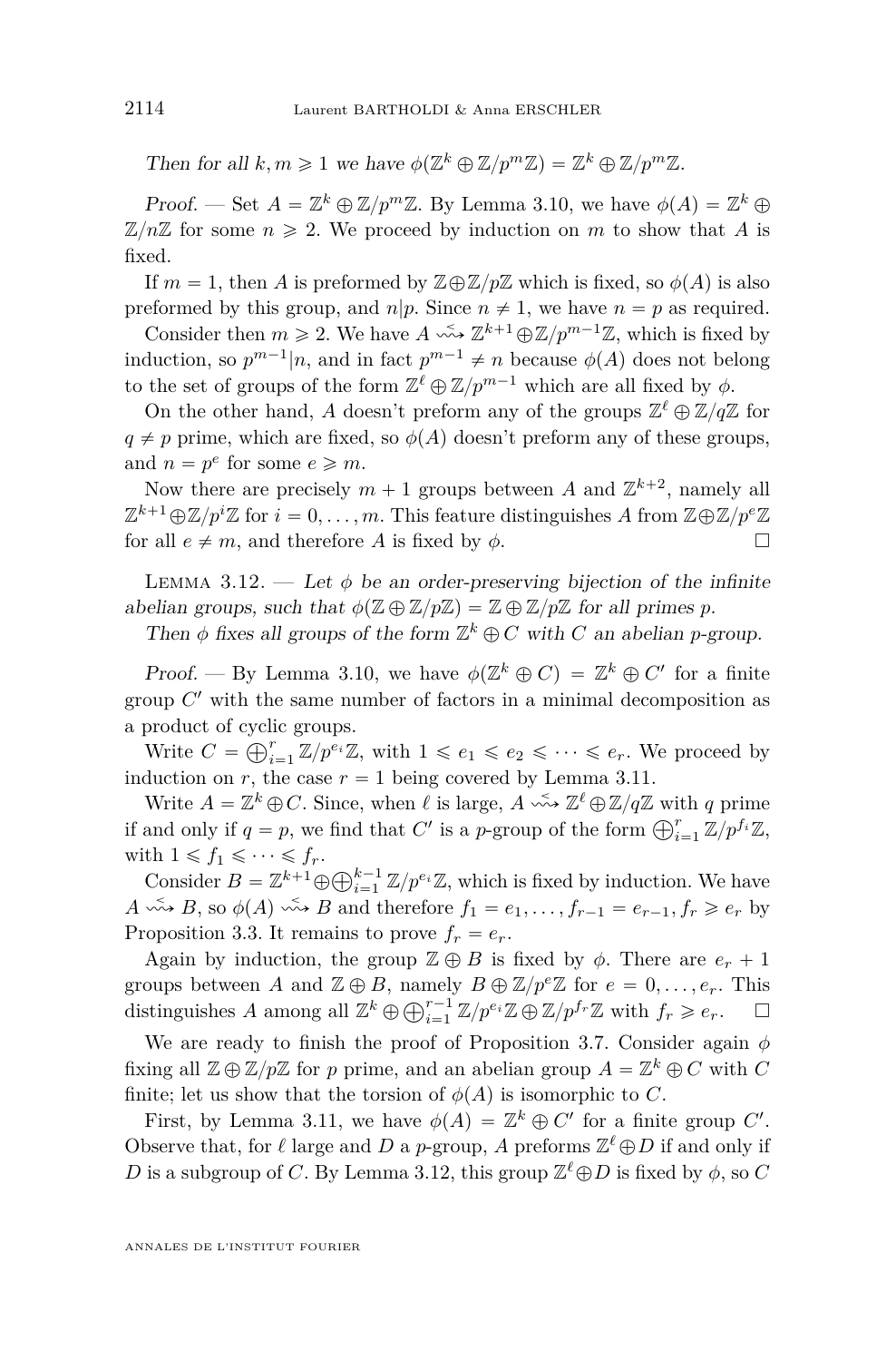Then for all  $k, m \geq 1$  we have  $\phi(\mathbb{Z}^k \oplus \mathbb{Z}/p^m\mathbb{Z}) = \mathbb{Z}^k \oplus \mathbb{Z}/p^m\mathbb{Z}$ .

Proof. — Set  $A = \mathbb{Z}^k \oplus \mathbb{Z}/p^m\mathbb{Z}$ . By Lemma [3.10,](#page-23-0) we have  $\phi(A) = \mathbb{Z}^k \oplus \mathbb{Z}^m$  $\mathbb{Z}/n\mathbb{Z}$  for some  $n \geq 2$ . We proceed by induction on *m* to show that *A* is fixed.

If  $m = 1$ , then *A* is preformed by  $\mathbb{Z} \oplus \mathbb{Z}/p\mathbb{Z}$  which is fixed, so  $\phi(A)$  is also preformed by this group, and  $n|p$ . Since  $n \neq 1$ , we have  $n = p$  as required.

Consider then  $m \ge 2$ . We have  $A \leftrightarrow \mathbb{Z}^{k+1} \oplus \mathbb{Z}/p^{m-1}\mathbb{Z}$ , which is fixed by induction, so  $p^{m-1}|n$ , and in fact  $p^{m-1} \neq n$  because  $\phi(A)$  does not belong to the set of groups of the form  $\mathbb{Z}^{\ell} \oplus \mathbb{Z}/p^{m-1}$  which are all fixed by  $\phi$ .

On the other hand, *A* doesn't preform any of the groups  $\mathbb{Z}^{\ell} \oplus \mathbb{Z}/q\mathbb{Z}$  for  $q \neq p$  prime, which are fixed, so  $\phi(A)$  doesn't preform any of these groups, and  $n = p^e$  for some  $e \ge m$ .

Now there are precisely  $m + 1$  groups between *A* and  $\mathbb{Z}^{k+2}$ , namely all  $\mathbb{Z}^{k+1} \oplus \mathbb{Z}/p^i \mathbb{Z}$  for  $i = 0, \ldots, m$ . This feature distinguishes *A* from  $\mathbb{Z} \oplus \mathbb{Z}/p^e \mathbb{Z}$ for all  $e \neq m$ , and therefore *A* is fixed by  $\phi$ .

LEMMA 3.12. — Let  $\phi$  be an order-preserving bijection of the infinite abelian groups, such that  $\phi(\mathbb{Z} \oplus \mathbb{Z}/p\mathbb{Z}) = \mathbb{Z} \oplus \mathbb{Z}/p\mathbb{Z}$  for all primes *p*.

Then  $\phi$  fixes all groups of the form  $\mathbb{Z}^k \oplus C$  with *C* an abelian *p*-group.

Proof. — By Lemma [3.10,](#page-23-0) we have  $\phi(\mathbb{Z}^k \oplus C) = \mathbb{Z}^k \oplus C'$  for a finite group  $C'$  with the same number of factors in a minimal decomposition as a product of cyclic groups.

broauct or cyclic groups.<br>Write  $C = \bigoplus_{i=1}^r \mathbb{Z}/p^{e_i}\mathbb{Z}$ , with  $1 \leq e_1 \leq e_2 \leq \cdots \leq e_r$ . We proceed by induction on *r*, the case  $r = 1$  being covered by Lemma [3.11.](#page-23-0)

Write  $A = \mathbb{Z}^k \oplus C$ . Since, when  $\ell$  is large,  $A \stackrel{\leq}{\leadsto} \mathbb{Z}^{\ell} \oplus \mathbb{Z}/q\mathbb{Z}$  with *q* prime write  $A = \mathbb{Z}^n \oplus C$ . Since, when  $\ell$  is large,  $A \rightarrow \mathbb{Z}^n \oplus \mathbb{Z}/q\mathbb{Z}$  with q prime if and only if  $q = p$ , we find that  $C'$  is a *p*-group of the form  $\bigoplus_{i=1}^r \mathbb{Z}/p^{f_i}\mathbb{Z}$ , with  $1 \leqslant f_1 \leqslant \cdots \leqslant f_r$ .

th  $1 \leq J_1 \leq \cdots \leq J_r$ .<br>Consider  $B = \mathbb{Z}^{k+1} \oplus \bigoplus_{i=1}^{k-1} \mathbb{Z}/p^{e_i} \mathbb{Z}$ , which is fixed by induction. We have *A*  $\stackrel{\leq}{\longrightarrow}$  *B*, so  $\phi(A) \stackrel{\leq}{\longrightarrow} B$  and therefore  $f_1 = e_1, \ldots, f_{r-1} = e_{r-1}, f_r \geqslant e_r$  by Proposition [3.3.](#page-20-0) It remains to prove  $f_r = e_r$ .

Again by induction, the group  $\mathbb{Z} \oplus B$  is fixed by  $\phi$ . There are  $e_r + 1$ groups between *A* and  $\mathbb{Z} \oplus B$ , namely  $B \oplus \mathbb{Z}/p^e\mathbb{Z}$  for  $e = 0, \ldots, e_r$ . This groups between *A* and  $\mathbb{Z} \oplus B$ , namely  $B \oplus \mathbb{Z}/p^e \mathbb{Z}$  for  $e = 0, \ldots, e_r$ . Ints<br>distinguishes *A* among all  $\mathbb{Z}^k \oplus \bigoplus_{i=1}^{r-1} \mathbb{Z}/p^{e_i} \mathbb{Z} \oplus \mathbb{Z}/p^{f_r} \mathbb{Z}$  with  $f_r \geq e_r$ .  $\Box$ 

We are ready to finish the proof of Proposition [3.7.](#page-22-0) Consider again *φ* fixing all  $\mathbb{Z} \oplus \mathbb{Z}/p\mathbb{Z}$  for *p* prime, and an abelian group  $A = \mathbb{Z}^k \oplus C$  with  $C$ finite; let us show that the torsion of  $\phi(A)$  is isomorphic to *C*.

First, by Lemma [3.11,](#page-23-0) we have  $\phi(A) = \mathbb{Z}^k \oplus C'$  for a finite group C'. Observe that, for  $\ell$  large and  $D$  a  $p$ -group,  $A$  preforms  $\mathbb{Z}^{\ell} \oplus D$  if and only if *D* is a subgroup of *C*. By Lemma 3.12, this group  $\mathbb{Z}^{\ell} \oplus D$  is fixed by  $\phi$ , so *C*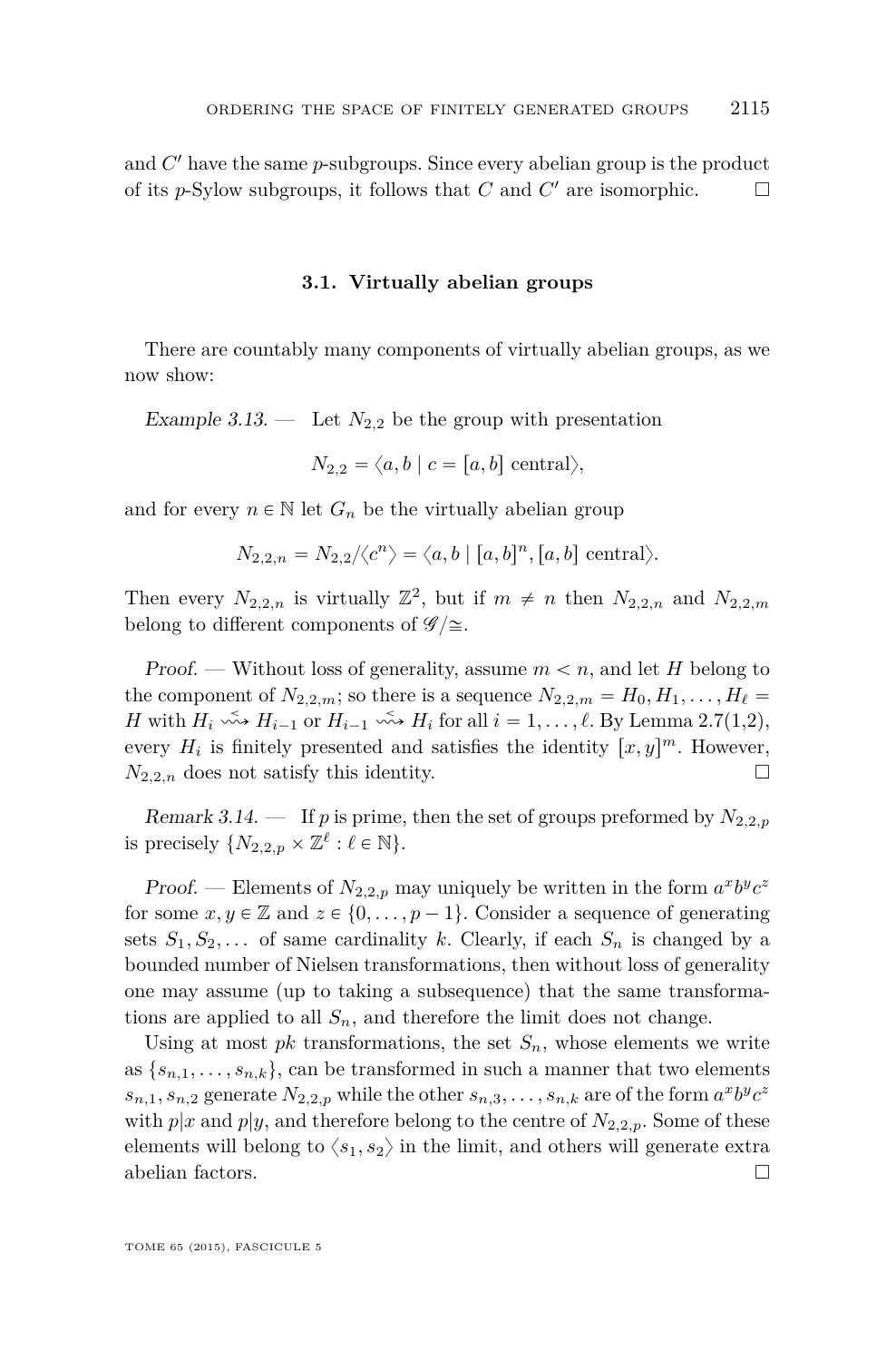<span id="page-25-0"></span>and *C* <sup>1</sup> have the same *p*-subgroups. Since every abelian group is the product of its *p*-Sylow subgroups, it follows that *C* and *C'* are isomorphic.  $\Box$ 

#### **3.1. Virtually abelian groups**

There are countably many components of virtually abelian groups, as we now show:

Example 3.13. — Let  $N_{2,2}$  be the group with presentation

$$
N_{2,2} = \langle a, b \mid c = [a, b] \text{ central} \rangle,
$$

and for every  $n \in \mathbb{N}$  let  $G_n$  be the virtually abelian group

$$
N_{2,2,n} = N_{2,2}/\langle c^n \rangle = \langle a, b \mid [a, b]^n, [a, b] \text{ central} \rangle.
$$

Then every  $N_{2,2,n}$  is virtually  $\mathbb{Z}^2$ , but if  $m \neq n$  then  $N_{2,2,n}$  and  $N_{2,2,m}$ belong to different components of  $\mathscr{G}/\cong$ .

Proof. — Without loss of generality, assume  $m < n$ , and let *H* belong to the component of  $N_{2,2,m}$ ; so there is a sequence  $N_{2,2,m} = H_0, H_1, \ldots, H_\ell =$ *H* with  $H_i \xrightarrow{\sim} H_{i-1}$  or  $H_{i-1} \xrightarrow{\sim} H_i$  for all  $i = 1, \ldots, \ell$ . By Lemma [2.7\(](#page-11-0)1,2), every  $H_i$  is finitely presented and satisfies the identity  $[x, y]^m$ . However,  $N_{2,2,n}$  does not satisfy this identity.

Remark 3.14.  $\blacksquare$  If *p* is prime, then the set of groups preformed by  $N_{2,2,p}$ is precisely  $\{N_{2,2,p} \times \mathbb{Z}^{\ell} : \ell \in \mathbb{N}\}.$ 

Proof. — Elements of  $N_{2,2,p}$  may uniquely be written in the form  $a^x b^y c^z$ for some  $x, y \in \mathbb{Z}$  and  $z \in \{0, \ldots, p-1\}$ . Consider a sequence of generating sets  $S_1, S_2, \ldots$  of same cardinality *k*. Clearly, if each  $S_n$  is changed by a bounded number of Nielsen transformations, then without loss of generality one may assume (up to taking a subsequence) that the same transformations are applied to all  $S_n$ , and therefore the limit does not change.

Using at most *pk* transformations, the set  $S_n$ , whose elements we write as  $\{s_{n,1},\ldots,s_{n,k}\}\$ , can be transformed in such a manner that two elements *s*<sub>*n*,1</sub>*, s*<sub>*n*</sub>,2 generate  $N_{2,2,p}$  while the other  $s_{n,3}, \ldots, s_{n,k}$  are of the form  $a^x b^y c^z$ with  $p|x$  and  $p|y$ , and therefore belong to the centre of  $N_{2,2,p}$ . Some of these elements will belong to  $\langle s_1, s_2 \rangle$  in the limit, and others will generate extra abelian factors.  $\hfill\Box$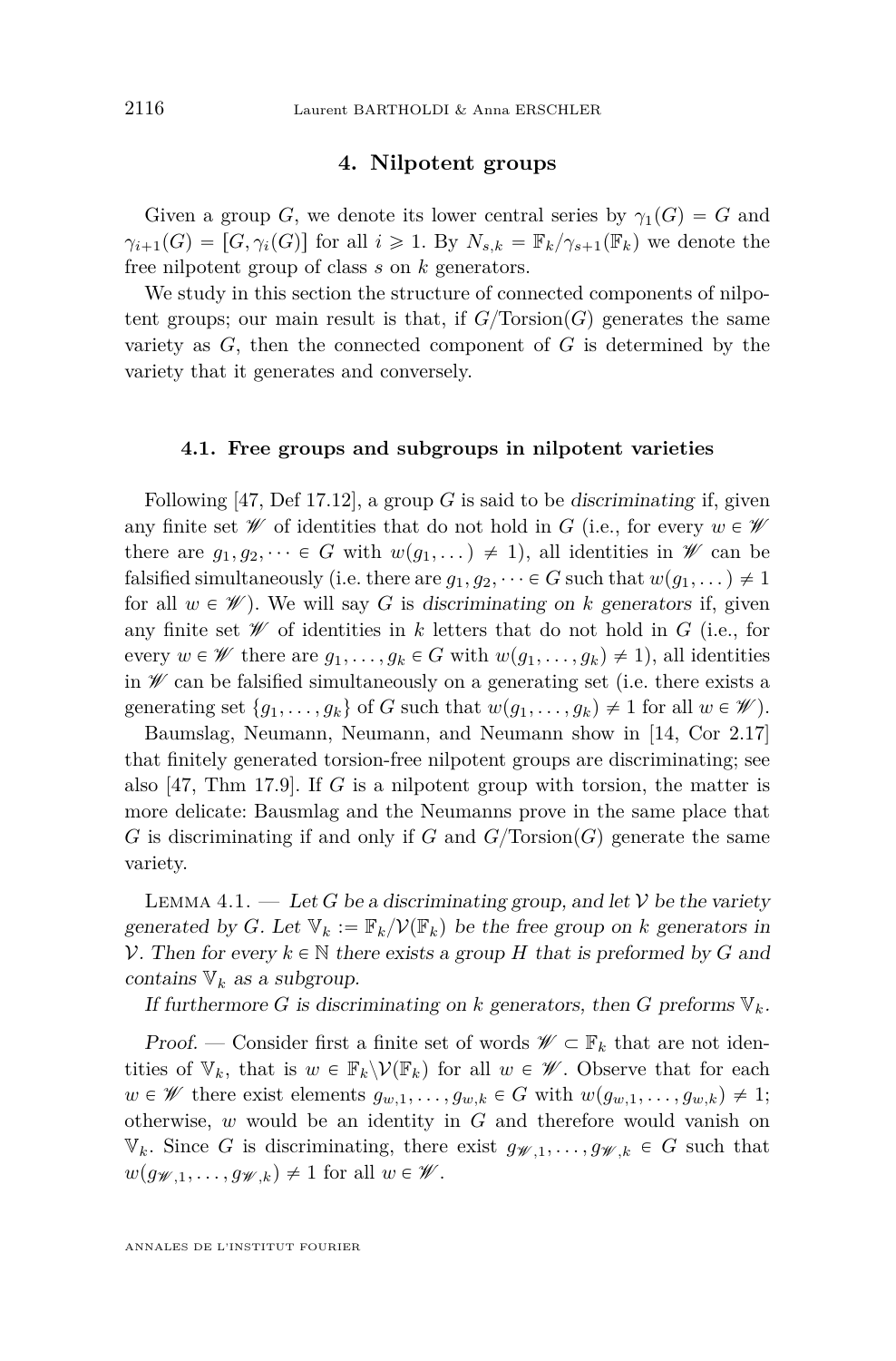#### **4. Nilpotent groups**

<span id="page-26-0"></span>Given a group *G*, we denote its lower central series by  $\gamma_1(G) = G$  and  $\gamma_{i+1}(G) = [G, \gamma_i(G)]$  for all  $i \geq 1$ . By  $N_{s,k} = \mathbb{F}_k/\gamma_{s+1}(\mathbb{F}_k)$  we denote the free nilpotent group of class *s* on *k* generators.

We study in this section the structure of connected components of nilpotent groups; our main result is that, if  $G/Torsion(G)$  generates the same variety as  $G$ , then the connected component of  $G$  is determined by the variety that it generates and conversely.

#### **4.1. Free groups and subgroups in nilpotent varieties**

Following [\[47,](#page-53-0) Def 17.12], a group  $G$  is said to be discriminating if, given any finite set  $\mathscr W$  of identities that do not hold in *G* (i.e., for every  $w \in \mathscr W$ there are  $g_1, g_2, \dots \in G$  with  $w(g_1, \dots) \neq 1$ , all identities in W can be falsified simultaneously (i.e. there are  $g_1, g_2, \dots \in G$  such that  $w(g_1, \dots) \neq 1$ for all  $w \in \mathscr{W}$ ). We will say *G* is discriminating on *k* generators if, given any finite set  $W$  of identities in k letters that do not hold in  $G$  (i.e., for every  $w \in \mathscr{W}$  there are  $g_1, \ldots, g_k \in G$  with  $w(g_1, \ldots, g_k) \neq 1$ , all identities in  $\mathscr W$  can be falsified simultaneously on a generating set (i.e. there exists a generating set  $\{g_1, \ldots, g_k\}$  of *G* such that  $w(g_1, \ldots, g_k) \neq 1$  for all  $w \in \mathcal{W}$ ).

Baumslag, Neumann, Neumann, and Neumann show in [\[14,](#page-52-0) Cor 2.17] that finitely generated torsion-free nilpotent groups are discriminating; see also [\[47,](#page-53-0) Thm 17.9]. If *G* is a nilpotent group with torsion, the matter is more delicate: Bausmlag and the Neumanns prove in the same place that *G* is discriminating if and only if *G* and  $G/Torsion(G)$  generate the same variety.

LEMMA 4.1.  $-$  Let *G* be a discriminating group, and let *V* be the variety generated by *G*. Let  $V_k := \mathbb{F}_k / \mathcal{V}(\mathbb{F}_k)$  be the free group on *k* generators in V. Then for every  $k \in \mathbb{N}$  there exists a group *H* that is preformed by *G* and contains  $V_k$  as a subgroup.

If furthermore *G* is discriminating on *k* generators, then *G* preforms  $V_k$ .

Proof. — Consider first a finite set of words  $\mathscr{W} \subset \mathbb{F}_k$  that are not identities of  $V_k$ , that is  $w \in \mathbb{F}_k \backslash \mathcal{V}(\mathbb{F}_k)$  for all  $w \in \mathcal{W}$ . Observe that for each  $w \in \mathscr{W}$  there exist elements  $g_{w,1}, \ldots, g_{w,k} \in G$  with  $w(g_{w,1}, \ldots, g_{w,k}) \neq 1$ ; otherwise, *w* would be an identity in *G* and therefore would vanish on  $\mathbb{V}_k$ . Since *G* is discriminating, there exist  $g_{\mathscr{W},1}, \ldots, g_{\mathscr{W},k} \in G$  such that  $w(g_{\mathscr{W},1},\ldots,g_{\mathscr{W},k})\neq 1$  for all  $w\in\mathscr{W}$ .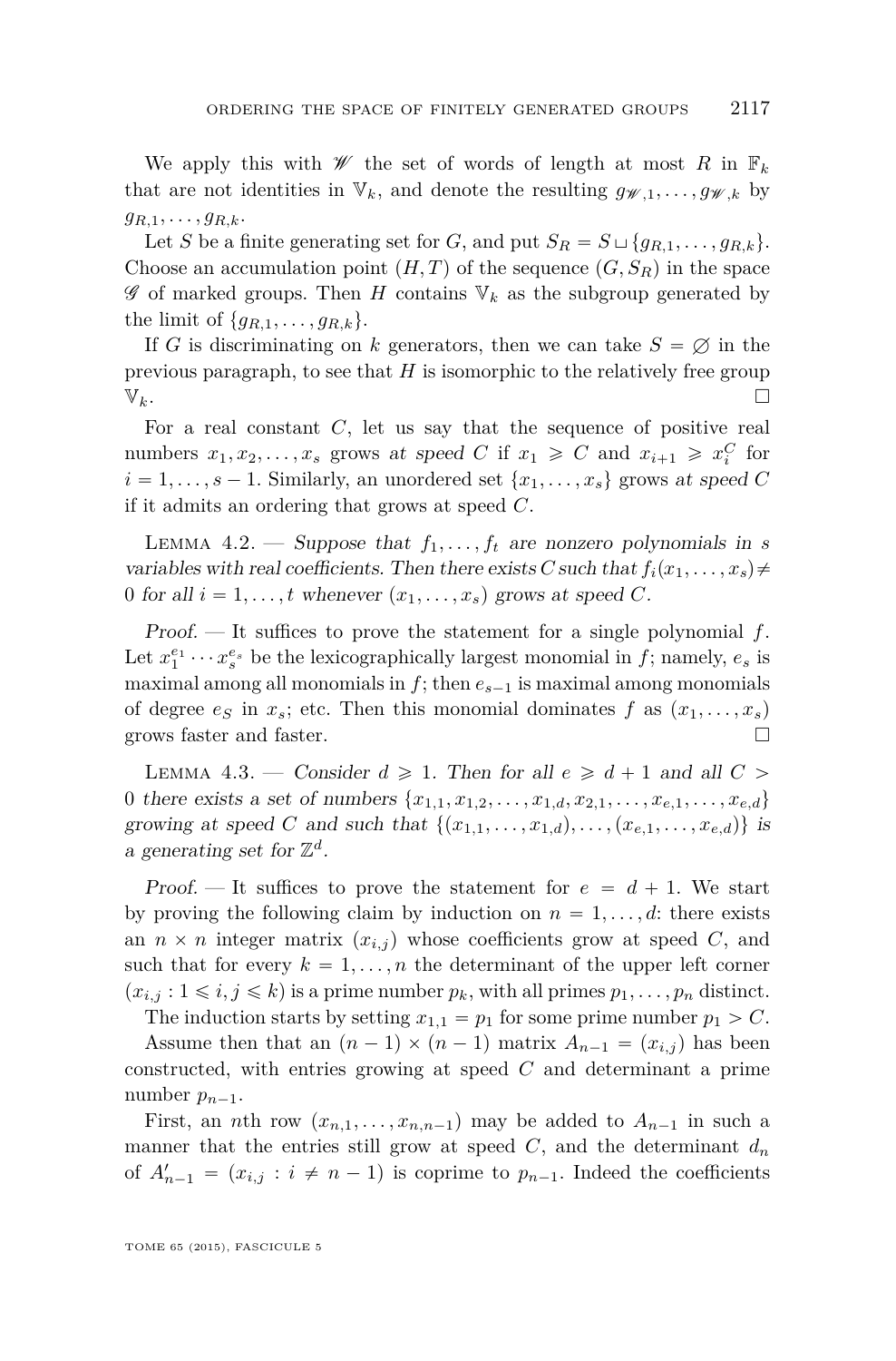<span id="page-27-0"></span>We apply this with  $W$  the set of words of length at most *R* in  $\mathbb{F}_k$ that are not identities in  $V_k$ , and denote the resulting  $g_{W,1}, \ldots, g_{W,k}$  by  $g_{R,1},\ldots,g_{R,k}$ .

Let *S* be a finite generating set for *G*, and put  $S_R = S \sqcup \{g_{R,1}, \ldots, g_{R,k}\}.$ Choose an accumulation point  $(H, T)$  of the sequence  $(G, S_R)$  in the space  $\mathscr G$  of marked groups. Then *H* contains  $\mathbb{V}_k$  as the subgroup generated by the limit of  $\{g_{R,1}, \ldots, g_{R,k}\}.$ 

If *G* is discriminating on *k* generators, then we can take  $S = \emptyset$  in the previous paragraph, to see that *H* is isomorphic to the relatively free group  $\mathbb{V}_k$ .

For a real constant *C*, let us say that the sequence of positive real numbers  $x_1, x_2, \ldots, x_s$  grows at speed *C* if  $x_1 \ge C$  and  $x_{i+1} \ge x_i^C$  for  $i = 1, \ldots, s - 1$ . Similarly, an unordered set  $\{x_1, \ldots, x_s\}$  grows at speed C if it admits an ordering that grows at speed *C*.

LEMMA 4.2. — Suppose that  $f_1, \ldots, f_t$  are nonzero polynomials in *s* variables with real coefficients. Then there exists *C* such that  $f_i(x_1, \ldots, x_s) \neq$ 0 for all  $i = 1, \ldots, t$  whenever  $(x_1, \ldots, x_s)$  grows at speed *C*.

Proof. — It suffices to prove the statement for a single polynomial *f*. Let  $x_1^{e_1} \cdots x_s^{e_s}$  be the lexicographically largest monomial in *f*; namely,  $e_s$  is maximal among all monomials in  $f$ ; then  $e_{s-1}$  is maximal among monomials of degree  $e_S$  in  $x_s$ ; etc. Then this monomial dominates  $f$  as  $(x_1, \ldots, x_s)$ grows faster and faster.  $\Box$ 

LEMMA 4.3. — Consider  $d \geq 1$ . Then for all  $e \geq d+1$  and all  $C >$ 0 there exists a set of numbers  $\{x_{1,1}, x_{1,2}, \ldots, x_{1,d}, x_{2,1}, \ldots, x_{e,1}, \ldots, x_{e,d}\}$ growing at speed *C* and such that  $\{(x_{1,1}, \ldots, x_{1,d}), \ldots, (x_{e,1}, \ldots, x_{e,d})\}$  is a generating set for  $\mathbb{Z}^d$ .

Proof. — It suffices to prove the statement for  $e = d + 1$ . We start by proving the following claim by induction on  $n = 1, \ldots, d$ : there exists an  $n \times n$  integer matrix  $(x_{i,j})$  whose coefficients grow at speed *C*, and such that for every  $k = 1, \ldots, n$  the determinant of the upper left corner  $(x_{i,j}:1\leq i,j\leq k)$  is a prime number  $p_k$ , with all primes  $p_1,\ldots,p_n$  distinct.

The induction starts by setting  $x_{1,1} = p_1$  for some prime number  $p_1 > C$ . Assume then that an  $(n-1) \times (n-1)$  matrix  $A_{n-1} = (x_{i,j})$  has been constructed, with entries growing at speed *C* and determinant a prime number  $p_{n-1}$ .

First, an *n*th row  $(x_{n,1},...,x_{n,n-1})$  may be added to  $A_{n-1}$  in such a manner that the entries still grow at speed  $C$ , and the determinant  $d_n$ of  $A'_{n-1} = (x_{i,j} : i \neq n-1)$  is coprime to  $p_{n-1}$ . Indeed the coefficients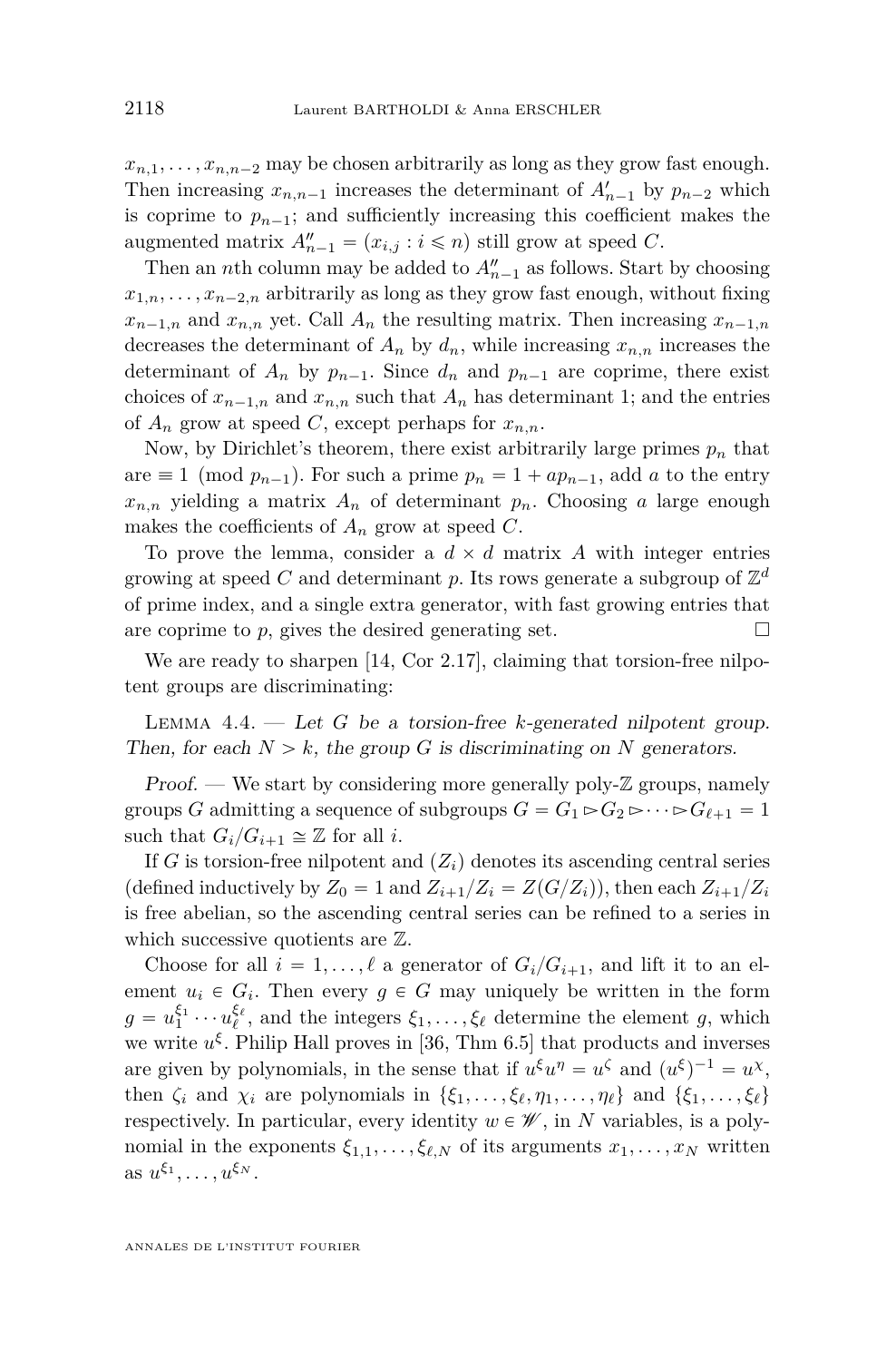<span id="page-28-0"></span> $x_{n,1}, \ldots, x_{n,n-2}$  may be chosen arbitrarily as long as they grow fast enough. Then increasing  $x_{n,n-1}$  increases the determinant of  $A'_{n-1}$  by  $p_{n-2}$  which is coprime to  $p_{n-1}$ ; and sufficiently increasing this coefficient makes the augmented matrix  $A''_{n-1} = (x_{i,j} : i \leq n)$  still grow at speed *C*.

Then an *n*th column may be added to  $A''_{n-1}$  as follows. Start by choosing  $x_{1,n}, \ldots, x_{n-2,n}$  arbitrarily as long as they grow fast enough, without fixing  $x_{n-1,n}$  and  $x_{n,n}$  yet. Call  $A_n$  the resulting matrix. Then increasing  $x_{n-1,n}$ decreases the determinant of  $A_n$  by  $d_n$ , while increasing  $x_{n,n}$  increases the determinant of  $A_n$  by  $p_{n-1}$ . Since  $d_n$  and  $p_{n-1}$  are coprime, there exist choices of  $x_{n-1,n}$  and  $x_{n,n}$  such that  $A_n$  has determinant 1; and the entries of  $A_n$  grow at speed *C*, except perhaps for  $x_{n,n}$ .

Now, by Dirichlet's theorem, there exist arbitrarily large primes  $p_n$  that are  $\equiv 1 \pmod{p_{n-1}}$ . For such a prime  $p_n = 1 + ap_{n-1}$ , add *a* to the entry  $x_{n,n}$  yielding a matrix  $A_n$  of determinant  $p_n$ . Choosing *a* large enough makes the coefficients of  $A_n$  grow at speed  $C$ .

To prove the lemma, consider a  $d \times d$  matrix A with integer entries growing at speed  $C$  and determinant  $p$ . Its rows generate a subgroup of  $\mathbb{Z}^d$ of prime index, and a single extra generator, with fast growing entries that are coprime to  $p$ , gives the desired generating set.  $\Box$ 

We are ready to sharpen [\[14,](#page-52-0) Cor 2.17], claiming that torsion-free nilpotent groups are discriminating:

Lemma 4.4. — Let *G* be a torsion-free *k*-generated nilpotent group. Then, for each  $N > k$ , the group G is discriminating on N generators.

Proof. — We start by considering more generally poly- $\mathbb Z$  groups, namely groups *G* admitting a sequence of subgroups  $G = G_1 \triangleright G_2 \triangleright \cdots \triangleright G_{\ell+1} = 1$ such that  $G_i/G_{i+1} \cong \mathbb{Z}$  for all *i*.

If *G* is torsion-free nilpotent and  $(Z_i)$  denotes its ascending central series (defined inductively by  $Z_0 = 1$  and  $Z_{i+1}/Z_i = Z(G/Z_i)$ ), then each  $Z_{i+1}/Z_i$ is free abelian, so the ascending central series can be refined to a series in which successive quotients are Z.

Choose for all  $i = 1, ..., \ell$  a generator of  $G_i/G_{i+1}$ , and lift it to an element  $u_i \in G_i$ . Then every  $g \in G$  may uniquely be written in the form  $g = u_1^{\xi_1} \cdots u_\ell^{\xi_\ell}$ , and the integers  $\xi_1, \ldots, \xi_\ell$  determine the element *g*, which we write  $u^{\xi}$ . Philip Hall proves in [\[36,](#page-53-0) Thm 6.5] that products and inverses are given by polynomials, in the sense that if  $u^{\xi}u^{\eta} = u^{\zeta}$  and  $(u^{\xi})^{-1} = u^{\chi}$ , then  $\zeta_i$  and  $\chi_i$  are polynomials in  $\{\xi_1, \ldots, \xi_\ell, \eta_1, \ldots, \eta_\ell\}$  and  $\{\xi_1, \ldots, \xi_\ell\}$ respectively. In particular, every identity  $w \in \mathscr{W}$ , in *N* variables, is a polynomial in the exponents  $\xi_{1,1}, \ldots, \xi_{\ell,N}$  of its arguments  $x_1, \ldots, x_N$  written as  $u^{\xi_1}, \ldots, u^{\xi_N}$ .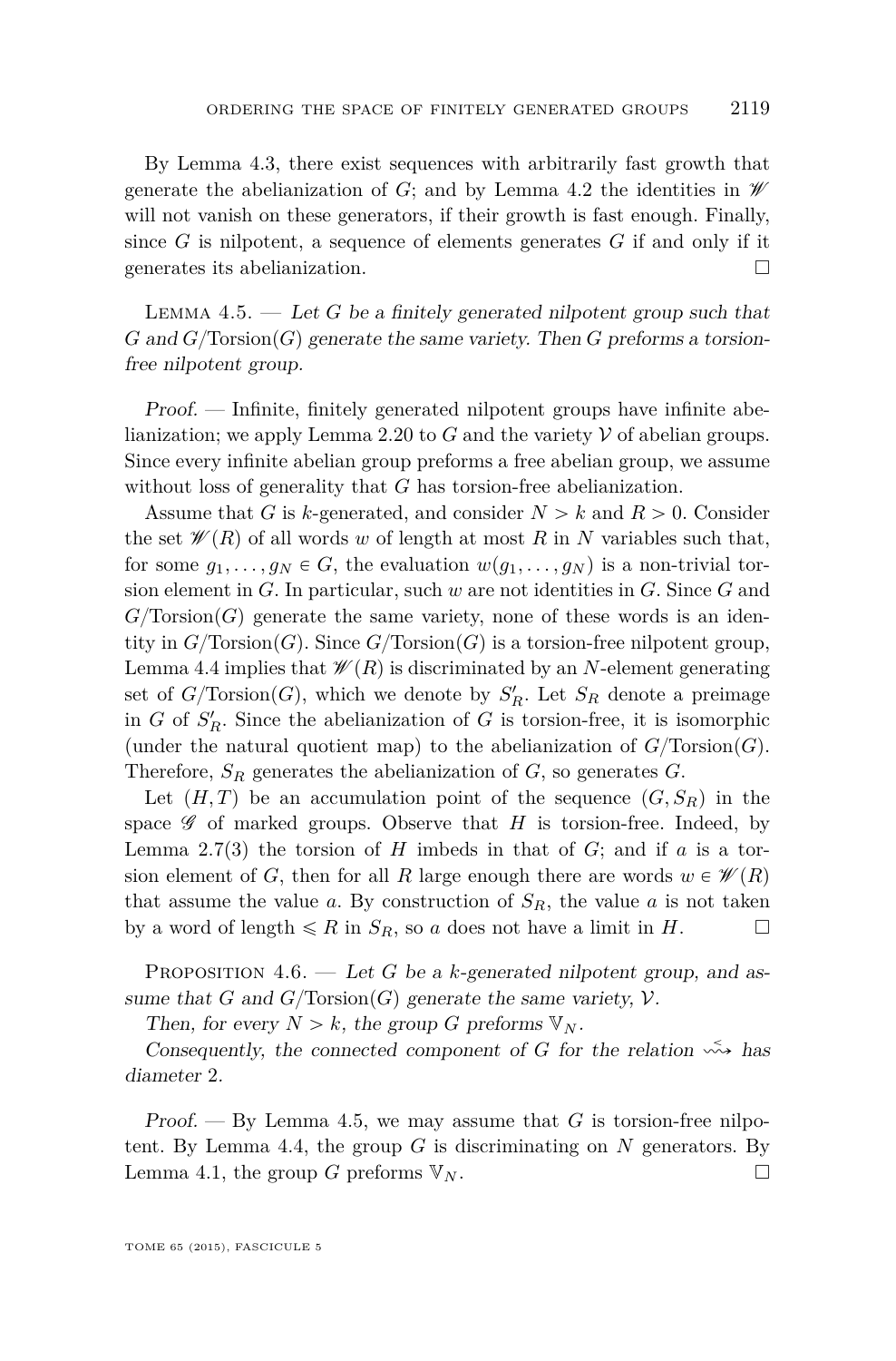<span id="page-29-0"></span>By Lemma [4.3,](#page-27-0) there exist sequences with arbitrarily fast growth that generate the abelianization of *G*; and by Lemma [4.2](#page-27-0) the identities in  $\mathscr W$ will not vanish on these generators, if their growth is fast enough. Finally, since  $G$  is nilpotent, a sequence of elements generates  $G$  if and only if it generates its abelianization.

Lemma 4.5. — Let *G* be a finitely generated nilpotent group such that  $G$  and  $G$ <sup>T</sup> $Torsion(G)$  generate the same variety. Then  $G$  preforms a torsionfree nilpotent group.

Proof. — Infinite, finitely generated nilpotent groups have infinite abe-lianization; we apply Lemma [2.20](#page-17-0) to  $G$  and the variety  $\mathcal V$  of abelian groups. Since every infinite abelian group preforms a free abelian group, we assume without loss of generality that *G* has torsion-free abelianization.

Assume that *G* is *k*-generated, and consider  $N > k$  and  $R > 0$ . Consider the set  $\mathcal{W}(R)$  of all words *w* of length at most *R* in *N* variables such that, for some  $g_1, \ldots, g_N \in G$ , the evaluation  $w(g_1, \ldots, g_N)$  is a non-trivial torsion element in *G*. In particular, such *w* are not identities in *G*. Since *G* and  $G$ <sup> $T$ </sup>orsion $(G)$  generate the same variety, none of these words is an identity in  $G/\text{Torsion}(G)$ . Since  $G/\text{Torsion}(G)$  is a torsion-free nilpotent group, Lemma [4.4](#page-28-0) implies that  $\mathscr{W}(R)$  is discriminated by an *N*-element generating set of  $G/Torsion(G)$ , which we denote by  $S'_R$ . Let  $S_R$  denote a preimage in *G* of  $S'_R$ . Since the abelianization of *G* is torsion-free, it is isomorphic (under the natural quotient map) to the abelianization of  $G/\text{Torsion}(G)$ . Therefore,  $S_R$  generates the abelianization of  $G$ , so generates  $G$ .

Let  $(H, T)$  be an accumulation point of the sequence  $(G, S_R)$  in the space  $\mathscr G$  of marked groups. Observe that *H* is torsion-free. Indeed, by Lemma [2.7\(](#page-11-0)3) the torsion of *H* imbeds in that of *G*; and if *a* is a torsion element of *G*, then for all *R* large enough there are words  $w \in \mathcal{W}(R)$ that assume the value  $a$ . By construction of  $S_R$ , the value  $a$  is not taken by a word of length  $\leq R$  in  $S_R$ , so *a* does not have a limit in *H*.

PROPOSITION 4.6. — Let *G* be a *k*-generated nilpotent group, and assume that *G* and  $G/Torsion(G)$  generate the same variety,  $V$ .

Then, for every  $N > k$ , the group *G* preforms  $V_N$ .

Consequently, the connected component of *G* for the relation  $\stackrel{\leq}{\leadsto}$  has diameter 2.

Proof.  $-$  By Lemma 4.5, we may assume that  $G$  is torsion-free nilpo-tent. By Lemma [4.4,](#page-28-0) the group  $G$  is discriminating on  $N$  generators. By Lemma [4.1,](#page-26-0) the group *G* preforms  $V_N$ .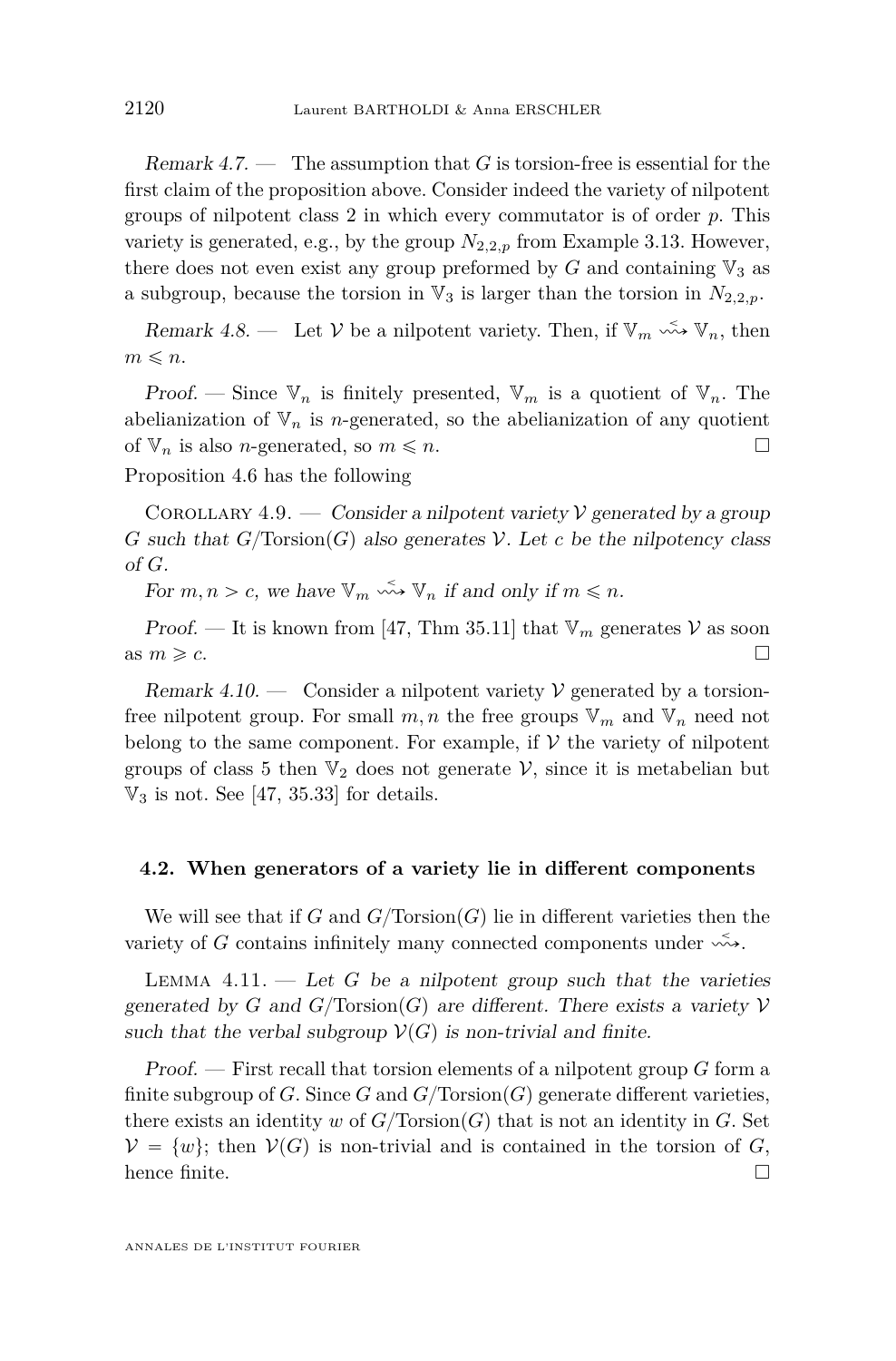<span id="page-30-0"></span>Remark  $4.7.$  — The assumption that *G* is torsion-free is essential for the first claim of the proposition above. Consider indeed the variety of nilpotent groups of nilpotent class 2 in which every commutator is of order *p*. This variety is generated, e.g., by the group  $N_{2,2,p}$  from Example [3.13.](#page-25-0) However, there does not even exist any group preformed by  $G$  and containing  $\mathbb{V}_3$  as a subgroup, because the torsion in  $\mathbb{V}_3$  is larger than the torsion in  $N_{2,2,p}$ .

Remark 4.8. — Let  $V$  be a nilpotent variety. Then, if  $\mathbb{V}_m \stackrel{\leq}{\leadsto} \mathbb{V}_n$ , then  $m \leq n$ .

Proof. — Since  $V_n$  is finitely presented,  $V_m$  is a quotient of  $V_n$ . The abelianization of  $V_n$  is *n*-generated, so the abelianization of any quotient of  $\mathbb{V}_n$  is also *n*-generated, so  $m \leq n$ .

Proposition [4.6](#page-29-0) has the following

COROLLARY 4.9. — Consider a nilpotent variety  $\mathcal V$  generated by a group *G* such that  $G/Torsion(G)$  also generates V. Let *c* be the nilpotency class of *G*.

For  $m, n > c$ , we have  $\mathbb{V}_m \stackrel{\leq}{\leadsto} \mathbb{V}_n$  if and only if  $m \leq n$ .

Proof. — It is known from [\[47,](#page-53-0) Thm 35.11] that  $V_m$  generates  $V$  as soon as  $m \geqslant c$ .

Remark 4.10. — Consider a nilpotent variety  $\mathcal V$  generated by a torsionfree nilpotent group. For small  $m, n$  the free groups  $V_m$  and  $V_n$  need not belong to the same component. For example, if  $V$  the variety of nilpotent groups of class 5 then  $\mathbb{V}_2$  does not generate  $\mathcal{V}$ , since it is metabelian but  $\mathbb{V}_3$  is not. See [\[47,](#page-53-0) 35.33] for details.

#### **4.2. When generators of a variety lie in different components**

We will see that if *G* and  $G/\text{Torsion}(G)$  lie in different varieties then the variety of *G* contains infinitely many connected components under  $\stackrel{\sim}{\leadsto}$ .

LEMMA  $4.11.$  — Let *G* be a nilpotent group such that the varieties generated by *G* and  $G/Torsion(G)$  are different. There exists a variety  $V$ such that the verbal subgroup  $\mathcal{V}(G)$  is non-trivial and finite.

Proof. — First recall that torsion elements of a nilpotent group *G* form a finite subgroup of *G*. Since *G* and  $G/Torsion(G)$  generate different varieties, there exists an identity *w* of  $G/Torsion(G)$  that is not an identity in *G*. Set  $V = \{w\}$ ; then  $V(G)$  is non-trivial and is contained in the torsion of *G*, hence finite.  $\square$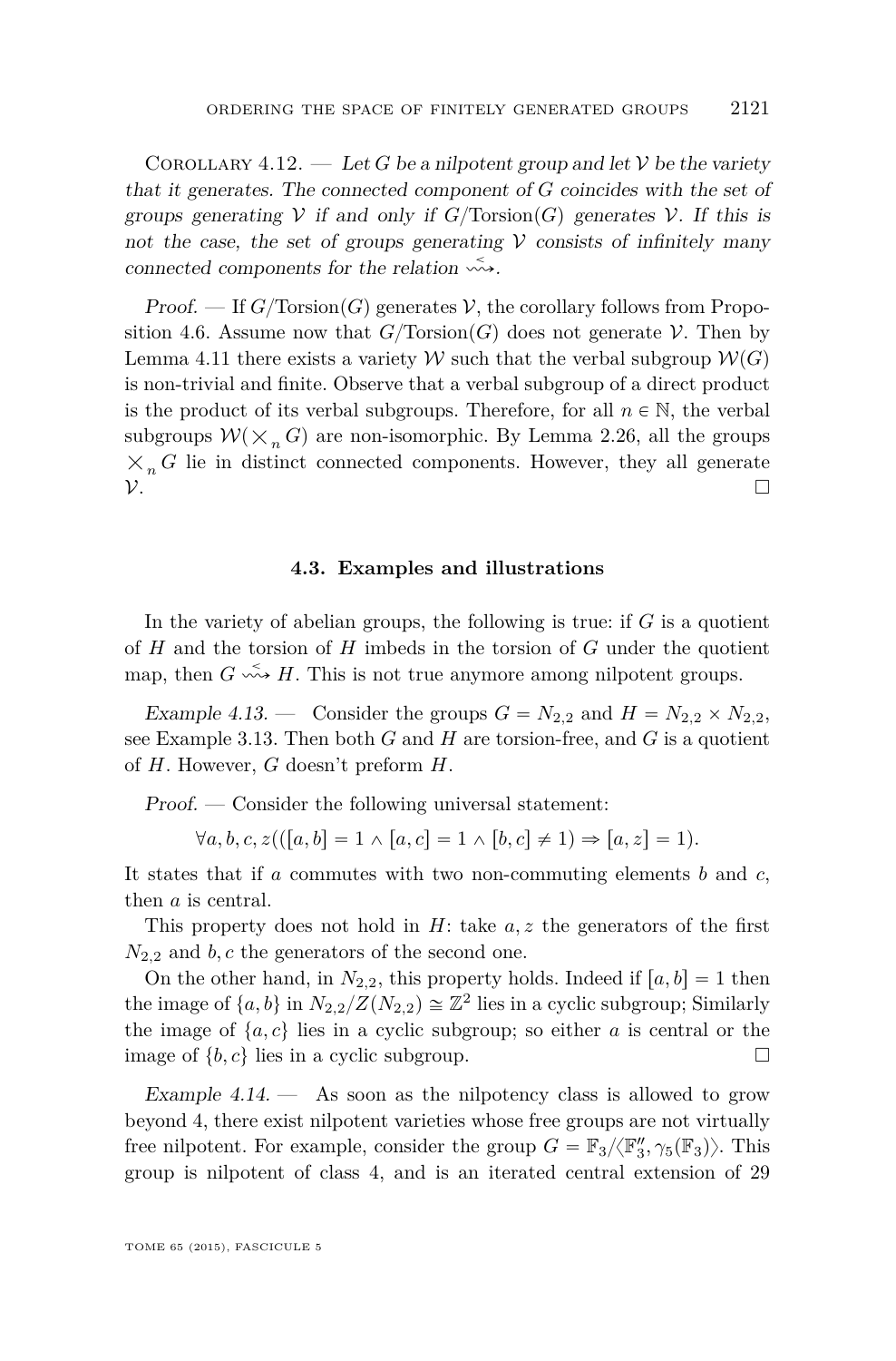<span id="page-31-0"></span>COROLLARY 4.12. — Let G be a nilpotent group and let V be the variety that it generates. The connected component of *G* coincides with the set of groups generating  $V$  if and only if  $G/Torsion(G)$  generates  $V$ . If this is not the case, the set of groups generating  $V$  consists of infinitely many connected components for the relation  $\stackrel{\sim}{\leadsto}$ .

*Proof.* — If  $G/Torsion(G)$  generates V, the corollary follows from Propo-sition [4.6.](#page-29-0) Assume now that  $G/\text{Torsion}(G)$  does not generate V. Then by Lemma [4.11](#page-30-0) there exists a variety W such that the verbal subgroup  $W(G)$ is non-trivial and finite. Observe that a verbal subgroup of a direct product is the product of its verbal subgroups. Therefore, for all  $n \in \mathbb{N}$ , the verbal subgroups  $W(\times n G)$  are non-isomorphic. By Lemma [2.26,](#page-19-0) all the groups  $\times_n G$  lie in distinct connected components. However, they all generate  $\mathcal V$ .

#### **4.3. Examples and illustrations**

In the variety of abelian groups, the following is true: if *G* is a quotient of *H* and the torsion of *H* imbeds in the torsion of *G* under the quotient map, then  $G \leftrightarrow H$ . This is not true anymore among nilpotent groups.

Example 4.13. — Consider the groups  $G = N_{2,2}$  and  $H = N_{2,2} \times N_{2,2}$ , see Example [3.13.](#page-25-0) Then both *G* and *H* are torsion-free, and *G* is a quotient of *H*. However, *G* doesn't preform *H*.

Proof. — Consider the following universal statement:

 $\forall a, b, c, z((a, b] = 1 \land [a, c] = 1 \land [b, c] \neq 1) \Rightarrow [a, z] = 1).$ 

It states that if *a* commutes with two non-commuting elements *b* and *c*, then *a* is central.

This property does not hold in *H*: take *a, z* the generators of the first *N*2*,*<sup>2</sup> and *b, c* the generators of the second one.

On the other hand, in  $N_{2,2}$ , this property holds. Indeed if  $[a, b] = 1$  then the image of  $\{a, b\}$  in  $N_{2,2}/Z(N_{2,2}) \cong \mathbb{Z}^2$  lies in a cyclic subgroup; Similarly the image of  $\{a, c\}$  lies in a cyclic subgroup; so either *a* is central or the image of  $\{b, c\}$  lies in a cyclic subgroup.

Example  $4.14.$  - As soon as the nilpotency class is allowed to grow beyond 4, there exist nilpotent varieties whose free groups are not virtually free nilpotent. For example, consider the group  $G = \mathbb{F}_3 / \langle \mathbb{F}'_3, \gamma_5(\mathbb{F}_3) \rangle$ . This group is nilpotent of class 4, and is an iterated central extension of 29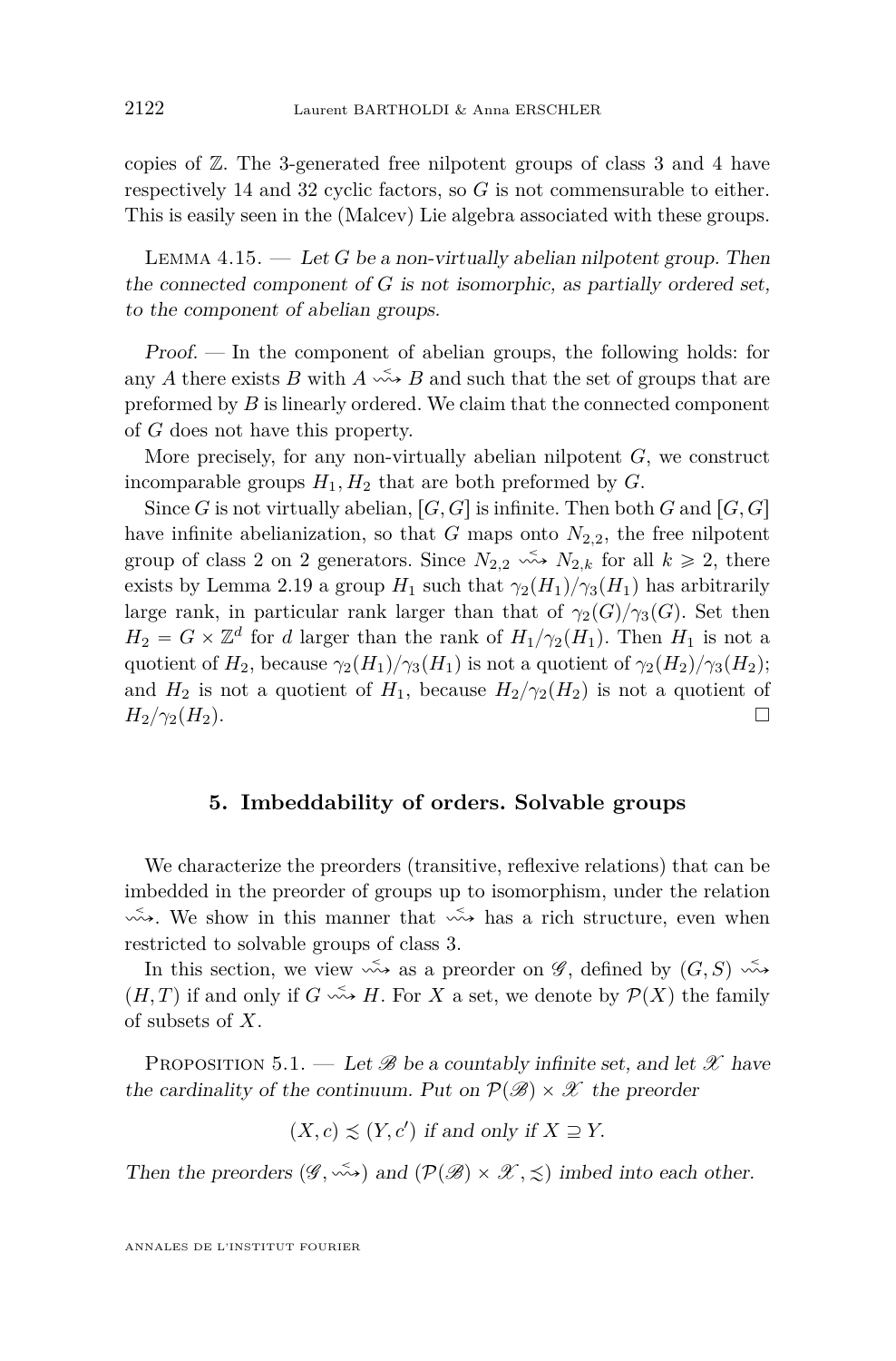<span id="page-32-0"></span>copies of Z. The 3-generated free nilpotent groups of class 3 and 4 have respectively 14 and 32 cyclic factors, so *G* is not commensurable to either. This is easily seen in the (Malcev) Lie algebra associated with these groups.

LEMMA  $4.15.$  — Let *G* be a non-virtually abelian nilpotent group. Then the connected component of *G* is not isomorphic, as partially ordered set, to the component of abelian groups.

Proof. — In the component of abelian groups, the following holds: for any *A* there exists *B* with  $A \leq B$  and such that the set of groups that are preformed by *B* is linearly ordered. We claim that the connected component of *G* does not have this property.

More precisely, for any non-virtually abelian nilpotent *G*, we construct incomparable groups  $H_1, H_2$  that are both preformed by  $G$ .

Since *G* is not virtually abelian,  $[G, G]$  is infinite. Then both *G* and  $[G, G]$ have infinite abelianization, so that  $G$  maps onto  $N_{2,2}$ , the free nilpotent group of class 2 on 2 generators. Since  $N_{2,2} \leftrightarrow N_{2,k}$  for all  $k \ge 2$ , there exists by Lemma [2.19](#page-16-0) a group  $H_1$  such that  $\gamma_2(H_1)/\gamma_3(H_1)$  has arbitrarily large rank, in particular rank larger than that of  $\gamma_2(G)/\gamma_3(G)$ . Set then  $H_2 = G \times \mathbb{Z}^d$  for *d* larger than the rank of  $H_1/\gamma_2(H_1)$ . Then  $H_1$  is not a quotient of  $H_2$ , because  $\gamma_2(H_1)/\gamma_3(H_1)$  is not a quotient of  $\gamma_2(H_2)/\gamma_3(H_2)$ ; and  $H_2$  is not a quotient of  $H_1$ , because  $H_2/\gamma_2(H_2)$  is not a quotient of  $H_2/\gamma_2(H_2)$ .

#### **5. Imbeddability of orders. Solvable groups**

We characterize the preorders (transitive, reflexive relations) that can be imbedded in the preorder of groups up to isomorphism, under the relation  $\overrightarrow{\infty}$ . We show in this manner that  $\overrightarrow{\infty}$  has a rich structure, even when restricted to solvable groups of class 3.

In this section, we view  $\stackrel{\sim}{\leadsto}$  as a preorder on  $\mathscr{G}$ , defined by  $(G, S) \stackrel{\sim}{\leadsto}$  $(H, T)$  if and only if  $G \longrightarrow H$ . For *X* a set, we denote by  $\mathcal{P}(X)$  the family of subsets of *X*.

PROPOSITION 5.1. — Let  $\mathscr B$  be a countably infinite set, and let  $\mathscr X$  have the cardinality of the continuum. Put on  $\mathcal{P}(\mathcal{B}) \times \mathcal{X}$  the preorder

 $(X, c) \precsim (Y, c')$  if and only if  $X \supseteq Y$ .

Then the preorders  $(\mathscr{G}, \stackrel{\prec}{\leadsto})$  and  $(\mathcal{P}(\mathscr{B}) \times \mathscr{X}, \preceq)$  imbed into each other.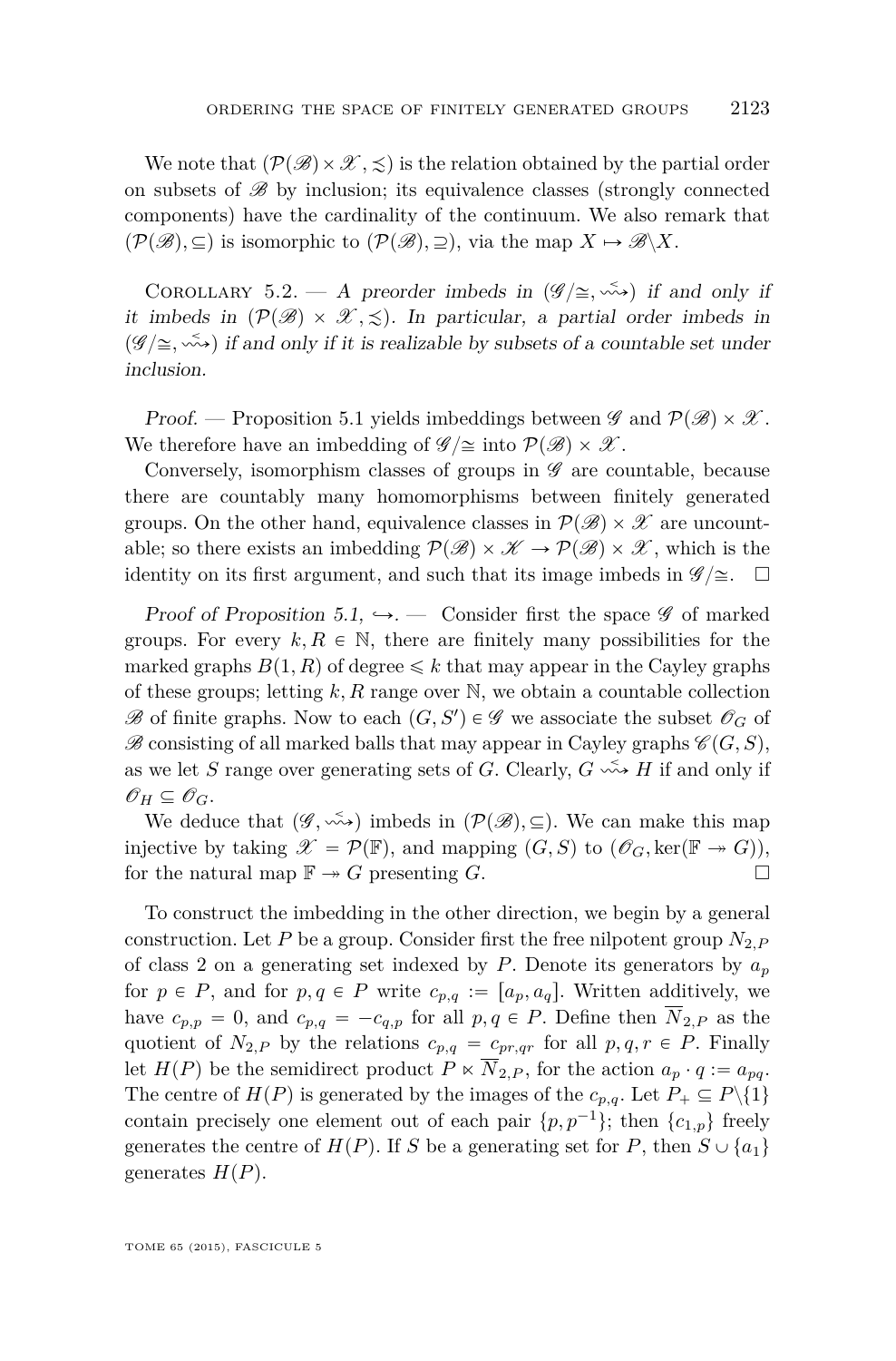<span id="page-33-0"></span>We note that  $(\mathcal{P}(\mathscr{B}) \times \mathscr{X}, \leq)$  is the relation obtained by the partial order on subsets of  $\mathscr{B}$  by inclusion; its equivalence classes (strongly connected components) have the cardinality of the continuum. We also remark that  $(\mathcal{P}(\mathscr{B}), \subseteq)$  is isomorphic to  $(\mathcal{P}(\mathscr{B}), \supseteq)$ , via the map  $X \mapsto \mathscr{B}\backslash X$ .

COROLLARY 5.2. — A preorder imbeds in  $(\mathscr{G}/\cong, \stackrel{\sim}{\leadsto})$  if and only if it imbeds in  $(\mathcal{P}(\mathcal{B}) \times \mathcal{X}, \leq)$ . In particular, a partial order imbeds in  $(\mathscr{G}/\cong, \leq)$  if and only if it is realizable by subsets of a countable set under inclusion.

Proof. — Proposition [5.1](#page-32-0) yields imbeddings between  $\mathscr{G}$  and  $\mathcal{P}(\mathscr{B}) \times \mathscr{X}$ . We therefore have an imbedding of  $\mathscr{G}/\cong$  into  $\mathcal{P}(\mathscr{B}) \times \mathscr{X}$ .

Conversely, isomorphism classes of groups in  $\mathscr G$  are countable, because there are countably many homomorphisms between finitely generated groups. On the other hand, equivalence classes in  $\mathcal{P}(\mathscr{B}) \times \mathscr{X}$  are uncountable; so there exists an imbedding  $\mathcal{P}(\mathscr{B}) \times \mathscr{K} \to \mathcal{P}(\mathscr{B}) \times \mathscr{X}$ , which is the identity on its first argument, and such that its image imbeds in  $\mathscr{G}/\cong$ .  $\Box$ 

Proof of Proposition [5.1,](#page-32-0)  $\hookrightarrow$ . — Consider first the space  $\mathscr G$  of marked groups. For every  $k, R \in \mathbb{N}$ , there are finitely many possibilities for the marked graphs  $B(1, R)$  of degree  $\leq k$  that may appear in the Cayley graphs of these groups; letting *k, R* range over N, we obtain a countable collection  $\mathscr{B}$  of finite graphs. Now to each  $(G, S') \in \mathscr{G}$  we associate the subset  $\mathscr{O}_G$  of  $\mathscr{B}$  consisting of all marked balls that may appear in Cayley graphs  $\mathscr{C}(G, S)$ , as we let *S* range over generating sets of *G*. Clearly,  $G \leftrightarrow H$  if and only if  $\mathscr{O}_H \subseteq \mathscr{O}_G$ .

We deduce that  $(\mathscr{G}, \stackrel{\sim}{\leadsto})$  imbeds in  $(\mathcal{P}(\mathscr{B}), \subseteq)$ . We can make this map injective by taking  $\mathscr{X} = \mathcal{P}(\mathbb{F})$ , and mapping  $(G, S)$  to  $(\mathscr{O}_G, \ker(\mathbb{F} \to G))$ , for the natural map  $\mathbb{F} \twoheadrightarrow G$  presenting *G*.

To construct the imbedding in the other direction, we begin by a general construction. Let *P* be a group. Consider first the free nilpotent group  $N_{2,P}$ of class 2 on a generating set indexed by *P*. Denote its generators by  $a_p$ for  $p \in P$ , and for  $p, q \in P$  write  $c_{p,q} := [a_p, a_q]$ . Written additively, we have  $c_{p,p} = 0$ , and  $c_{p,q} = -c_{q,p}$  for all  $p, q \in P$ . Define then  $\overline{N}_{2,P}$  as the quotient of  $N_{2,P}$  by the relations  $c_{p,q} = c_{pr,qr}$  for all  $p,q,r \in P$ . Finally let  $H(P)$  be the semidirect product  $P \ltimes \overline{N}_{2,P}$ , for the action  $a_p \cdot q := a_{pq}$ . The centre of  $H(P)$  is generated by the images of the  $c_{p,q}$ . Let  $P_+ \subseteq P \setminus \{1\}$ contain precisely one element out of each pair  $\{p, p^{-1}\}$ ; then  $\{c_{1,p}\}$  freely generates the centre of  $H(P)$ . If *S* be a generating set for *P*, then  $S \cup \{a_1\}$ generates  $H(P)$ .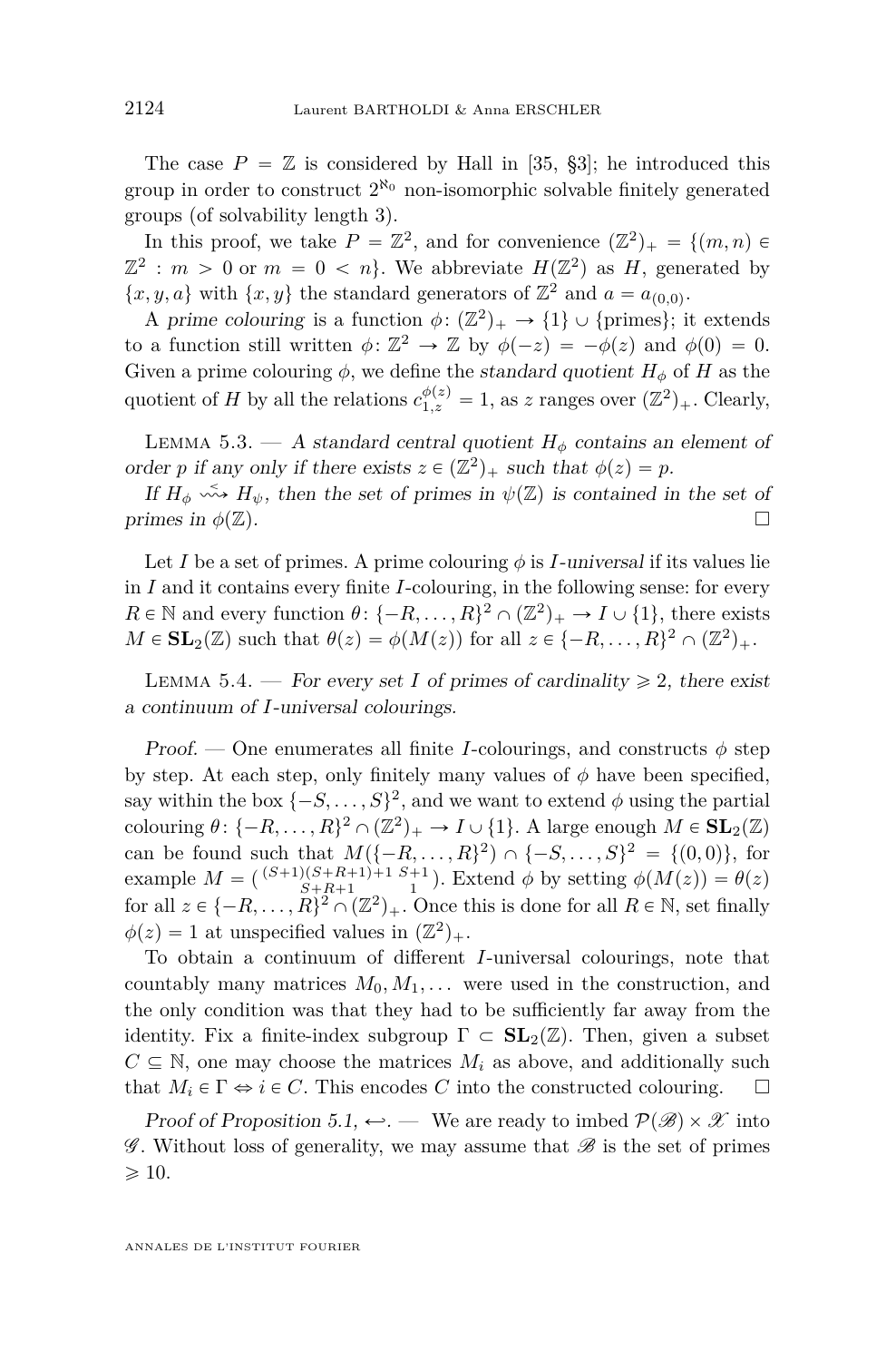<span id="page-34-0"></span>The case  $P = \mathbb{Z}$  is considered by Hall in [\[35,](#page-53-0) §3]; he introduced this group in order to construct  $2^{\aleph_0}$  non-isomorphic solvable finitely generated groups (of solvability length 3).

In this proof, we take  $P = \mathbb{Z}^2$ , and for convenience  $(\mathbb{Z}^2)_+ = \{(m, n) \in$  $\mathbb{Z}^2$ : *m* > 0 or *m* = 0 < *n*. We abbreviate  $H(\mathbb{Z}^2)$  as *H*, generated by  $\{x, y, a\}$  with  $\{x, y\}$  the standard generators of  $\mathbb{Z}^2$  and  $a = a_{(0,0)}$ .

A prime colouring is a function  $\phi: (\mathbb{Z}^2)_+ \to \{1\} \cup \{\text{primes}\};$  it extends to a function still written  $\phi: \mathbb{Z}^2 \to \mathbb{Z}$  by  $\phi(-z) = -\phi(z)$  and  $\phi(0) = 0$ . Given a prime colouring  $\phi$ , we define the standard quotient  $H_{\phi}$  of *H* as the quotient of *H* by all the relations  $c_{1,z}^{\phi(z)} = 1$ , as *z* ranges over  $(\mathbb{Z}^2)_+$ . Clearly,

LEMMA 5.3. — A standard central quotient  $H_{\phi}$  contains an element of order *p* if any only if there exists  $z \in (\mathbb{Z}^2)_+$  such that  $\phi(z) = p$ .

If  $H_{\phi} \leftrightarrow H_{\psi}$ , then the set of primes in  $\psi(\mathbb{Z})$  is contained in the set of primes in  $\phi(\mathbb{Z})$ .

Let *I* be a set of primes. A prime colouring  $\phi$  is *I*-universal if its values lie in *I* and it contains every finite *I*-colouring, in the following sense: for every  $R \in \mathbb{N}$  and every function  $\theta$ :  $\{-R, \ldots, R\}^2 \cap (\mathbb{Z}^2)_+ \to I \cup \{1\}$ , there exists  $M \in SL_2(\mathbb{Z})$  such that  $\theta(z) = \phi(M(z))$  for all  $z \in \{-R, \ldots, R\}^2 \cap (\mathbb{Z}^2)_+$ .

LEMMA 5.4. — For every set *I* of primes of cardinality  $\geq 2$ , there exist a continuum of *I*-universal colourings.

Proof. — One enumerates all finite *I*-colourings, and constructs  $\phi$  step by step. At each step, only finitely many values of  $\phi$  have been specified, say within the box  $\{-S, \ldots, S\}^2$ , and we want to extend  $\phi$  using the partial colouring  $\theta$ :  $\{-R, \ldots, R\}^2 \cap (\mathbb{Z}^2)_+ \to I \cup \{1\}$ . A large enough  $M \in SL_2(\mathbb{Z})$ can be found such that  $M({-R, ..., R})^2 \cap {-S, ..., S}^2 = {(0,0)}$ , for example  $M = \begin{pmatrix} (S+1)(S+R+1)+1 & S+1 \\ S+R+1 & 1 \end{pmatrix}$ . Extend  $\phi$  by setting  $\phi(M(z)) = \theta(z)$ for all  $z \in \{-R, \ldots, R\}^2 \cap (\mathbb{Z}^2)_+$ . Once this is done for all  $R \in \mathbb{N}$ , set finally  $\phi(z) = 1$  at unspecified values in  $(\mathbb{Z}^2)_+$ .

To obtain a continuum of different *I*-universal colourings, note that countably many matrices  $M_0, M_1, \ldots$  were used in the construction, and the only condition was that they had to be sufficiently far away from the identity. Fix a finite-index subgroup  $\Gamma \subset SL_2(\mathbb{Z})$ . Then, given a subset  $C \subseteq \mathbb{N}$ , one may choose the matrices  $M_i$  as above, and additionally such that  $M_i \in \Gamma \Leftrightarrow i \in C$ . This encodes C into the constructed colouring.  $\square$ 

Proof of Proposition [5.1,](#page-32-0)  $\leftrightarrow$ . — We are ready to imbed  $\mathcal{P}(\mathscr{B}) \times \mathscr{X}$  into  $\mathscr G$ . Without loss of generality, we may assume that  $\mathscr B$  is the set of primes  $\geqslant$  10.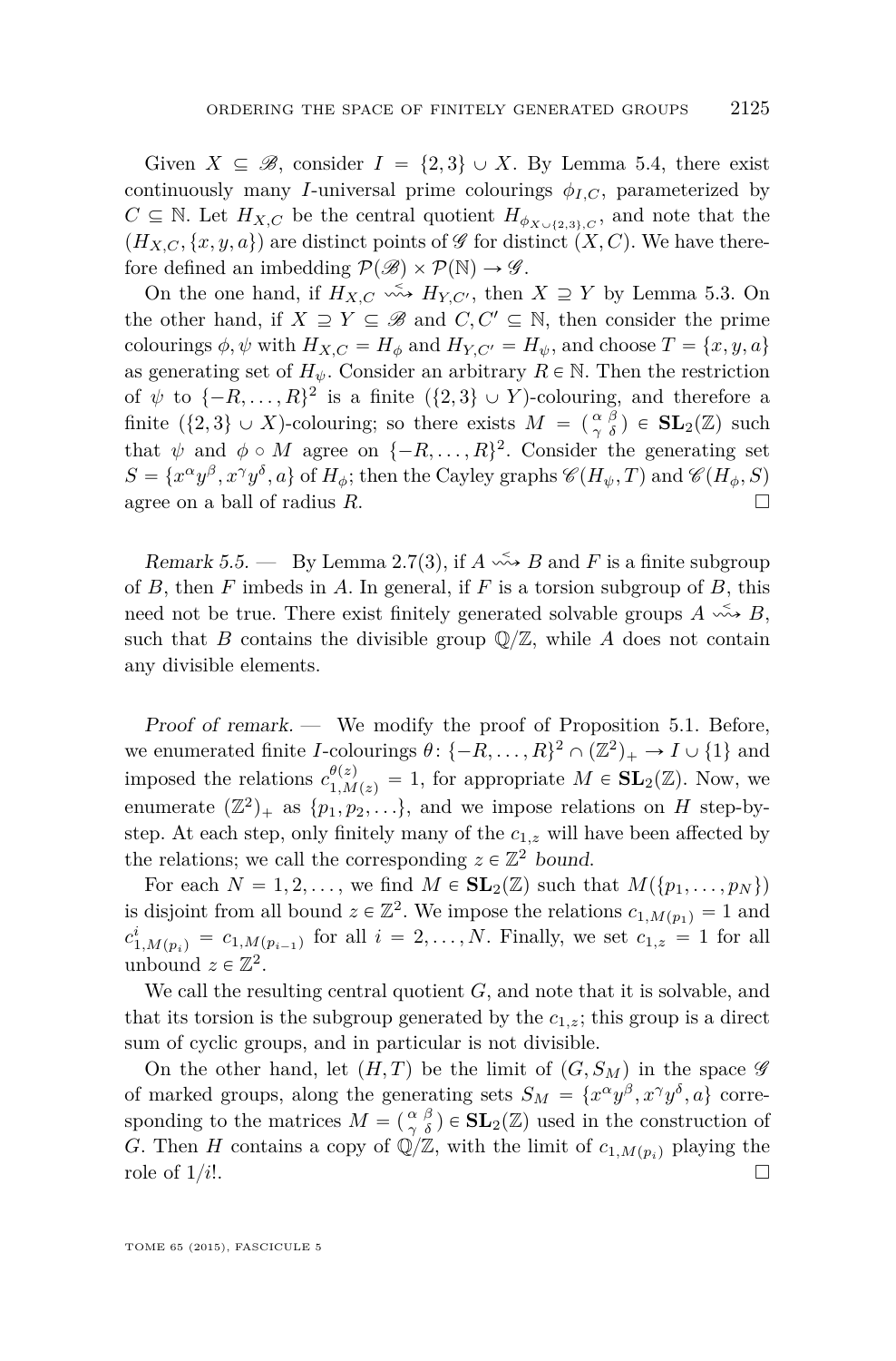Given  $X \subseteq \mathcal{B}$ , consider  $I = \{2,3\} \cup X$ . By Lemma [5.4,](#page-34-0) there exist continuously many *I*-universal prime colourings  $\phi_{I,C}$ , parameterized by  $C \subseteq \mathbb{N}$ . Let  $H_{X,C}$  be the central quotient  $H_{\phi_{X \cup \{2,3\},C}}$ , and note that the  $(H_{X,C}, \{x, y, a\})$  are distinct points of  $\mathscr G$  for distinct  $(X, C)$ . We have therefore defined an imbedding  $\mathcal{P}(\mathcal{B}) \times \mathcal{P}(\mathbb{N}) \rightarrow \mathcal{G}$ .

On the one hand, if  $H_{X,C} \xrightarrow{\sim} H_{Y,C'}$ , then  $X \supseteq Y$  by Lemma [5.3.](#page-34-0) On the other hand, if  $X \supseteq Y \subseteq \mathscr{B}$  and  $C, C' \subseteq \mathbb{N}$ , then consider the prime colourings  $\phi$ ,  $\psi$  with  $H_{X,C} = H_{\phi}$  and  $H_{Y,C'} = H_{\psi}$ , and choose  $T = \{x, y, a\}$ as generating set of  $H_{\psi}$ . Consider an arbitrary  $R \in \mathbb{N}$ . Then the restriction of  $\psi$  to  $\{-R, \ldots, R\}^2$  is a finite  $(\{2,3\} \cup Y)$ -colouring, and therefore a finite  $({2,3} \cup X)$ -colouring; so there exists  $M = \begin{pmatrix} \alpha & \beta \\ \gamma & \delta \end{pmatrix} \in SL_2(\mathbb{Z})$  such that  $\psi$  and  $\phi \circ M$  agree on  $\{-R, \ldots, R\}^2$ . Consider the generating set  $S = \{x^{\alpha}y^{\beta}, x^{\gamma}y^{\delta}, a\}$  of  $H_{\phi}$ ; then the Cayley graphs  $\mathscr{C}(H_{\psi}, T)$  and  $\mathscr{C}(H_{\phi}, S)$ agree on a ball of radius *R*.

Remark 5.5. — By Lemma [2.7\(](#page-11-0)3), if  $A \xrightarrow{\sim} B$  and  $F$  is a finite subgroup of *B*, then *F* imbeds in *A*. In general, if *F* is a torsion subgroup of *B*, this need not be true. There exist finitely generated solvable groups  $A \xrightarrow{\sim} B$ , such that *B* contains the divisible group  $\mathbb{Q}/\mathbb{Z}$ , while *A* does not contain any divisible elements.

Proof of remark. — We modify the proof of Proposition [5.1.](#page-32-0) Before, we enumerated finite *I*-colourings  $\theta$ :  $\{-R, \ldots, R\}^2 \cap (\mathbb{Z}^2)_+ \to I \cup \{1\}$  and imposed the relations  $c_{1,M(z)}^{\theta(z)} = 1$ , for appropriate  $M \in SL_2(\mathbb{Z})$ . Now, we enumerate  $(\mathbb{Z}^2)_+$  as  $\{p_1, p_2, \ldots\}$ , and we impose relations on *H* step-bystep. At each step, only finitely many of the *c*1*,z* will have been affected by the relations; we call the corresponding  $z \in \mathbb{Z}^2$  bound.

For each  $N = 1, 2, \ldots$ , we find  $M \in SL_2(\mathbb{Z})$  such that  $M({p_1, \ldots, p_N})$ is disjoint from all bound  $z \in \mathbb{Z}^2$ . We impose the relations  $c_{1,M(p_1)} = 1$  and  $c_{1,M(p_i)}^i = c_{1,M(p_{i-1})}$  for all  $i = 2, ..., N$ . Finally, we set  $c_{1,z} = 1$  for all unbound  $z \in \mathbb{Z}^2$ .

We call the resulting central quotient *G*, and note that it is solvable, and that its torsion is the subgroup generated by the  $c_{1,z}$ ; this group is a direct sum of cyclic groups, and in particular is not divisible.

On the other hand, let  $(H, T)$  be the limit of  $(G, S_M)$  in the space  $\mathscr G$ of marked groups, along the generating sets  $S_M = \{x^\alpha y^\beta, x^\gamma y^\delta, a\}$  corresponding to the matrices  $M = \begin{pmatrix} \alpha & \beta \\ \gamma & \delta \end{pmatrix} \in SL_2(\mathbb{Z})$  used in the construction of *G*. Then *H* contains a copy of  $\mathbb{Q}/\mathbb{Z}$ , with the limit of  $c_{1,M(p_i)}$  playing the role of  $1/i!$ .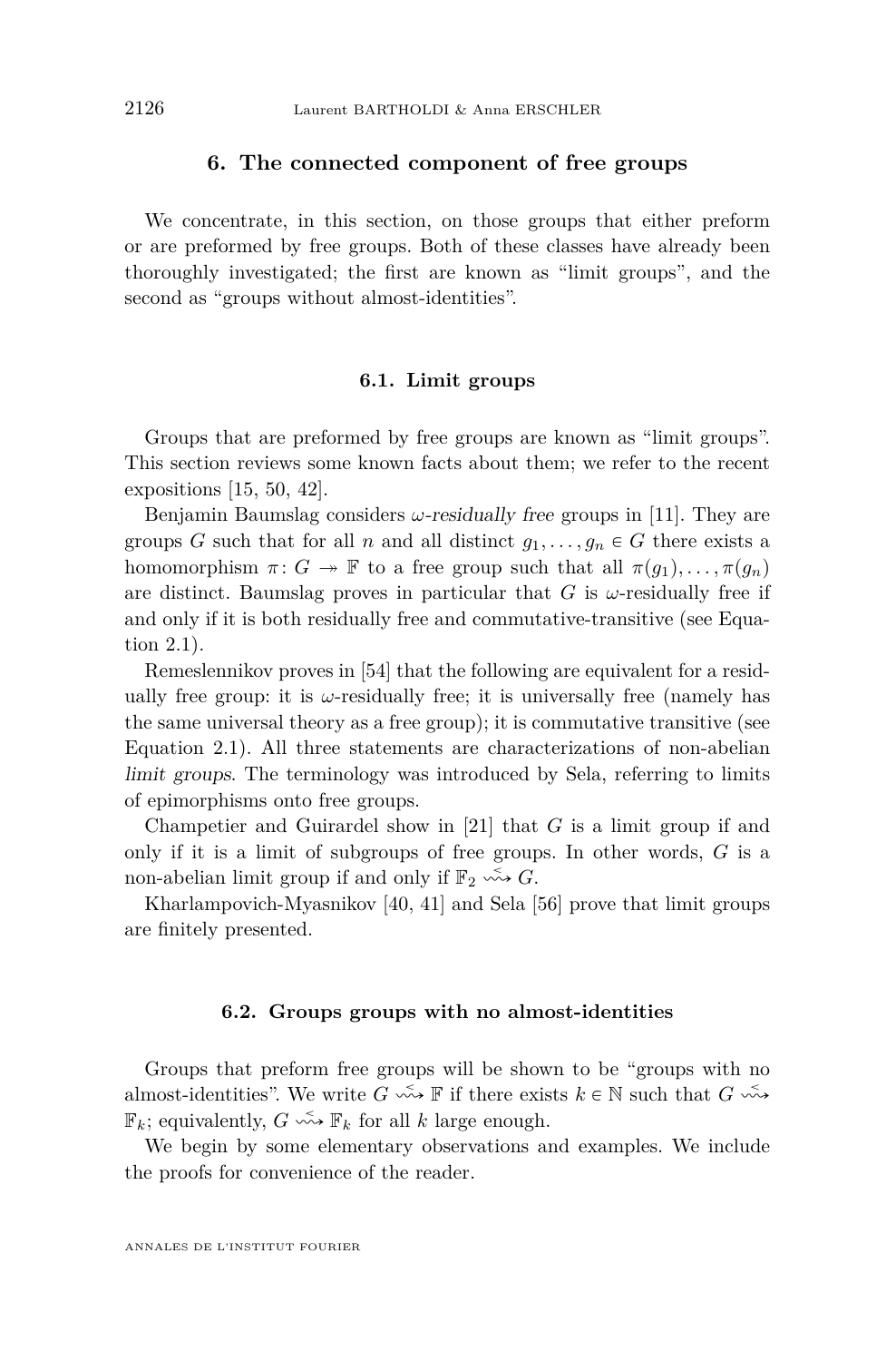#### **6. The connected component of free groups**

<span id="page-36-0"></span>We concentrate, in this section, on those groups that either preform or are preformed by free groups. Both of these classes have already been thoroughly investigated; the first are known as "limit groups", and the second as "groups without almost-identities".

#### **6.1. Limit groups**

Groups that are preformed by free groups are known as "limit groups". This section reviews some known facts about them; we refer to the recent expositions [\[15,](#page-52-0) [50,](#page-53-0) [42\]](#page-53-0).

Benjamin Baumslag considers *ω*-residually free groups in [\[11\]](#page-52-0). They are groups *G* such that for all *n* and all distinct  $g_1, \ldots, g_n \in G$  there exists a homomorphism  $\pi: G \to \mathbb{F}$  to a free group such that all  $\pi(g_1), \ldots, \pi(g_n)$ are distinct. Baumslag proves in particular that  $G$  is  $\omega$ -residually free if and only if it is both residually free and commutative-transitive (see Equation [2.1\)](#page-11-0).

Remeslennikov proves in [\[54\]](#page-53-0) that the following are equivalent for a residually free group: it is  $\omega$ -residually free; it is universally free (namely has the same universal theory as a free group); it is commutative transitive (see Equation [2.1\)](#page-11-0). All three statements are characterizations of non-abelian limit groups. The terminology was introduced by Sela, referring to limits of epimorphisms onto free groups.

Champetier and Guirardel show in [\[21\]](#page-52-0) that *G* is a limit group if and only if it is a limit of subgroups of free groups. In other words, *G* is a non-abelian limit group if and only if  $\mathbb{F}_2 \longrightarrow G$ .

Kharlampovich-Myasnikov [\[40,](#page-53-0) [41\]](#page-53-0) and Sela [\[56\]](#page-54-0) prove that limit groups are finitely presented.

#### **6.2. Groups groups with no almost-identities**

Groups that preform free groups will be shown to be "groups with no almost-identities". We write  $G \stackrel{\leq}{\longrightarrow} \mathbb{F}$  if there exists  $k \in \mathbb{N}$  such that  $G \stackrel{\leq}{\longrightarrow}$  $\mathbb{F}_k$ ; equivalently,  $G \leftrightarrow \mathbb{F}_k$  for all  $k$  large enough.

We begin by some elementary observations and examples. We include the proofs for convenience of the reader.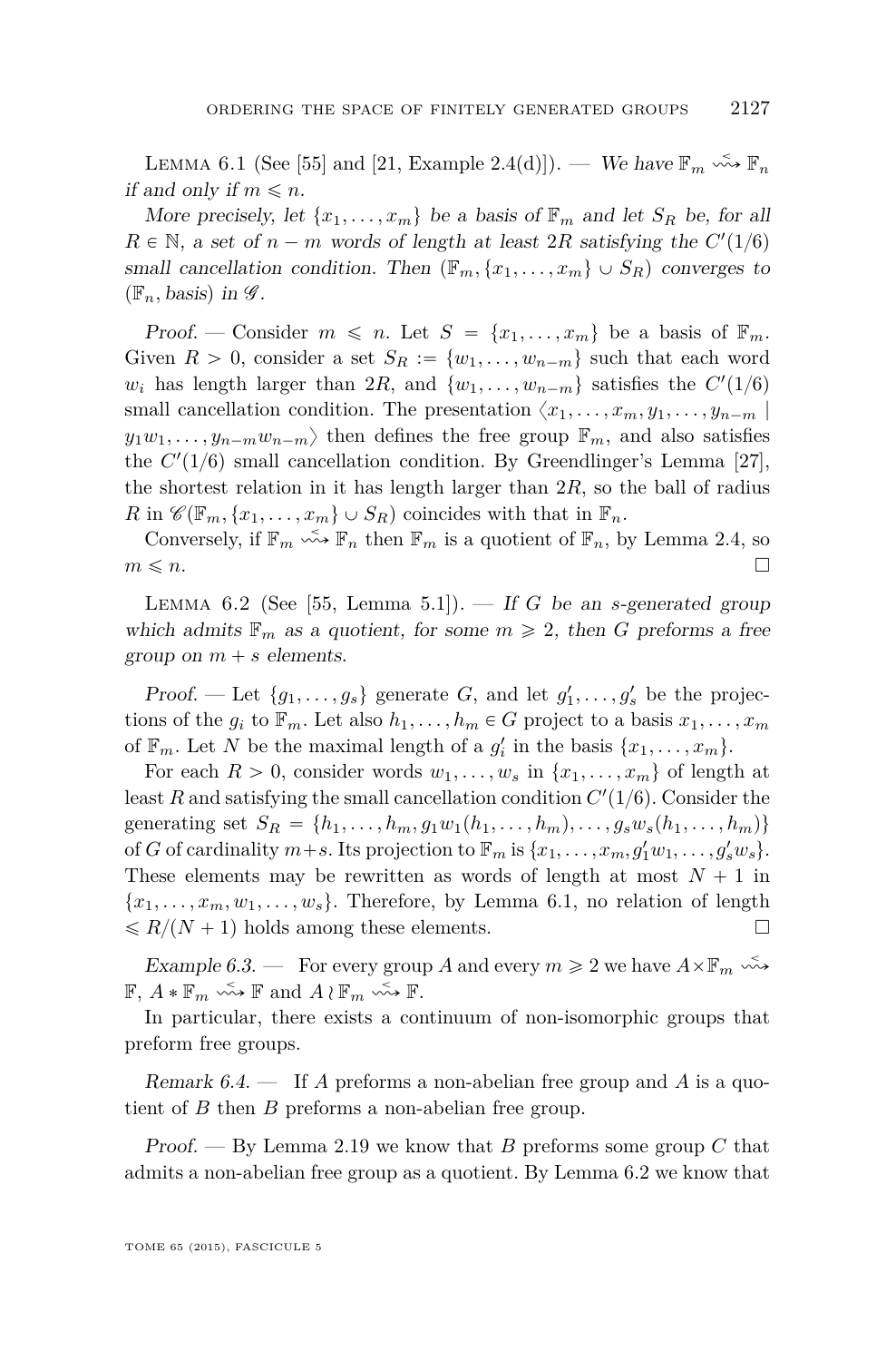<span id="page-37-0"></span>LEMMA 6.1 (See [\[55\]](#page-54-0) and [\[21,](#page-52-0) Example 2.4(d)]). — We have  $\mathbb{F}_m \stackrel{\sim}{\leadsto} \mathbb{F}_n$ if and only if  $m \leq n$ .

More precisely, let  $\{x_1, \ldots, x_m\}$  be a basis of  $\mathbb{F}_m$  and let  $S_R$  be, for all  $R \in \mathbb{N}$ , a set of  $n - m$  words of length at least 2*R* satisfying the  $C'(1/6)$ small cancellation condition. Then  $(\mathbb{F}_m, \{x_1, \ldots, x_m\} \cup S_R)$  converges to  $(\mathbb{F}_n, \text{basis})$  in  $\mathscr{G}$ .

Proof. — Consider  $m \leq n$ . Let  $S = \{x_1, \ldots, x_m\}$  be a basis of  $\mathbb{F}_m$ . Given  $R > 0$ , consider a set  $S_R := \{w_1, \ldots, w_{n-m}\}\$  such that each word  $w_i$  has length larger than 2*R*, and  $\{w_1, \ldots, w_{n-m}\}$  satisfies the  $C'(1/6)$ small cancellation condition. The presentation  $\langle x_1, \ldots, x_m, y_1, \ldots, y_{n-m} \rangle$  $y_1w_1, \ldots, y_{n-m}w_{n-m}$  then defines the free group  $\mathbb{F}_m$ , and also satisfies the  $C'(1/6)$  small cancellation condition. By Greendlinger's Lemma [\[27\]](#page-52-0), the shortest relation in it has length larger than  $2R$ , so the ball of radius  $R$  in  $\mathscr{C}(\mathbb{F}_m, \{x_1, \ldots, x_m\} \cup S_R)$  coincides with that in  $\mathbb{F}_n$ .

Conversely, if  $\mathbb{F}_m \xrightarrow{\sim} \mathbb{F}_n$  then  $\mathbb{F}_m$  is a quotient of  $\mathbb{F}_n$ , by Lemma [2.4,](#page-9-0) so  $m \leq n$ .

LEMMA 6.2 (See [\[55,](#page-54-0) Lemma 5.1]). — If *G* be an *s*-generated group which admits  $\mathbb{F}_m$  as a quotient, for some  $m \geq 2$ , then *G* preforms a free group on  $m + s$  elements.

*Proof.* — Let  $\{g_1, \ldots, g_s\}$  generate *G*, and let  $g'_1, \ldots, g'_s$  be the projections of the  $g_i$  to  $\mathbb{F}_m$ . Let also  $h_1, \ldots, h_m \in G$  project to a basis  $x_1, \ldots, x_m$ of  $\mathbb{F}_m$ . Let *N* be the maximal length of a  $g'_i$  in the basis  $\{x_1, \ldots, x_m\}$ .

For each  $R > 0$ , consider words  $w_1, \ldots, w_s$  in  $\{x_1, \ldots, x_m\}$  of length at least *R* and satisfying the small cancellation condition  $C'(1/6)$ . Consider the generating set  $S_R = \{h_1, \ldots, h_m, g_1w_1(h_1, \ldots, h_m), \ldots, g_sw_s(h_1, \ldots, h_m)\}\$ of *G* of cardinality  $m+s$ . Its projection to  $\mathbb{F}_m$  is  $\{x_1, \ldots, x_m, g'_1w_1, \ldots, g'_sw_s\}.$ These elements may be rewritten as words of length at most  $N + 1$  in  ${x_1, \ldots, x_m, w_1, \ldots, w_s}$ . Therefore, by Lemma 6.1, no relation of length  $\leq R/(N+1)$  holds among these elements.

Example 6.3. — For every group A and every  $m \geq 2$  we have  $A \times \mathbb{F}_m \stackrel{\sim}{\leadsto}$  $\mathbb{F}, A * \mathbb{F}_m \xrightarrow{\sim} \mathbb{F}$  and  $A \wr \mathbb{F}_m \xrightarrow{\sim} \mathbb{F}$ .

In particular, there exists a continuum of non-isomorphic groups that preform free groups.

Remark 6.4. — If *A* preforms a non-abelian free group and *A* is a quotient of *B* then *B* preforms a non-abelian free group.

Proof. — By Lemma [2.19](#page-16-0) we know that *B* preforms some group *C* that admits a non-abelian free group as a quotient. By Lemma 6.2 we know that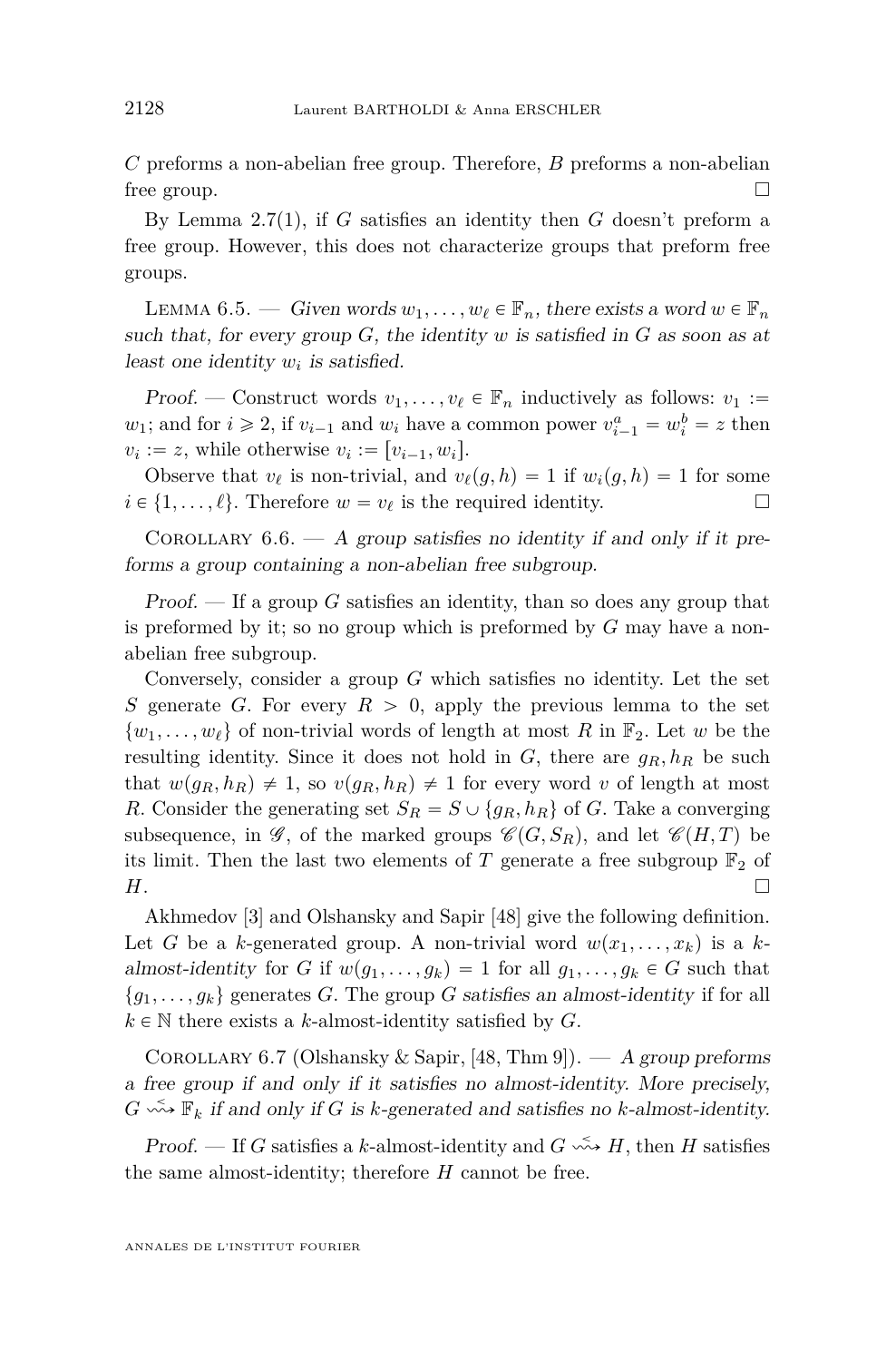<span id="page-38-0"></span>*C* preforms a non-abelian free group. Therefore, *B* preforms a non-abelian free group.  $\square$ 

By Lemma [2.7\(](#page-11-0)1), if *G* satisfies an identity then *G* doesn't preform a free group. However, this does not characterize groups that preform free groups.

LEMMA 6.5. — Given words  $w_1, \ldots, w_\ell \in \mathbb{F}_n$ , there exists a word  $w \in \mathbb{F}_n$ such that, for every group *G*, the identity *w* is satisfied in *G* as soon as at least one identity *w<sup>i</sup>* is satisfied.

*Proof.* — Construct words  $v_1, \ldots, v_\ell \in \mathbb{F}_n$  inductively as follows:  $v_1 :=$ *w*<sub>1</sub>; and for  $i \ge 2$ , if  $v_{i-1}$  and  $w_i$  have a common power  $v_{i-1}^a = w_i^b = z$  then  $v_i := z$ , while otherwise  $v_i := [v_{i-1}, w_i]$ .

Observe that  $v_\ell$  is non-trivial, and  $v_\ell(g, h) = 1$  if  $w_i(g, h) = 1$  for some  $i \in \{1, \ldots, \ell\}$ . Therefore  $w = v_{\ell}$  is the required identity.

COROLLARY  $6.6. - A$  group satisfies no identity if and only if it preforms a group containing a non-abelian free subgroup.

Proof. — If a group *G* satisfies an identity, than so does any group that is preformed by it; so no group which is preformed by *G* may have a nonabelian free subgroup.

Conversely, consider a group *G* which satisfies no identity. Let the set *S* generate *G*. For every  $R > 0$ , apply the previous lemma to the set  $\{w_1, \ldots, w_\ell\}$  of non-trivial words of length at most *R* in  $\mathbb{F}_2$ . Let *w* be the resulting identity. Since it does not hold in *G*, there are *gR, h<sup>R</sup>* be such that  $w(g_R, h_R) \neq 1$ , so  $v(g_R, h_R) \neq 1$  for every word *v* of length at most *R*. Consider the generating set  $S_R = S \cup \{g_R, h_R\}$  of *G*. Take a converging subsequence, in  $\mathscr{G}$ , of the marked groups  $\mathscr{C}(G, S_R)$ , and let  $\mathscr{C}(H, T)$  be its limit. Then the last two elements of  $T$  generate a free subgroup  $\mathbb{F}_2$  of *H*.

Akhmedov [\[3\]](#page-51-0) and Olshansky and Sapir [\[48\]](#page-53-0) give the following definition. Let *G* be a *k*-generated group. A non-trivial word  $w(x_1, \ldots, x_k)$  is a *k*almost-identity for *G* if  $w(g_1, \ldots, g_k) = 1$  for all  $g_1, \ldots, g_k \in G$  such that  ${g_1, \ldots, g_k}$  generates *G*. The group *G* satisfies an almost-identity if for all  $k \in \mathbb{N}$  there exists a *k*-almost-identity satisfied by *G*.

COROLLARY 6.7 (Olshansky & Sapir, [\[48,](#page-53-0) Thm 9]). — A group preforms a free group if and only if it satisfies no almost-identity. More precisely,  $G \stackrel{\sim}{\leadsto} \mathbb{F}_k$  if and only if *G* is *k*-generated and satisfies no *k*-almost-identity.

Proof. — If *G* satisfies a *k*-almost-identity and  $G \leftrightarrow H$ , then *H* satisfies the same almost-identity; therefore *H* cannot be free.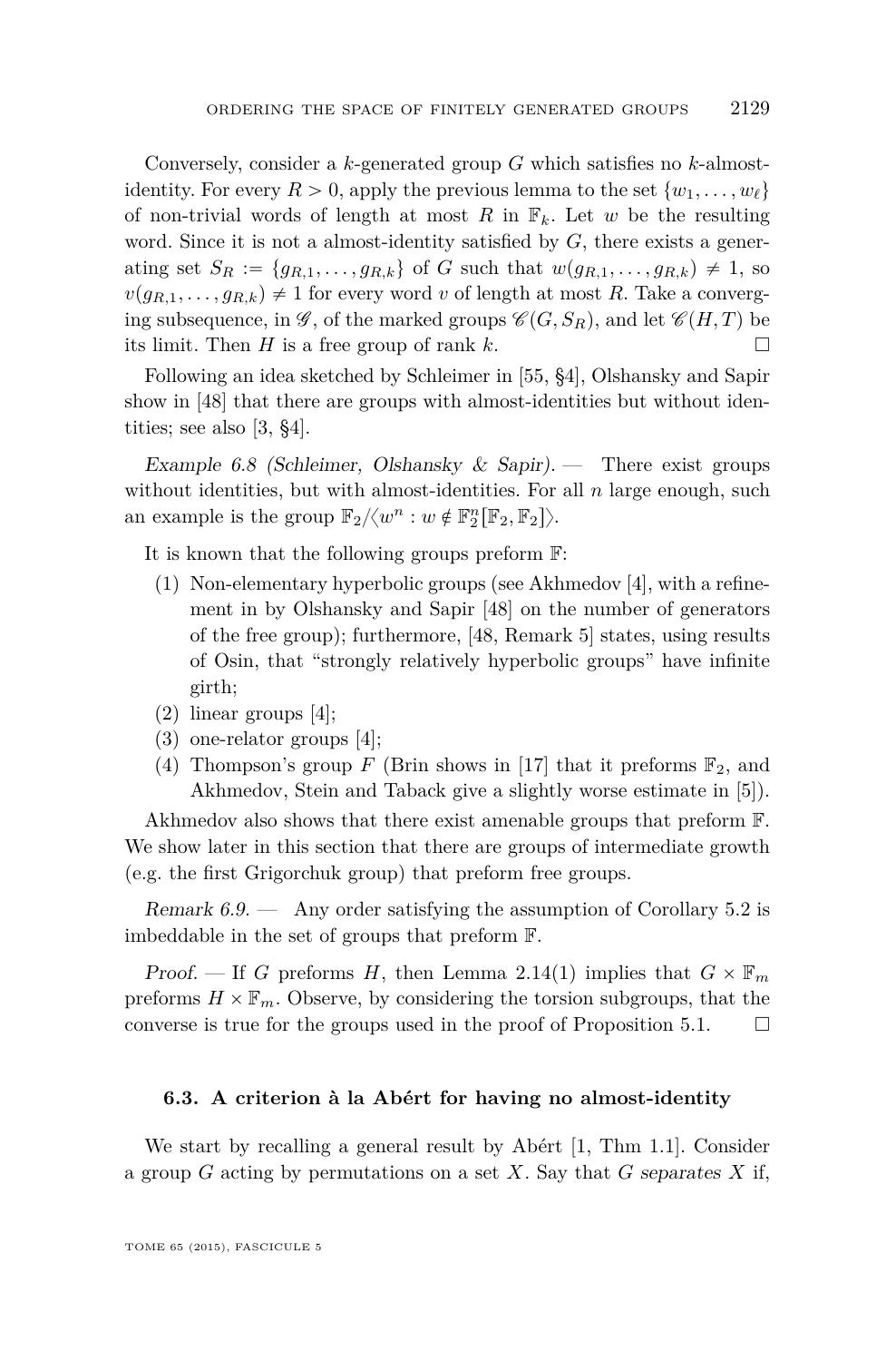<span id="page-39-0"></span>Conversely, consider a *k*-generated group *G* which satisfies no *k*-almostidentity. For every  $R > 0$ , apply the previous lemma to the set  $\{w_1, \ldots, w_\ell\}$ of non-trivial words of length at most R in  $\mathbb{F}_k$ . Let w be the resulting word. Since it is not a almost-identity satisfied by *G*, there exists a generating set  $S_R := \{g_{R,1}, \ldots, g_{R,k}\}\$  of *G* such that  $w(g_{R,1}, \ldots, g_{R,k}) \neq 1$ , so  $v(g_{R,1}, \ldots, g_{R,k}) \neq 1$  for every word *v* of length at most *R*. Take a converging subsequence, in  $\mathscr{G}$ , of the marked groups  $\mathscr{C}(G, S_R)$ , and let  $\mathscr{C}(H, T)$  be its limit. Then *H* is a free group of rank *k*.

Following an idea sketched by Schleimer in [\[55,](#page-54-0) §4], Olshansky and Sapir show in [\[48\]](#page-53-0) that there are groups with almost-identities but without identities; see also [\[3,](#page-51-0) §4].

Example 6.8 (Schleimer, Olshansky & Sapir). — There exist groups without identities, but with almost-identities. For all *n* large enough, such an example is the group  $\mathbb{F}_2/\langle w^n : w \notin \mathbb{F}_2^n[\mathbb{F}_2, \mathbb{F}_2] \rangle$ .

It is known that the following groups preform F:

- $(1)$  Non-elementary hyperbolic groups (see Akhmedov [\[4\]](#page-51-0), with a refinement in by Olshansky and Sapir [\[48\]](#page-53-0) on the number of generators of the free group); furthermore, [\[48,](#page-53-0) Remark 5] states, using results of Osin, that "strongly relatively hyperbolic groups" have infinite girth;
- (2) linear groups [\[4\]](#page-51-0);
- (3) one-relator groups [\[4\]](#page-51-0);
- (4) Thompson's group *F* (Brin shows in [\[17\]](#page-52-0) that it preforms  $\mathbb{F}_2$ , and Akhmedov, Stein and Taback give a slightly worse estimate in [\[5\]](#page-51-0)).

Akhmedov also shows that there exist amenable groups that preform F. We show later in this section that there are groups of intermediate growth (e.g. the first Grigorchuk group) that preform free groups.

Remark  $6.9.$  — Any order satisfying the assumption of Corollary [5.2](#page-33-0) is imbeddable in the set of groups that preform F.

Proof. — If *G* preforms *H*, then Lemma [2.14\(](#page-14-0)1) implies that  $G \times \mathbb{F}_m$ preforms  $H \times \mathbb{F}_m$ . Observe, by considering the torsion subgroups, that the converse is true for the groups used in the proof of Proposition [5.1.](#page-32-0)  $\Box$ 

#### **6.3. A criterion à la Abért for having no almost-identity**

We start by recalling a general result by Abért [\[1,](#page-51-0) Thm 1.1]. Consider a group *G* acting by permutations on a set *X*. Say that *G* separates *X* if,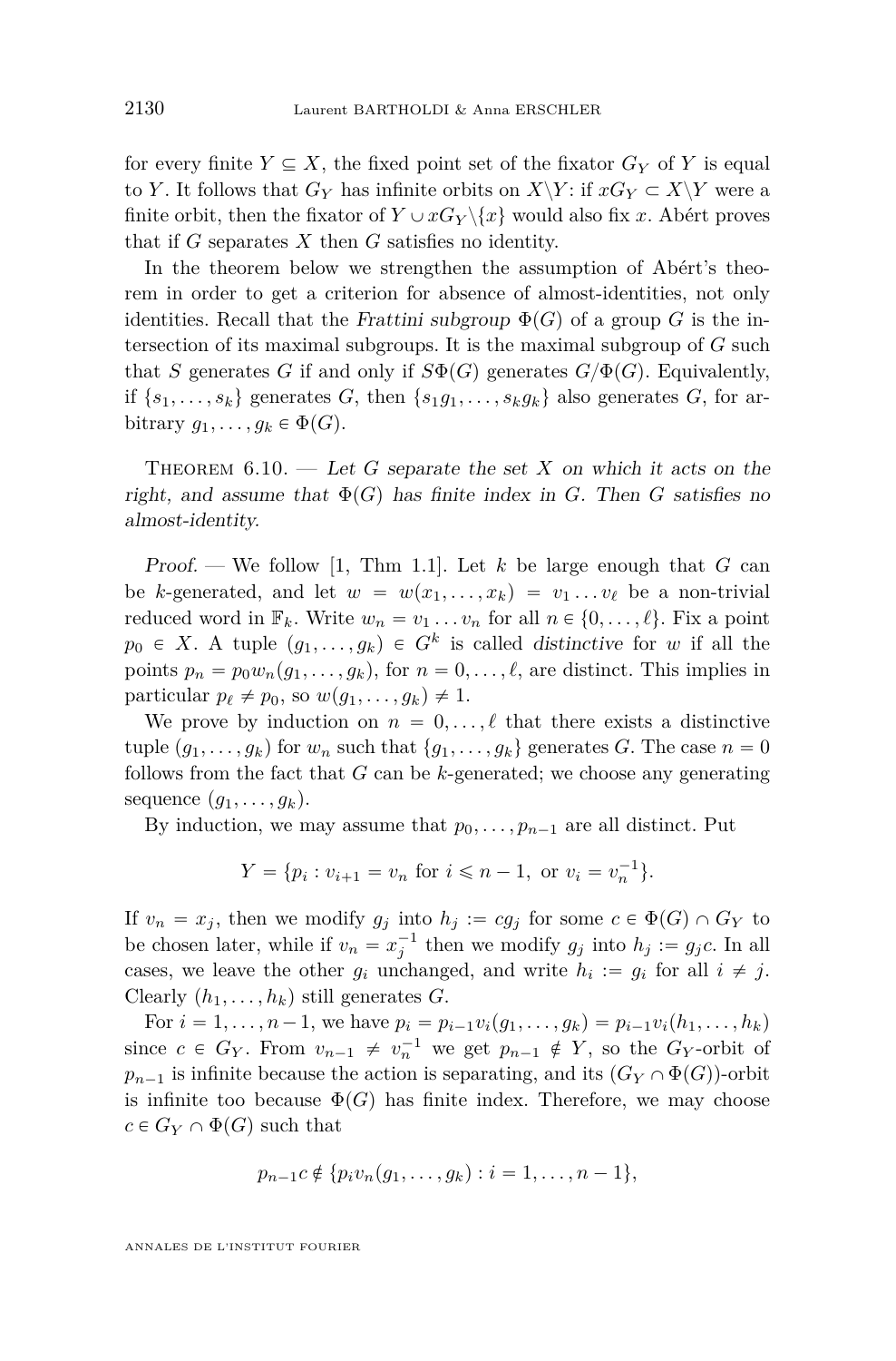<span id="page-40-0"></span>for every finite  $Y \subseteq X$ , the fixed point set of the fixator  $G_Y$  of Y is equal to *Y*. It follows that  $G_Y$  has infinite orbits on  $X\Y$ : if  $xG_Y \subset X\Y$  were a finite orbit, then the fixator of  $Y \cup xG_Y \setminus \{x\}$  would also fix x. Abért proves that if *G* separates *X* then *G* satisfies no identity.

In the theorem below we strengthen the assumption of Abért's theorem in order to get a criterion for absence of almost-identities, not only identities. Recall that the Frattini subgroup  $\Phi(G)$  of a group *G* is the intersection of its maximal subgroups. It is the maximal subgroup of *G* such that *S* generates *G* if and only if  $S\Phi(G)$  generates  $G/\Phi(G)$ . Equivalently, if  $\{s_1, \ldots, s_k\}$  generates *G*, then  $\{s_1g_1, \ldots, s_kg_k\}$  also generates *G*, for arbitrary  $g_1, \ldots, g_k \in \Phi(G)$ .

THEOREM  $6.10.$  — Let *G* separate the set *X* on which it acts on the right, and assume that  $\Phi(G)$  has finite index in *G*. Then *G* satisfies no almost-identity.

Proof. — We follow [\[1,](#page-51-0) Thm 1.1]. Let *k* be large enough that *G* can be *k*-generated, and let  $w = w(x_1, \ldots, x_k) = v_1 \ldots v_\ell$  be a non-trivial reduced word in  $\mathbb{F}_k$ . Write  $w_n = v_1 \dots v_n$  for all  $n \in \{0, \dots, \ell\}$ . Fix a point  $p_0 \in X$ . A tuple  $(g_1, \ldots, g_k) \in G^k$  is called distinctive for *w* if all the points  $p_n = p_0w_n(g_1, \ldots, g_k)$ , for  $n = 0, \ldots, \ell$ , are distinct. This implies in particular  $p_\ell \neq p_0$ , so  $w(g_1, \ldots, g_k) \neq 1$ .

We prove by induction on  $n = 0, \ldots, \ell$  that there exists a distinctive tuple  $(g_1, \ldots, g_k)$  for  $w_n$  such that  $\{g_1, \ldots, g_k\}$  generates *G*. The case  $n = 0$ follows from the fact that *G* can be *k*-generated; we choose any generating sequence  $(g_1, \ldots, g_k)$ .

By induction, we may assume that  $p_0, \ldots, p_{n-1}$  are all distinct. Put

$$
Y = \{ p_i : v_{i+1} = v_n \text{ for } i \le n-1, \text{ or } v_i = v_n^{-1} \}.
$$

If  $v_n = x_j$ , then we modify  $g_j$  into  $h_j := cg_j$  for some  $c \in \Phi(G) \cap G_Y$  to be chosen later, while if  $v_n = x_j^{-1}$  then we modify  $g_j$  into  $h_j := g_j c$ . In all cases, we leave the other  $g_i$  unchanged, and write  $h_i := g_i$  for all  $i \neq j$ . Clearly  $(h_1, \ldots, h_k)$  still generates *G*.

For  $i = 1, \ldots, n-1$ , we have  $p_i = p_{i-1}v_i(g_1, \ldots, g_k) = p_{i-1}v_i(h_1, \ldots, h_k)$ since  $c \in G_Y$ . From  $v_{n-1} \neq v_n^{-1}$  we get  $p_{n-1} \notin Y$ , so the  $G_Y$ -orbit of  $p_{n-1}$  is infinite because the action is separating, and its  $(G_Y \cap \Phi(G))$ -orbit is infinite too because  $\Phi(G)$  has finite index. Therefore, we may choose  $c \in G_Y \cap \Phi(G)$  such that

$$
p_{n-1}c \notin \{p_i v_n(g_1,\ldots,g_k) : i=1,\ldots,n-1\},\
$$

ANNALES DE L'INSTITUT FOURIER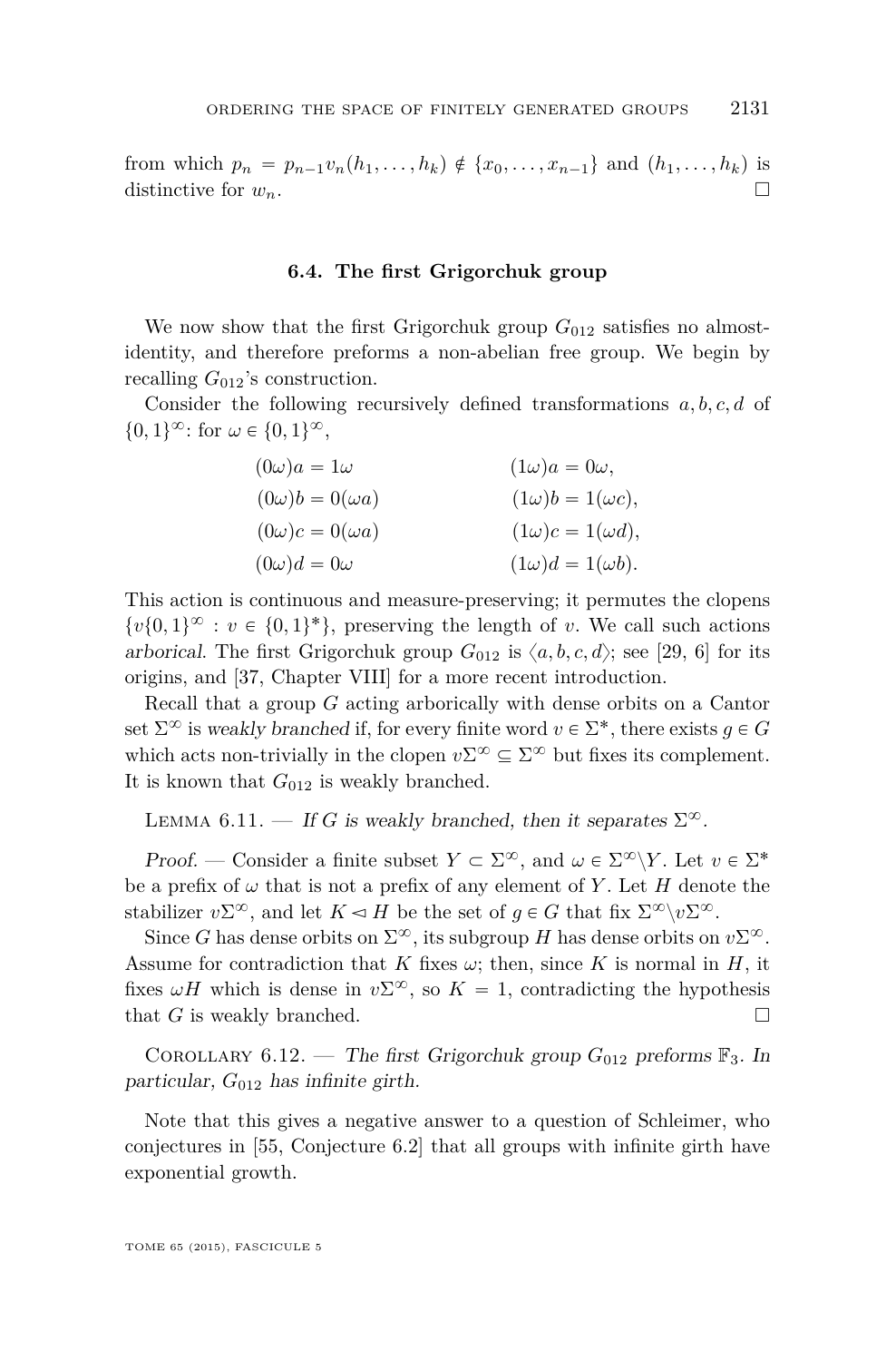<span id="page-41-0"></span>from which  $p_n = p_{n-1}v_n(h_1, \ldots, h_k) \notin \{x_0, \ldots, x_{n-1}\}$  and  $(h_1, \ldots, h_k)$  is distinctive for  $w_n$ .

#### **6.4. The first Grigorchuk group**

We now show that the first Grigorchuk group  $G_{012}$  satisfies no almostidentity, and therefore preforms a non-abelian free group. We begin by recalling  $G_{012}$ 's construction.

Consider the following recursively defined transformations *a, b, c, d* of  $\{0,1\}^{\infty}$ : for  $\omega \in \{0,1\}^{\infty}$ ,

| $(0\omega)a = 1\omega$     | $(1\omega)a = 0\omega$ ,     |
|----------------------------|------------------------------|
| $(0\omega)b = 0(\omega a)$ | $(1\omega)b = 1(\omega c)$ , |
| $(0\omega)c = 0(\omega a)$ | $(1\omega)c = 1(\omega d)$ , |
| $(0\omega)d = 0\omega$     | $(1\omega)d = 1(\omega b)$ . |

This action is continuous and measure-preserving; it permutes the clopens  $\{v\{0,1\}^{\infty}: v \in \{0,1\}^*\}$ , preserving the length of *v*. We call such actions arborical. The first Grigorchuk group  $G_{012}$  is  $\langle a, b, c, d \rangle$ ; see [\[29,](#page-52-0) [6\]](#page-51-0) for its origins, and [\[37,](#page-53-0) Chapter VIII] for a more recent introduction.

Recall that a group *G* acting arborically with dense orbits on a Cantor set  $\Sigma^{\infty}$  is weakly branched if, for every finite word  $v \in \Sigma^*$ , there exists  $g \in G$ which acts non-trivially in the clopen  $v\Sigma^{\infty} \subseteq \Sigma^{\infty}$  but fixes its complement. It is known that  $G_{012}$  is weakly branched.

LEMMA 6.11. — If *G* is weakly branched, then it separates  $\Sigma^{\infty}$ .

Proof. — Consider a finite subset  $Y \subset \Sigma^{\infty}$ , and  $\omega \in \Sigma^{\infty} \backslash Y$ . Let  $v \in \Sigma^*$ be a prefix of  $\omega$  that is not a prefix of any element of Y. Let H denote the stabilizer  $v\Sigma^{\infty}$ , and let  $K \le H$  be the set of  $g \in G$  that fix  $\Sigma^{\infty} \setminus v\Sigma^{\infty}$ .

Since *G* has dense orbits on  $\Sigma^{\infty}$ , its subgroup *H* has dense orbits on  $v\Sigma^{\infty}$ . Assume for contradiction that *K* fixes  $\omega$ ; then, since *K* is normal in *H*, it fixes  $\omega H$  which is dense in  $v\Sigma^{\infty}$ , so  $K = 1$ , contradicting the hypothesis that *G* is weakly branched.  $\square$ 

COROLLARY 6.12. — The first Grigorchuk group  $G_{012}$  preforms  $\mathbb{F}_3$ . In particular, *G*<sup>012</sup> has infinite girth.

Note that this gives a negative answer to a question of Schleimer, who conjectures in [\[55,](#page-54-0) Conjecture 6.2] that all groups with infinite girth have exponential growth.

TOME 65 (2015), FASCICULE 5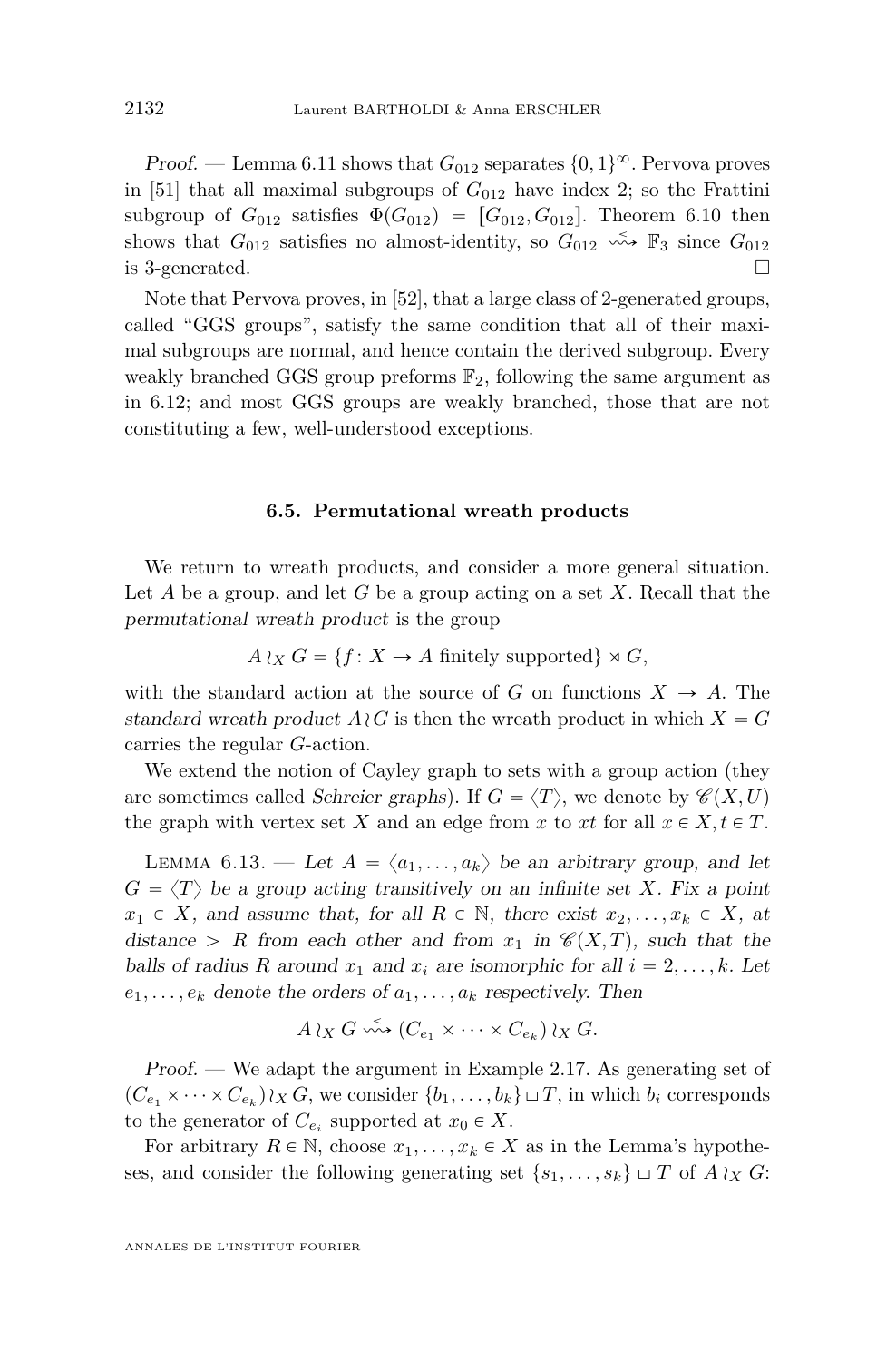<span id="page-42-0"></span> $Proof.$  — Lemma [6.11](#page-41-0) shows that  $G_{012}$  separates  $\{0,1\}^\infty$ . Pervova proves in [\[51\]](#page-53-0) that all maximal subgroups of  $G_{012}$  have index 2; so the Frattini subgroup of  $G_{012}$  satisfies  $\Phi(G_{012}) = [G_{012}, G_{012}]$ . Theorem [6.10](#page-40-0) then shows that  $G_{012}$  satisfies no almost-identity, so  $G_{012} \xrightarrow{\sim} \mathbb{F}_3$  since  $G_{012}$ is 3-generated.  $\square$ 

Note that Pervova proves, in [\[52\]](#page-53-0), that a large class of 2-generated groups, called "GGS groups", satisfy the same condition that all of their maximal subgroups are normal, and hence contain the derived subgroup. Every weakly branched GGS group preforms  $\mathbb{F}_2$ , following the same argument as in [6.12;](#page-41-0) and most GGS groups are weakly branched, those that are not constituting a few, well-understood exceptions.

#### **6.5. Permutational wreath products**

We return to wreath products, and consider a more general situation. Let *A* be a group, and let *G* be a group acting on a set *X*. Recall that the permutational wreath product is the group

$$
A \wr_X G = \{ f \colon X \to A \text{ finitely supported} \} \rtimes G,
$$

with the standard action at the source of *G* on functions  $X \to A$ . The standard wreath product  $A \wr G$  is then the wreath product in which  $X = G$ carries the regular *G*-action.

We extend the notion of Cayley graph to sets with a group action (they are sometimes called *Schreier graphs*). If  $G = \langle T \rangle$ , we denote by  $\mathscr{C}(X, U)$ the graph with vertex set *X* and an edge from *x* to *xt* for all  $x \in X, t \in T$ .

LEMMA 6.13. — Let  $A = \langle a_1, \ldots, a_k \rangle$  be an arbitrary group, and let  $G = \langle T \rangle$  be a group acting transitively on an infinite set *X*. Fix a point  $x_1 \in X$ , and assume that, for all  $R \in \mathbb{N}$ , there exist  $x_2, \ldots, x_k \in X$ , at distance > *R* from each other and from  $x_1$  in  $\mathcal{C}(X,T)$ , such that the balls of radius R around  $x_1$  and  $x_i$  are isomorphic for all  $i = 2, \ldots, k$ . Let  $e_1, \ldots, e_k$  denote the orders of  $a_1, \ldots, a_k$  respectively. Then

$$
A \wr_X G \xrightarrow{\sim} (C_{e_1} \times \cdots \times C_{e_k}) \wr_X G.
$$

Proof. — We adapt the argument in Example [2.17.](#page-15-0) As generating set of  $(C_{e_1} \times \cdots \times C_{e_k}) \wr_X G$ , we consider  $\{b_1, \ldots, b_k\} \sqcup T$ , in which  $b_i$  corresponds to the generator of  $C_{e_i}$  supported at  $x_0 \in X$ .

For arbitrary  $R \in \mathbb{N}$ , choose  $x_1, \ldots, x_k \in X$  as in the Lemma's hypotheses, and consider the following generating set  $\{s_1, \ldots, s_k\} \sqcup T$  of  $A \wr_X G$ :

ANNALES DE L'INSTITUT FOURIER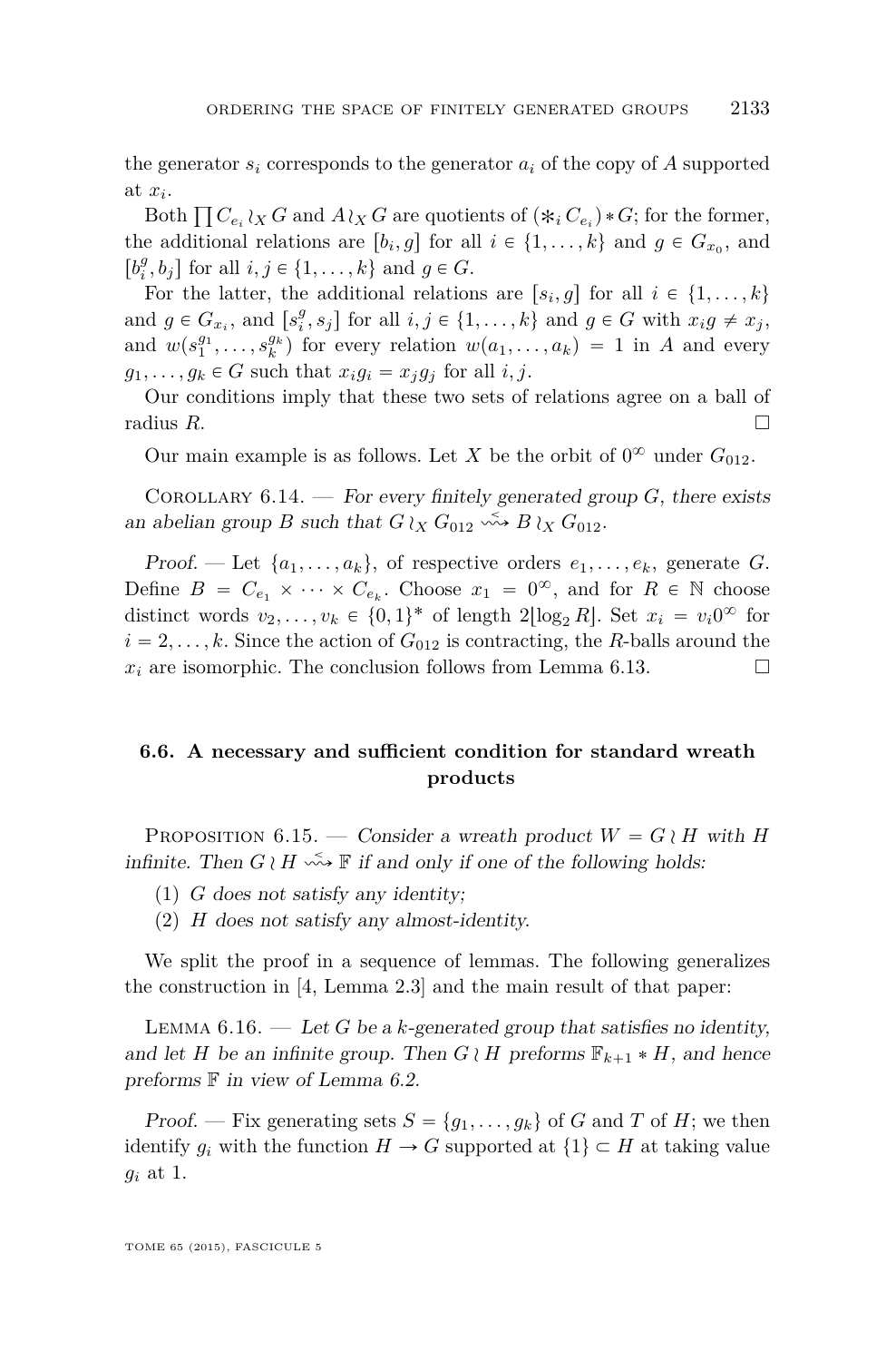<span id="page-43-0"></span>the generator  $s_i$  corresponds to the generator  $a_i$  of the copy of A supported at *x<sup>i</sup>* .

Both  $\prod C_{e_i} \wr_X G$  and  $A \wr_X G$  are quotients of  $(\ast_i C_{e_i}) \ast G$ ; for the former, the additional relations are  $[b_i, g]$  for all  $i \in \{1, \ldots, k\}$  and  $g \in G_{x_0}$ , and  $[b_i^g, b_j]$  for all  $i, j \in \{1, ..., k\}$  and  $g \in G$ .

For the latter, the additional relations are  $[s_i, g]$  for all  $i \in \{1, \ldots, k\}$ and  $g \in G_{x_i}$ , and  $[s_i^g, s_j]$  for all  $i, j \in \{1, \ldots, k\}$  and  $g \in G$  with  $x_i g \neq x_j$ , and  $w(s_1^{g_1}, \ldots, s_k^{g_k})$  for every relation  $w(a_1, \ldots, a_k) = 1$  in *A* and every  $g_1, \ldots, g_k \in G$  such that  $x_i g_i = x_i g_j$  for all *i, j.* 

Our conditions imply that these two sets of relations agree on a ball of radius  $R$ .

Our main example is as follows. Let *X* be the orbit of  $0^{\infty}$  under  $G_{012}$ .

COROLLARY  $6.14.$  – For every finitely generated group *G*, there exists an abelian group *B* such that  $G \wr_X G_{012} \stackrel{\leq}{\longrightarrow} B \wr_X G_{012}$ .

Proof. — Let  $\{a_1, \ldots, a_k\}$ , of respective orders  $e_1, \ldots, e_k$ , generate *G*. Define  $B = C_{e_1} \times \cdots \times C_{e_k}$ . Choose  $x_1 = 0^{\infty}$ , and for  $R \in \mathbb{N}$  choose distinct words  $v_2, \ldots, v_k \in \{0, 1\}^*$  of length  $2\lfloor \log_2 R \rfloor$ . Set  $x_i = v_i 0^\infty$  for  $i = 2, \ldots, k$ . Since the action of  $G_{012}$  is contracting, the *R*-balls around the  $x_i$  are isomorphic. The conclusion follows from Lemma [6.13.](#page-42-0)

#### **6.6. A necessary and sufficient condition for standard wreath products**

PROPOSITION 6.15. — Consider a wreath product  $W = G \wr H$  with *H* infinite. Then  $G \wr H \xrightarrow{\sim} \mathbb{F}$  if and only if one of the following holds:

- (1) *G* does not satisfy any identity;
- (2) *H* does not satisfy any almost-identity.

We split the proof in a sequence of lemmas. The following generalizes the construction in [\[4,](#page-51-0) Lemma 2.3] and the main result of that paper:

LEMMA  $6.16.$  — Let *G* be a *k*-generated group that satisfies no identity, and let *H* be an infinite group. Then  $G \wr H$  preforms  $\mathbb{F}_{k+1} * H$ , and hence preforms  $F$  in view of Lemma [6.2.](#page-37-0)

Proof. — Fix generating sets  $S = \{g_1, \ldots, g_k\}$  of *G* and *T* of *H*; we then identify  $g_i$  with the function  $H \to G$  supported at  $\{1\} \subset H$  at taking value *g<sup>i</sup>* at 1.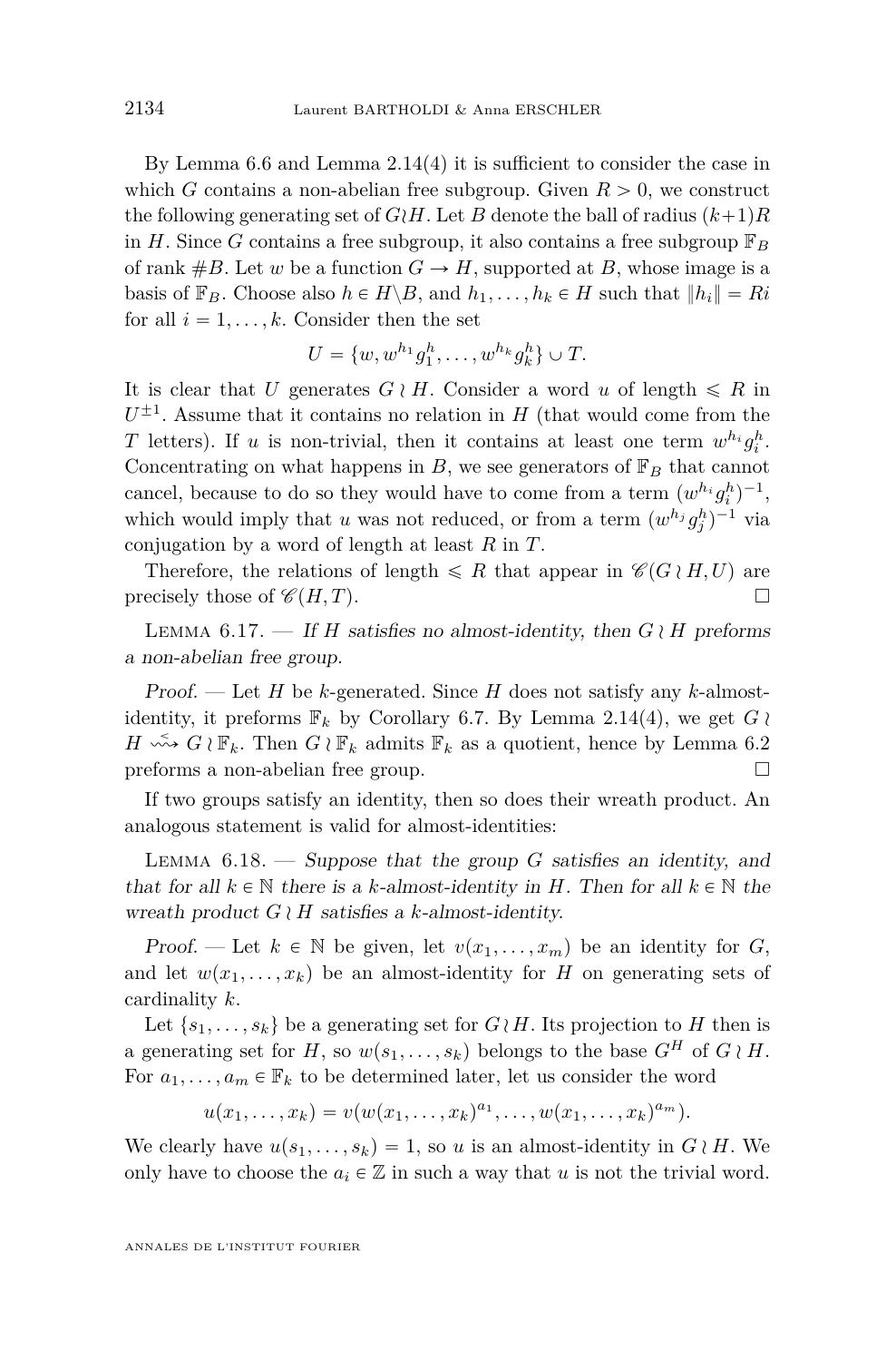By Lemma [6.6](#page-38-0) and Lemma [2.14\(](#page-14-0)4) it is sufficient to consider the case in which *G* contains a non-abelian free subgroup. Given  $R > 0$ , we construct the following generating set of  $G/H$ . Let *B* denote the ball of radius  $(k+1)R$ in *H*. Since *G* contains a free subgroup, it also contains a free subgroup  $\mathbb{F}_B$ of rank  $#B$ . Let *w* be a function  $G \rightarrow H$ , supported at *B*, whose image is a basis of  $\mathbb{F}_B$ . Choose also  $h \in H \backslash B$ , and  $h_1, \ldots, h_k \in H$  such that  $||h_i|| = Ri$ for all  $i = 1, \ldots, k$ . Consider then the set

$$
U = \{w, w^{h_1}g_1^h, \dots, w^{h_k}g_k^h\} \cup T.
$$

It is clear that *U* generates  $G \nmid H$ . Consider a word *u* of length  $\leq R$  in  $U^{\pm 1}$ . Assume that it contains no relation in *H* (that would come from the *T* letters). If *u* is non-trivial, then it contains at least one term  $w^{h_i}g_i^h$ . Concentrating on what happens in *B*, we see generators of  $\mathbb{F}_B$  that cannot cancel, because to do so they would have to come from a term  $(w^{h_i} g_i^h)^{-1}$ , which would imply that *u* was not reduced, or from a term  $(w^{h_j}g_j^h)^{-1}$  via conjugation by a word of length at least *R* in *T*.

Therefore, the relations of length  $\leq R$  that appear in  $\mathscr{C}(G \wr H, U)$  are precisely those of  $\mathscr{C}(H, T)$ .

LEMMA 6.17. — If *H* satisfies no almost-identity, then  $G \wr H$  preforms a non-abelian free group.

Proof. — Let *H* be *k*-generated. Since *H* does not satisfy any *k*-almostidentity, it preforms  $\mathbb{F}_k$  by Corollary [6.7.](#page-38-0) By Lemma [2.14\(](#page-14-0)4), we get  $G \wr$  $H \longrightarrow G \wr \mathbb{F}_k$ . Then  $G \wr \mathbb{F}_k$  admits  $\mathbb{F}_k$  as a quotient, hence by Lemma [6.2](#page-37-0) preforms a non-abelian free group.

If two groups satisfy an identity, then so does their wreath product. An analogous statement is valid for almost-identities:

Lemma 6.18. — Suppose that the group *G* satisfies an identity, and that for all  $k \in \mathbb{N}$  there is a *k*-almost-identity in *H*. Then for all  $k \in \mathbb{N}$  the wreath product  $G \wr H$  satisfies a *k*-almost-identity.

Proof. — Let  $k \in \mathbb{N}$  be given, let  $v(x_1, \ldots, x_m)$  be an identity for *G*, and let  $w(x_1, \ldots, x_k)$  be an almost-identity for *H* on generating sets of cardinality *k*.

Let  $\{s_1, \ldots, s_k\}$  be a generating set for  $G \wr H$ . Its projection to *H* then is a generating set for *H*, so  $w(s_1, \ldots, s_k)$  belongs to the base  $G^H$  of  $G \wr H$ . For  $a_1, \ldots, a_m \in \mathbb{F}_k$  to be determined later, let us consider the word

 $u(x_1, \ldots, x_k) = v(w(x_1, \ldots, x_k)^{a_1}, \ldots, w(x_1, \ldots, x_k)^{a_m}).$ 

We clearly have  $u(s_1, \ldots, s_k) = 1$ , so *u* is an almost-identity in  $G \nmid H$ . We only have to choose the  $a_i \in \mathbb{Z}$  in such a way that *u* is not the trivial word.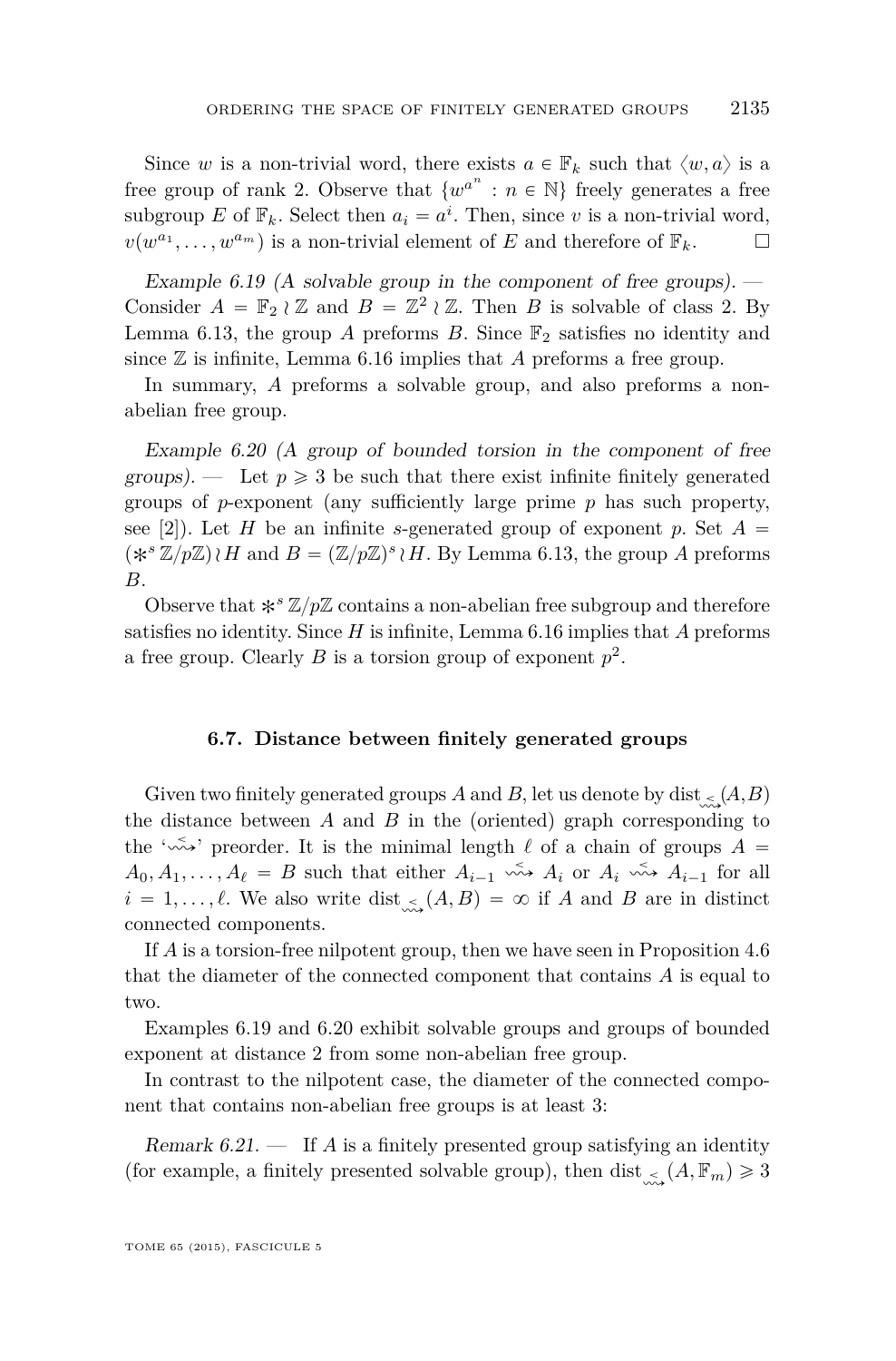<span id="page-45-0"></span>Since *w* is a non-trivial word, there exists  $a \in \mathbb{F}_k$  such that  $\langle w, a \rangle$  is a free group of rank 2. Observe that  $\{w^{a^n} : n \in \mathbb{N}\}\)$  freely generates a free subgroup *E* of  $\mathbb{F}_k$ . Select then  $a_i = a^i$ . Then, since *v* is a non-trivial word,  $v(w^{a_1}, \ldots, w^{a_m})$  is a non-trivial element of *E* and therefore of  $\mathbb{F}_k$ .  $\Box$ 

Example 6.19 (A solvable group in the component of free groups).  $-$ Consider  $A = \mathbb{F}_2 \wr \mathbb{Z}$  and  $B = \mathbb{Z}^2 \wr \mathbb{Z}$ . Then *B* is solvable of class 2. By Lemma [6.13,](#page-42-0) the group *A* preforms *B*. Since  $\mathbb{F}_2$  satisfies no identity and since  $\mathbb Z$  is infinite, Lemma [6.16](#page-43-0) implies that *A* preforms a free group.

In summary, *A* preforms a solvable group, and also preforms a nonabelian free group.

Example 6.20 (A group of bounded torsion in the component of free groups). — Let  $p \geqslant 3$  be such that there exist infinite finitely generated groups of *p*-exponent (any sufficiently large prime *p* has such property, see [\[2\]](#page-51-0)). Let *H* be an infinite *s*-generated group of exponent *p*. Set  $A =$  $(*^s\mathbb{Z}/p\mathbb{Z})\wr H$  and  $B = (\mathbb{Z}/p\mathbb{Z})^s\wr H$ . By Lemma [6.13,](#page-42-0) the group *A* preforms *B*.

Observe that  $*^{s}\mathbb{Z}/p\mathbb{Z}$  contains a non-abelian free subgroup and therefore satisfies no identity. Since *H* is infinite, Lemma [6.16](#page-43-0) implies that *A* preforms a free group. Clearly  $B$  is a torsion group of exponent  $p^2$ .

#### **6.7. Distance between finitely generated groups**

Given two finitely generated groups A and B, let us denote by dist  $\lt (A,B)$ the distance between *A* and *B* in the (oriented) graph corresponding to the ' $\sim$ <sup>2</sup>' preorder. It is the minimal length  $\ell$  of a chain of groups  $A =$  $A_0, A_1, \ldots, A_\ell = B$  such that either  $A_{i-1} \xrightarrow{\sim} A_i$  or  $A_i \xrightarrow{\sim} A_{i-1}$  for all  $i = 1, \ldots, \ell$ . We also write dist<sub>ing</sub>  $(A, B) = \infty$  if *A* and *B* are in distinct connected components.

If *A* is a torsion-free nilpotent group, then we have seen in Proposition [4.6](#page-29-0) that the diameter of the connected component that contains *A* is equal to two.

Examples 6.19 and 6.20 exhibit solvable groups and groups of bounded exponent at distance 2 from some non-abelian free group.

In contrast to the nilpotent case, the diameter of the connected component that contains non-abelian free groups is at least 3:

Remark 6.21. — If *A* is a finitely presented group satisfying an identity (for example, a finitely presented solvable group), then dist<sub>ing</sub>  $(A, \mathbb{F}_m) \ge 3$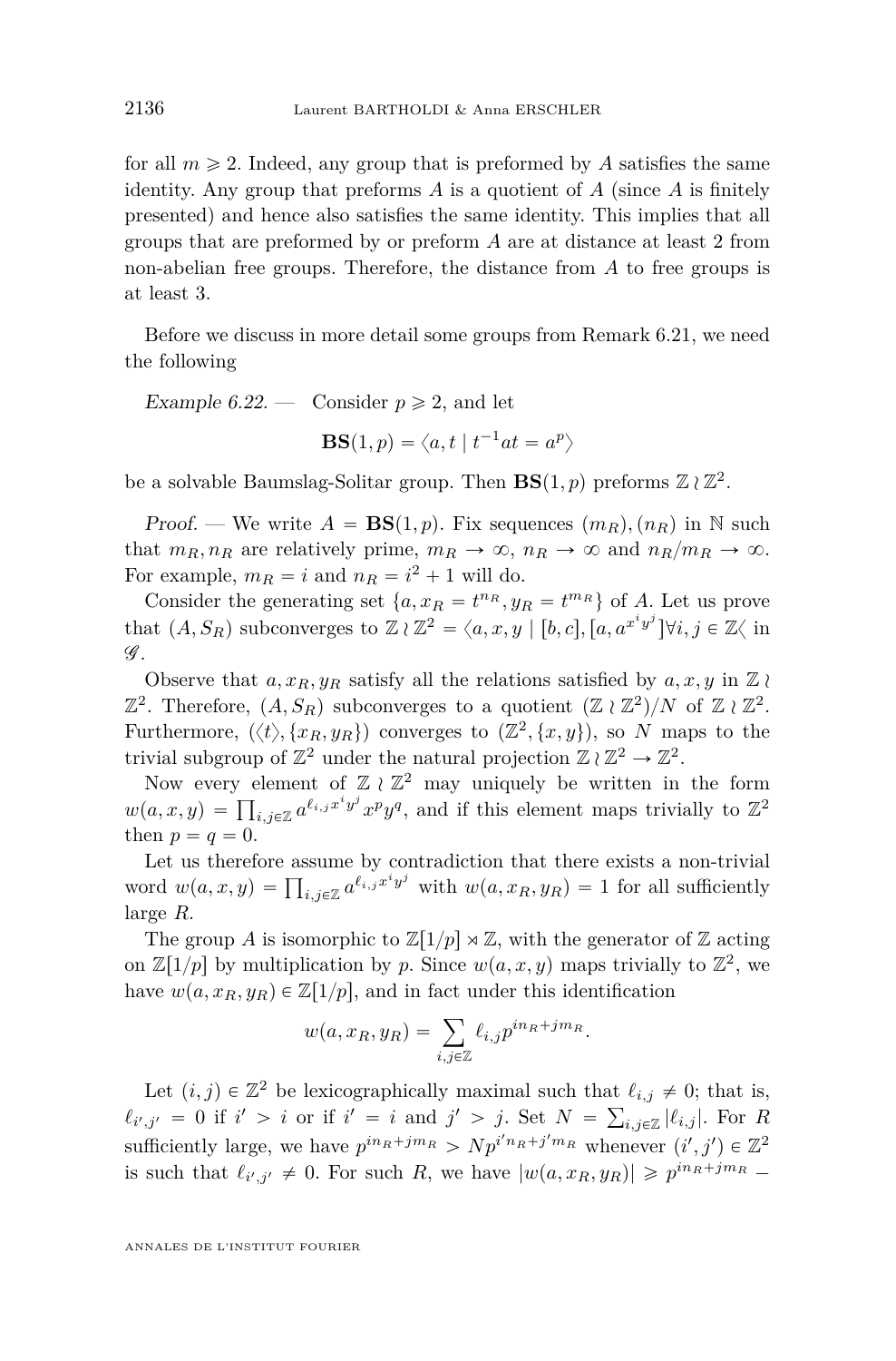<span id="page-46-0"></span>for all  $m \geq 2$ . Indeed, any group that is preformed by A satisfies the same identity. Any group that preforms *A* is a quotient of *A* (since *A* is finitely presented) and hence also satisfies the same identity. This implies that all groups that are preformed by or preform *A* are at distance at least 2 from non-abelian free groups. Therefore, the distance from *A* to free groups is at least 3.

Before we discuss in more detail some groups from Remark [6.21,](#page-45-0) we need the following

Example 6.22. — Consider  $p \ge 2$ , and let

 $\textbf{BS}(1,p)=\left\langle a,t \mid t^{-1}at=a^p \right\rangle$ 

be a solvable Baumslag-Solitar group. Then  $\mathbf{BS}(1,p)$  preforms  $\mathbb{Z} \wr \mathbb{Z}^2$ .

Proof. — We write  $A = BS(1, p)$ . Fix sequences  $(m_R), (n_R)$  in N such that  $m_R, n_R$  are relatively prime,  $m_R \to \infty$ ,  $n_R \to \infty$  and  $n_R/m_R \to \infty$ . For example,  $m_R = i$  and  $n_R = i^2 + 1$  will do.

Consider the generating set  $\{a, x_R = t^{n_R}, y_R = t^{m_R}\}\)$  of A. Let us prove that  $(A, S_R)$  subconverges to  $\mathbb{Z} \wr \mathbb{Z}^2 = \langle a, x, y | [b, c], [a, a^{x^i y^j}] \forall i, j \in \mathbb{Z} \langle \text{ in } \mathbb{Z} \rangle$  $\mathscr{G}$ .

Observe that  $a, x_R, y_R$  satisfy all the relations satisfied by  $a, x, y$  in  $\mathbb{Z} \wr \mathbb{Z}$  $\mathbb{Z}^2$ . Therefore,  $(A, S_R)$  subconverges to a quotient  $(\mathbb{Z} \wr \mathbb{Z}^2)/N$  of  $\mathbb{Z} \wr \mathbb{Z}^2$ . Furthermore,  $\langle \langle t \rangle, \{x_R, y_R\} \rangle$  converges to  $(\mathbb{Z}^2, \{x, y\})$ , so *N* maps to the trivial subgroup of  $\mathbb{Z}^2$  under the natural projection  $\mathbb{Z} \wr \mathbb{Z}^2 \to \mathbb{Z}^2$ .

Now every element of  $\mathbb{Z} \wr \mathbb{Z}^2$  may uniquely be written in the form Now every element of  $\mathbb{Z} \wr \mathbb{Z}^2$  may uniquely be written in the form  $w(a, x, y) = \prod_{i,j \in \mathbb{Z}} a^{\ell_{i,j} x^i y^j} x^p y^q$ , and if this element maps trivially to  $\mathbb{Z}^2$ then  $p = q = 0$ .

Let us therefore assume by contradiction that there exists a non-trivial Let us therefore assume by contradiction that there exists a non-trivial<br>word  $w(a, x, y) = \prod_{i,j \in \mathbb{Z}} a^{\ell_{i,j}x^i y^j}$  with  $w(a, x_R, y_R) = 1$  for all sufficiently large *R*.

The group *A* is isomorphic to  $\mathbb{Z}[1/p] \rtimes \mathbb{Z}$ , with the generator of  $\mathbb{Z}$  acting on  $\mathbb{Z}[1/p]$  by multiplication by *p*. Since  $w(a, x, y)$  maps trivially to  $\mathbb{Z}^2$ , we have  $w(a, x_R, y_R) \in \mathbb{Z}[1/p]$ , and in fact under this identification

$$
w(a, x_R, y_R) = \sum_{i,j \in \mathbb{Z}} \ell_{i,j} p^{i n_R + j m_R}.
$$

Let  $(i, j) \in \mathbb{Z}^2$  be lexicographically maximal such that  $\ell_{i,j} \neq 0$ ; that is,  $\ell_{i',j'} = 0$  if  $i' > i$  or if  $i' = i$  and  $j' > j$ . Set  $N = \sum_{i,j \in \mathbb{Z}} |\ell_{i,j}|$ . For *R* sufficiently large, we have  $p^{in_R+jm_R} > N p^{i'n_R+j'm_R}$  whenever  $(i', j') \in \mathbb{Z}^2$ is such that  $\ell_{i',j'} \neq 0$ . For such *R*, we have  $|w(a, x_R, y_R)| \geqslant p^{in_R+jm_R}$ 

ANNALES DE L'INSTITUT FOURIER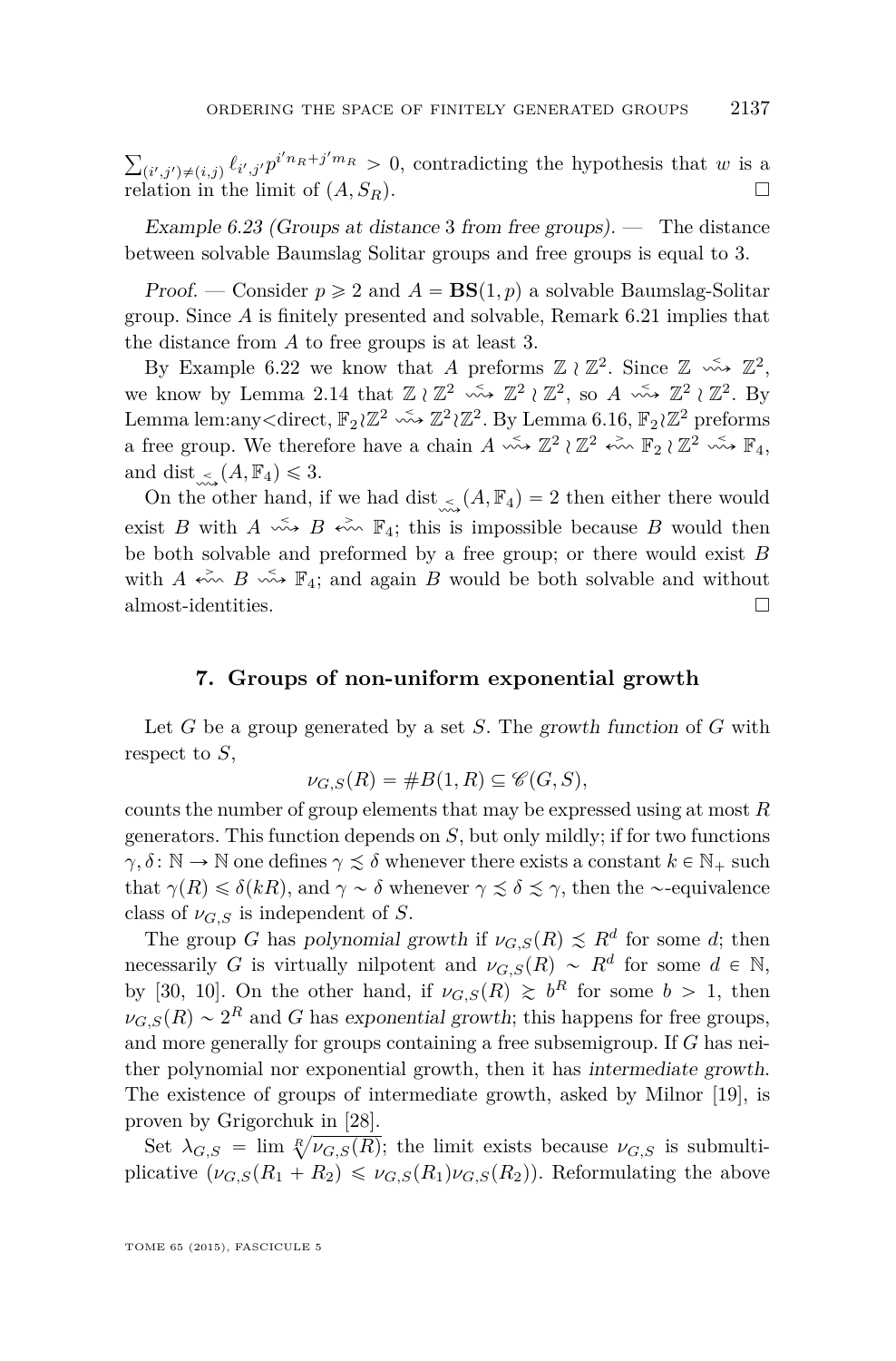<span id="page-47-0"></span>ř  $(i',j')\neq (i,j)$   $\ell_{i',j'}p^{i'n_R+j'm_R} > 0$ , contradicting the hypothesis that *w* is a relation in the limit of  $(A, S_R)$ .

Example 6.23 (Groups at distance 3 from free groups).  $-$  The distance between solvable Baumslag Solitar groups and free groups is equal to 3.

Proof. — Consider  $p \ge 2$  and  $A = BS(1, p)$  a solvable Baumslag-Solitar group. Since *A* is finitely presented and solvable, Remark [6.21](#page-45-0) implies that the distance from *A* to free groups is at least 3.

By Example [6.22](#page-46-0) we know that *A* preforms  $\mathbb{Z} \wr \mathbb{Z}^2$ . Since  $\mathbb{Z} \stackrel{\sim}{\leadsto} \mathbb{Z}^2$ , we know by Lemma [2.14](#page-14-0) that  $\mathbb{Z} \wr \mathbb{Z}^2 \longrightarrow \mathbb{Z}^2 \wr \mathbb{Z}^2$ , so  $A \longrightarrow \mathbb{Z}^2 \wr \mathbb{Z}^2$ . By Lemma lem:any<direct,  $\mathbb{F}_2 \wr \mathbb{Z}^2 \leadsto \mathbb{Z}^2 \wr \mathbb{Z}^2$ . By Lemma [6.16,](#page-43-0)  $\mathbb{F}_2 \wr \mathbb{Z}^2$  preforms a free group. We therefore have a chain  $A \leftrightarrow \mathbb{Z}^2 \wr \mathbb{Z}^2 \leftrightarrow \mathbb{F}_2 \wr \mathbb{Z}^2 \leftrightarrow \mathbb{F}_4$ , and dist  $\lt (A, \mathbb{F}_4) \leq 3$ .

On the other hand, if we had dist<sub>in</sub>  $(A, \mathbb{F}_4) = 2$  then either there would exist *B* with  $A \xrightarrow{\sim} B \xrightarrow{\sim} \mathbb{F}_4$ ; this is impossible because *B* would then be both solvable and preformed by a free group; or there would exist *B* with  $A \leftrightarrow B \leftrightarrow F_4$ ; and again  $B$  would be both solvable and without almost-identities.

#### **7. Groups of non-uniform exponential growth**

Let *G* be a group generated by a set *S*. The growth function of *G* with respect to *S*,

$$
\nu_{G,S}(R) = \#B(1,R) \subseteq \mathscr{C}(G,S),
$$

counts the number of group elements that may be expressed using at most *R* generators. This function depends on *S*, but only mildly; if for two functions  $\gamma, \delta \colon \mathbb{N} \to \mathbb{N}$  one defines  $\gamma \lesssim \delta$  whenever there exists a constant  $k \in \mathbb{N}_+$  such that  $\gamma(R) \leq \delta(kR)$ , and  $\gamma \sim \delta$  whenever  $\gamma \leq \delta \leq \gamma$ , then the ~-equivalence class of  $\nu_{G,S}$  is independent of *S*.

The group *G* has polynomial growth if  $\nu_{G,S}(R) \leq R^d$  for some *d*; then necessarily *G* is virtually nilpotent and  $\nu_{G,S}(R) \sim R^d$  for some  $d \in \mathbb{N}$ , by [\[30,](#page-52-0) [10\]](#page-52-0). On the other hand, if  $\nu_{G,S}(R) \geq b^R$  for some  $b > 1$ , then  $\nu_{G,S}(R) \sim 2^R$  and *G* has exponential growth; this happens for free groups, and more generally for groups containing a free subsemigroup. If *G* has neither polynomial nor exponential growth, then it has intermediate growth. The existence of groups of intermediate growth, asked by Milnor [\[19\]](#page-52-0), is proven by Grigorchuk in [\[28\]](#page-52-0).

Set  $\lambda_{G,S} = \lim_{n \to \infty} \sqrt[n]{\nu_{G,S}(R)}$ ; the limit exists because  $\nu_{G,S}$  is submultiplicative  $(\nu_{G,S}(R_1 + R_2) \leq \nu_{G,S}(R_1)\nu_{G,S}(R_2))$ . Reformulating the above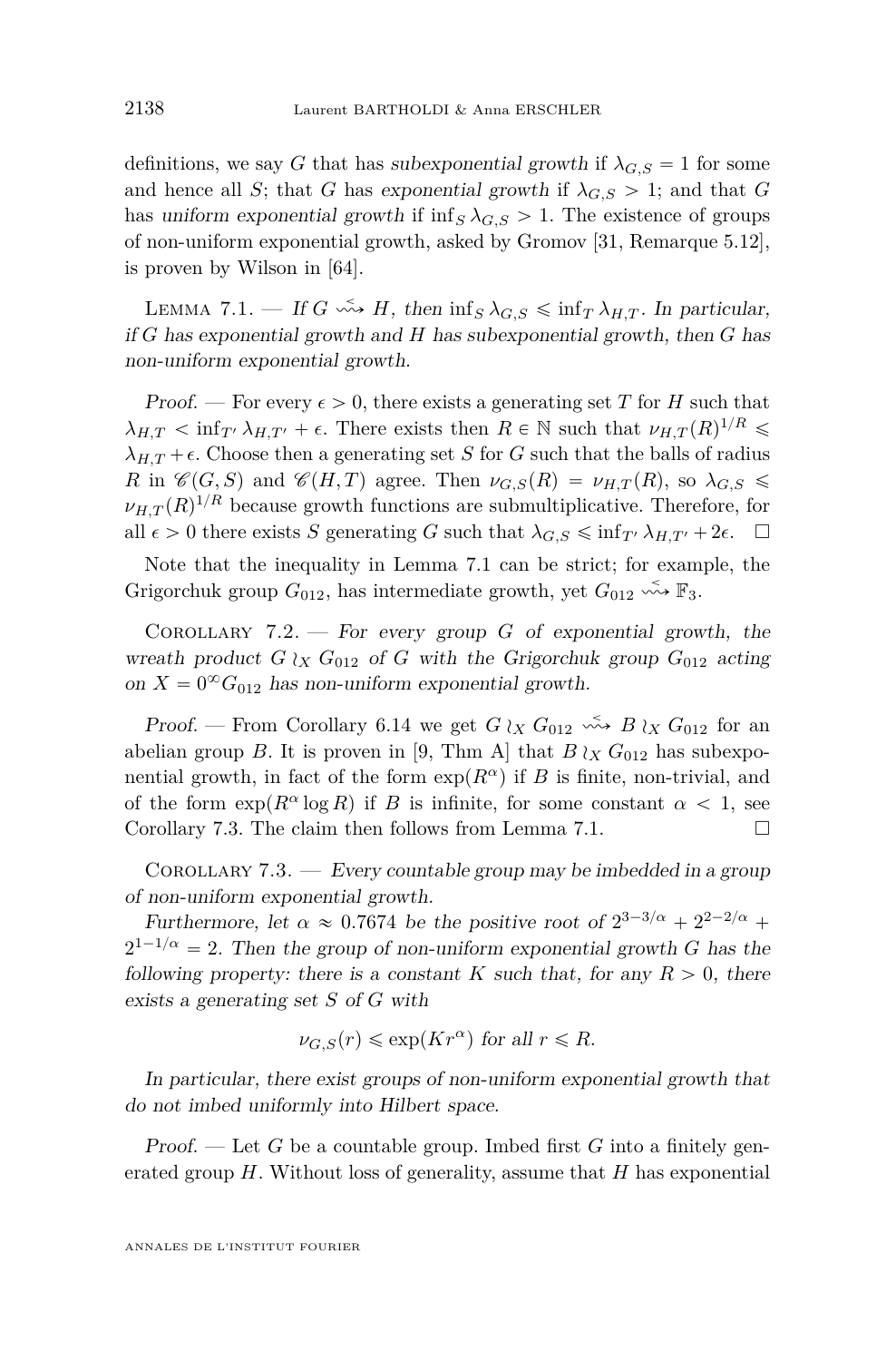<span id="page-48-0"></span>definitions, we say *G* that has subexponential growth if  $\lambda_{G,S} = 1$  for some and hence all *S*; that *G* has exponential growth if  $\lambda_{G,S} > 1$ ; and that *G* has uniform exponential growth if  $\inf_S \lambda_{G,S} > 1$ . The existence of groups of non-uniform exponential growth, asked by Gromov [\[31,](#page-52-0) Remarque 5.12], is proven by Wilson in [\[64\]](#page-54-0).

LEMMA 7.1. — If  $G \leftrightarrow H$ , then  $\inf_S \lambda_{G,S} \leq \inf_T \lambda_{H,T}$ . In particular, if *G* has exponential growth and *H* has subexponential growth, then *G* has non-uniform exponential growth.

Proof. — For every  $\epsilon > 0$ , there exists a generating set T for H such that  $\lambda_{H,T}$   $\lt$  inf*T*<sup>1</sup>  $\lambda_{H,T'}$  +  $\epsilon$ . There exists then  $R \in \mathbb{N}$  such that  $\nu_{H,T}(R)^{1/R}$   $\leq$  $\lambda_{H,T} + \epsilon$ . Choose then a generating set *S* for *G* such that the balls of radius *R* in  $\mathscr{C}(G, S)$  and  $\mathscr{C}(H, T)$  agree. Then  $\nu_{G,S}(R) = \nu_{H,T}(R)$ , so  $\lambda_{G,S} \leq$  $\nu_{H,T}(R)^{1/R}$  because growth functions are submultiplicative. Therefore, for all  $\epsilon > 0$  there exists *S* generating *G* such that  $\lambda_{G,S} \leq \inf_{T'} \lambda_{H,T'} + 2\epsilon$ .

Note that the inequality in Lemma 7.1 can be strict; for example, the Grigorchuk group  $G_{012}$ , has intermediate growth, yet  $G_{012} \xrightarrow{\sim} \mathbb{F}_3$ .

COROLLARY 7.2. — For every group  $G$  of exponential growth, the wreath product  $G \wr_X G_{012}$  of  $G$  with the Grigorchuk group  $G_{012}$  acting on  $X = 0^{\infty} G_{012}$  has non-uniform exponential growth.

Proof. — From Corollary [6.14](#page-43-0) we get  $G \wr_X G_{012} \stackrel{\leq}{\longrightarrow} B \wr_X G_{012}$  for an abelian group *B*. It is proven in [\[9,](#page-51-0) Thm A] that  $B \wr_X G_{012}$  has subexponential growth, in fact of the form  $\exp(R^{\alpha})$  if *B* is finite, non-trivial, and of the form  $\exp(R^{\alpha} \log R)$  if *B* is infinite, for some constant  $\alpha < 1$ , see Corollary 7.3. The claim then follows from Lemma 7.1.  $\Box$ 

COROLLARY  $7.3.$  — Every countable group may be imbedded in a group of non-uniform exponential growth.

Furthermore, let  $\alpha \approx 0.7674$  be the positive root of  $2^{3-3/\alpha} + 2^{2-2/\alpha} +$  $2^{1-1/\alpha} = 2$ . Then the group of non-uniform exponential growth *G* has the following property: there is a constant *K* such that, for any  $R > 0$ , there exists a generating set *S* of *G* with

$$
\nu_{G,S}(r) \leq \exp(Kr^{\alpha}) \text{ for all } r \leq R.
$$

In particular, there exist groups of non-uniform exponential growth that do not imbed uniformly into Hilbert space.

Proof. — Let *G* be a countable group. Imbed first *G* into a finitely generated group *H*. Without loss of generality, assume that *H* has exponential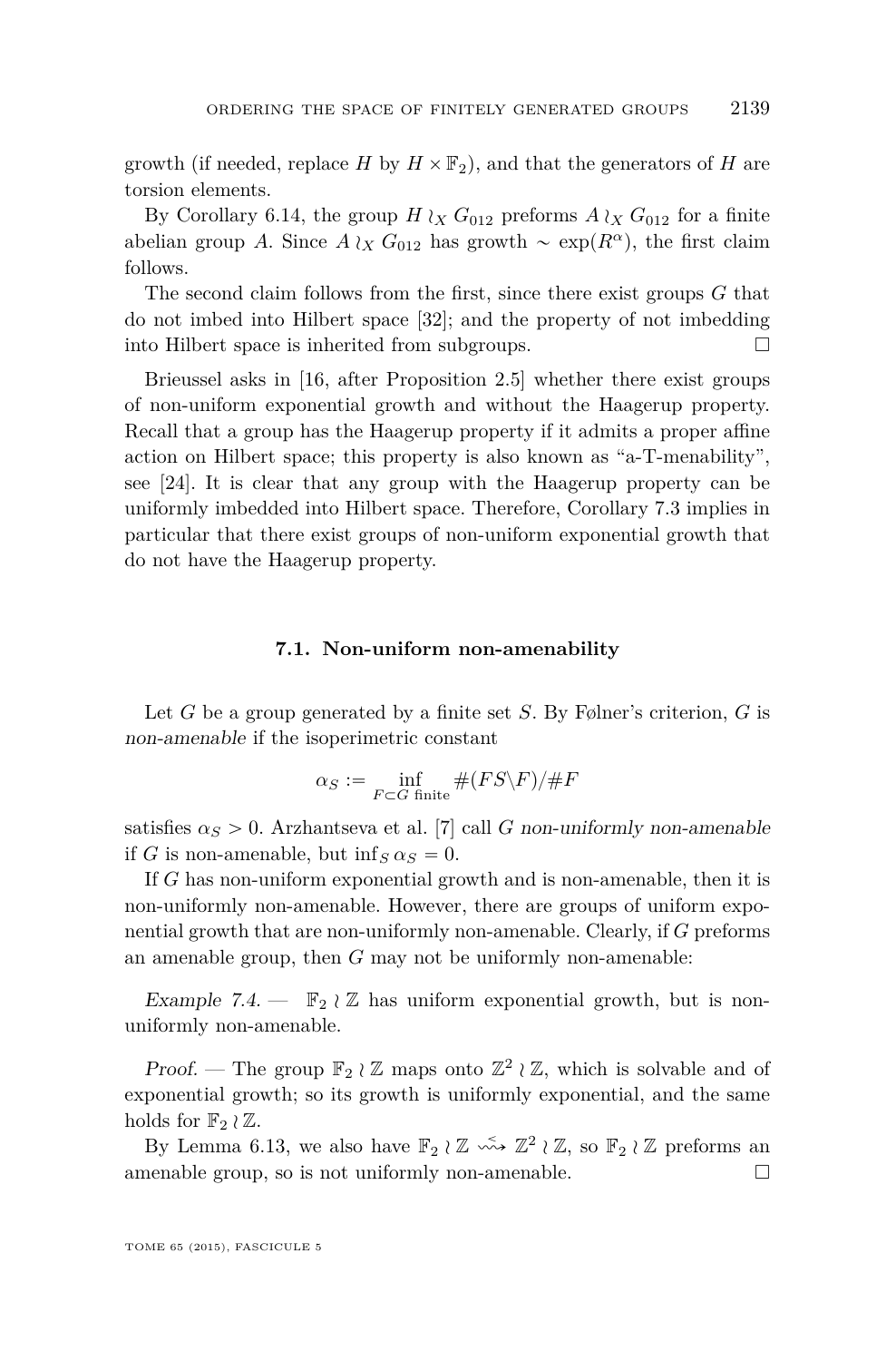growth (if needed, replace *H* by  $H \times F_2$ ), and that the generators of *H* are torsion elements.

By Corollary [6.14,](#page-43-0) the group  $H \wr_X G_{012}$  preforms  $A \wr_X G_{012}$  for a finite abelian group *A*. Since  $A \nvert_X G_{012}$  has growth  $\sim \exp(R^{\alpha})$ , the first claim follows.

The second claim follows from the first, since there exist groups *G* that do not imbed into Hilbert space [\[32\]](#page-53-0); and the property of not imbedding into Hilbert space is inherited from subgroups.

Brieussel asks in [\[16,](#page-52-0) after Proposition 2.5] whether there exist groups of non-uniform exponential growth and without the Haagerup property. Recall that a group has the Haagerup property if it admits a proper affine action on Hilbert space; this property is also known as "a-T-menability", see [\[24\]](#page-52-0). It is clear that any group with the Haagerup property can be uniformly imbedded into Hilbert space. Therefore, Corollary [7.3](#page-48-0) implies in particular that there exist groups of non-uniform exponential growth that do not have the Haagerup property.

#### **7.1. Non-uniform non-amenability**

Let *G* be a group generated by a finite set *S*. By Følner's criterion, *G* is non-amenable if the isoperimetric constant

$$
\alpha_S := \inf_{F \subset G \text{ finite}} \# (FS\backslash F) / \# F
$$

satisfies  $\alpha_S > 0$ . Arzhantseva et al. [\[7\]](#page-51-0) call *G* non-uniformly non-amenable if *G* is non-amenable, but inf<sub>*S*</sub>  $\alpha$ <sub>*S*</sub> = 0.

If *G* has non-uniform exponential growth and is non-amenable, then it is non-uniformly non-amenable. However, there are groups of uniform exponential growth that are non-uniformly non-amenable. Clearly, if *G* preforms an amenable group, then *G* may not be uniformly non-amenable:

Example 7.4. –  $\mathbb{F}_2 \wr \mathbb{Z}$  has uniform exponential growth, but is nonuniformly non-amenable.

Proof. — The group  $\mathbb{F}_2 \wr \mathbb{Z}$  maps onto  $\mathbb{Z}^2 \wr \mathbb{Z}$ , which is solvable and of exponential growth; so its growth is uniformly exponential, and the same holds for  $\mathbb{F}_2 \wr \mathbb{Z}$ .

By Lemma [6.13,](#page-42-0) we also have  $\mathbb{F}_2 \wr \mathbb{Z} \longrightarrow \mathbb{Z}^2 \wr \mathbb{Z}$ , so  $\mathbb{F}_2 \wr \mathbb{Z}$  preforms an amenable group, so is not uniformly non-amenable.  $\Box$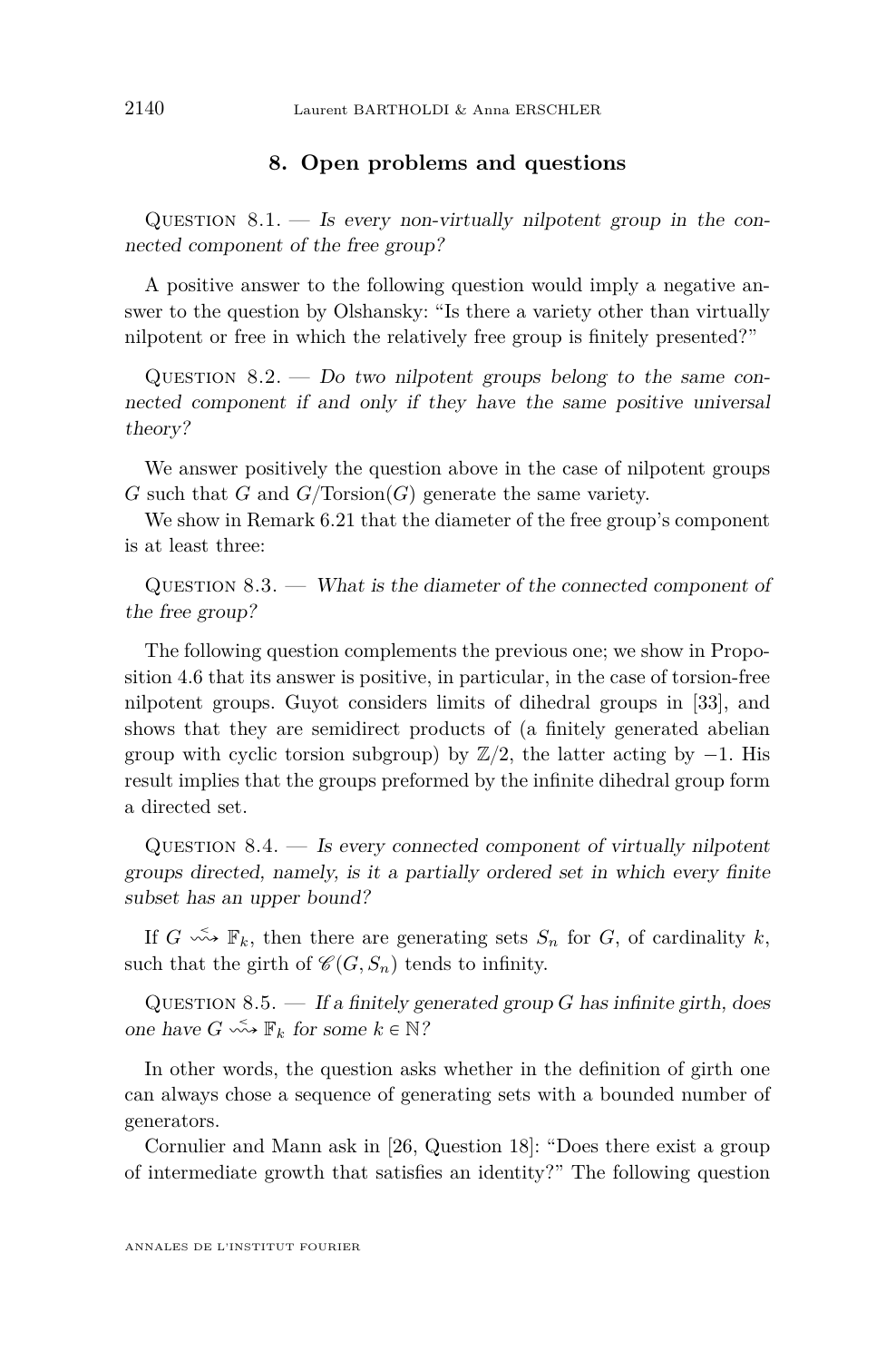#### **8. Open problems and questions**

<span id="page-50-0"></span>QUESTION  $8.1$ .  $-$  Is every non-virtually nilpotent group in the connected component of the free group?

A positive answer to the following question would imply a negative answer to the question by Olshansky: "Is there a variety other than virtually nilpotent or free in which the relatively free group is finitely presented?"

QUESTION  $8.2.$  — Do two nilpotent groups belong to the same connected component if and only if they have the same positive universal theory?

We answer positively the question above in the case of nilpotent groups *G* such that *G* and  $G/Torsion(G)$  generate the same variety.

We show in Remark [6.21](#page-45-0) that the diameter of the free group's component is at least three:

 $QUESTION 8.3.$  — What is the diameter of the connected component of the free group?

The following question complements the previous one; we show in Proposition [4.6](#page-29-0) that its answer is positive, in particular, in the case of torsion-free nilpotent groups. Guyot considers limits of dihedral groups in [\[33\]](#page-53-0), and shows that they are semidirect products of (a finitely generated abelian group with cyclic torsion subgroup) by  $\mathbb{Z}/2$ , the latter acting by  $-1$ . His result implies that the groups preformed by the infinite dihedral group form a directed set.

QUESTION  $8.4.$  — Is every connected component of virtually nilpotent groups directed, namely, is it a partially ordered set in which every finite subset has an upper bound?

If  $G \leftrightarrow \mathbb{F}_k$ , then there are generating sets  $S_n$  for  $G$ , of cardinality  $k$ , such that the girth of  $\mathcal{C}(G, S_n)$  tends to infinity.

QUESTION 8.5. — If a finitely generated group *G* has infinite girth, does one have  $G \leadsto \mathbb{F}_k$  for some  $k \in \mathbb{N}$ ?

In other words, the question asks whether in the definition of girth one can always chose a sequence of generating sets with a bounded number of generators.

Cornulier and Mann ask in [\[26,](#page-52-0) Question 18]: "Does there exist a group of intermediate growth that satisfies an identity?" The following question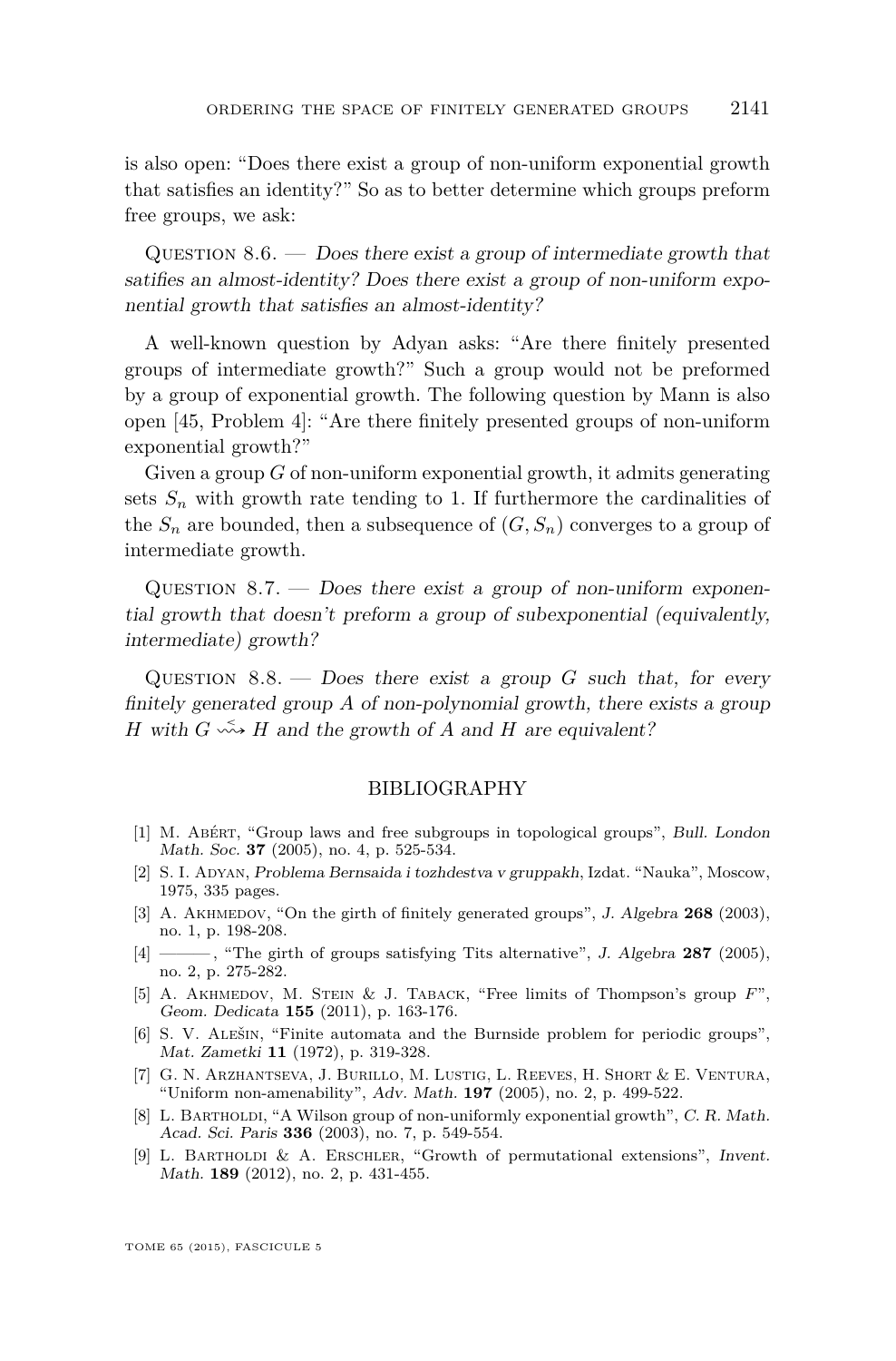<span id="page-51-0"></span>is also open: "Does there exist a group of non-uniform exponential growth that satisfies an identity?" So as to better determine which groups preform free groups, we ask:

QUESTION  $8.6.$  — Does there exist a group of intermediate growth that satifies an almost-identity? Does there exist a group of non-uniform exponential growth that satisfies an almost-identity?

A well-known question by Adyan asks: "Are there finitely presented groups of intermediate growth?" Such a group would not be preformed by a group of exponential growth. The following question by Mann is also open [\[45,](#page-53-0) Problem 4]: "Are there finitely presented groups of non-uniform exponential growth?"

Given a group *G* of non-uniform exponential growth, it admits generating sets  $S_n$  with growth rate tending to 1. If furthermore the cardinalities of the  $S_n$  are bounded, then a subsequence of  $(G, S_n)$  converges to a group of intermediate growth.

QUESTION  $8.7.$  — Does there exist a group of non-uniform exponential growth that doesn't preform a group of subexponential (equivalently, intermediate) growth?

QUESTION  $8.8.$  — Does there exist a group *G* such that, for every finitely generated group *A* of non-polynomial growth, there exists a group *H* with  $G \leftrightarrow H$  and the growth of *A* and *H* are equivalent?

#### BIBLIOGRAPHY

- [1] M. Abért, "Group laws and free subgroups in topological groups", Bull. London Math. Soc. **37** (2005), no. 4, p. 525-534.
- [2] S. I. Adyan, Problema Bernsaida i tozhdestva v gruppakh, Izdat. "Nauka", Moscow, 1975, 335 pages.
- [3] A. AKHMEDOV, "On the girth of finitely generated groups", J. Algebra 268 (2003), no. 1, p. 198-208.
- [4] ——— , "The girth of groups satisfying Tits alternative", J. Algebra **287** (2005), no. 2, p. 275-282.
- [5] A. Akhmedov, M. Stein & J. Taback, "Free limits of Thompson's group *F*", Geom. Dedicata **155** (2011), p. 163-176.
- [6] S. V. Alešin, "Finite automata and the Burnside problem for periodic groups", Mat. Zametki **11** (1972), p. 319-328.
- [7] G. N. Arzhantseva, J. Burillo, M. Lustig, L. Reeves, H. Short & E. Ventura, "Uniform non-amenability", Adv. Math. **197** (2005), no. 2, p. 499-522.
- [8] L. BARTHOLDI, "A Wilson group of non-uniformly exponential growth", C. R. Math. Acad. Sci. Paris **336** (2003), no. 7, p. 549-554.
- [9] L. Bartholdi & A. Erschler, "Growth of permutational extensions", Invent. Math. **189** (2012), no. 2, p. 431-455.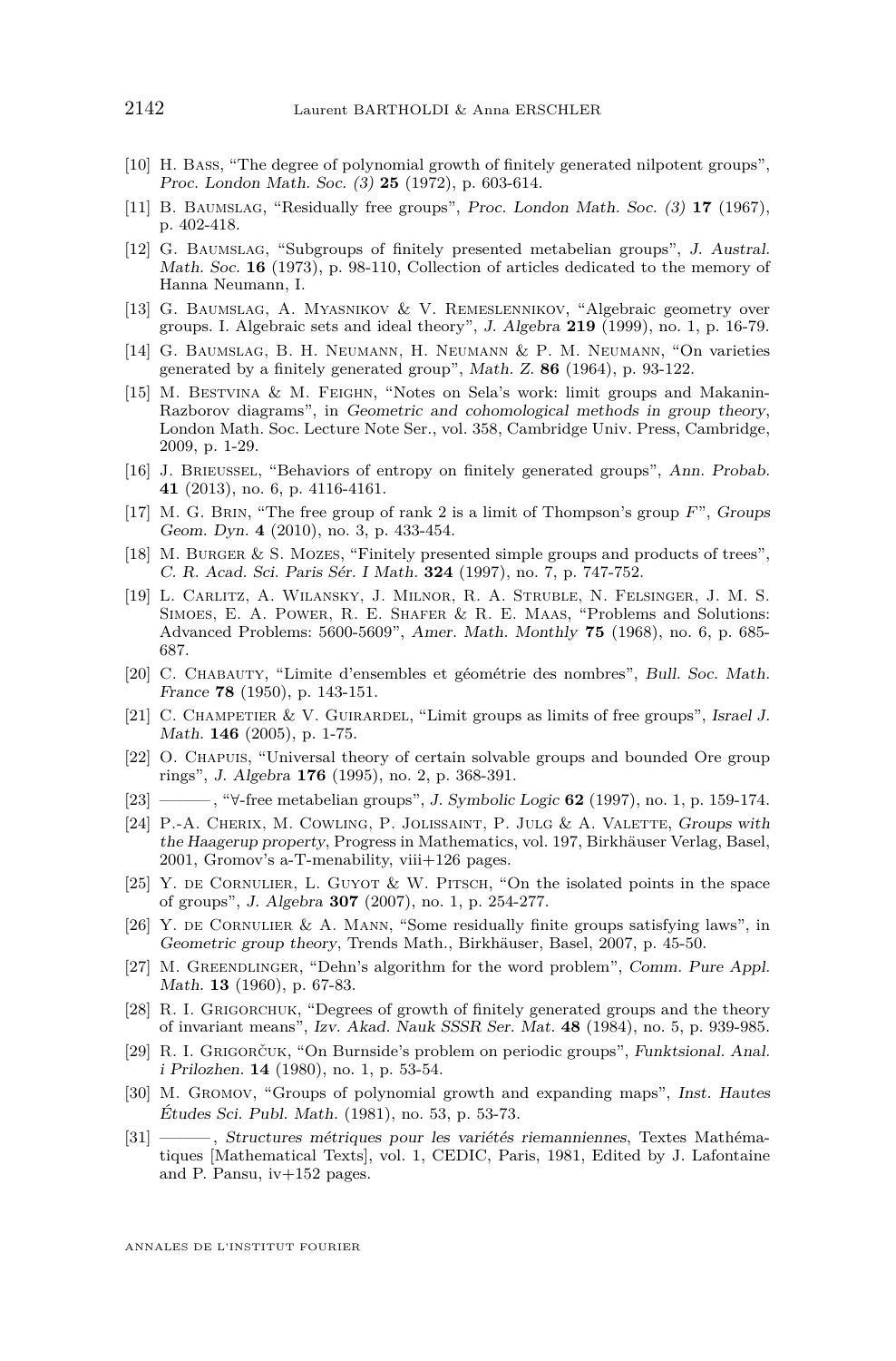- <span id="page-52-0"></span>[10] H. Bass, "The degree of polynomial growth of finitely generated nilpotent groups", Proc. London Math. Soc. (3) **25** (1972), p. 603-614.
- [11] B. Baumslag, "Residually free groups", Proc. London Math. Soc. (3) **17** (1967), p. 402-418.
- [12] G. Baumslag, "Subgroups of finitely presented metabelian groups", J. Austral. Math. Soc. **16** (1973), p. 98-110, Collection of articles dedicated to the memory of Hanna Neumann, I.
- [13] G. Baumslag, A. Myasnikov & V. Remeslennikov, "Algebraic geometry over groups. I. Algebraic sets and ideal theory", J. Algebra **219** (1999), no. 1, p. 16-79.
- [14] G. Baumslag, B. H. Neumann, H. Neumann & P. M. Neumann, "On varieties generated by a finitely generated group", Math. Z. **86** (1964), p. 93-122.
- [15] M. Bestvina & M. Feighn, "Notes on Sela's work: limit groups and Makanin-Razborov diagrams", in Geometric and cohomological methods in group theory, London Math. Soc. Lecture Note Ser., vol. 358, Cambridge Univ. Press, Cambridge, 2009, p. 1-29.
- [16] J. Brieussel, "Behaviors of entropy on finitely generated groups", Ann. Probab. **41** (2013), no. 6, p. 4116-4161.
- [17] M. G. Brin, "The free group of rank 2 is a limit of Thompson's group *F*", Groups Geom. Dyn. **4** (2010), no. 3, p. 433-454.
- [18] M. Burger & S. Mozes, "Finitely presented simple groups and products of trees", C. R. Acad. Sci. Paris Sér. I Math. **324** (1997), no. 7, p. 747-752.
- [19] L. Carlitz, A. Wilansky, J. Milnor, R. A. Struble, N. Felsinger, J. M. S. SIMOES, E. A. POWER, R. E. SHAFER & R. E. MAAS, "Problems and Solutions: Advanced Problems: 5600-5609", Amer. Math. Monthly **75** (1968), no. 6, p. 685- 687.
- [20] C. Chabauty, "Limite d'ensembles et géométrie des nombres", Bull. Soc. Math. France **78** (1950), p. 143-151.
- [21] C. CHAMPETIER & V. GUIRARDEL, "Limit groups as limits of free groups", Israel J. Math. **146** (2005), p. 1-75.
- [22] O. Chapuis, "Universal theory of certain solvable groups and bounded Ore group rings", J. Algebra **176** (1995), no. 2, p. 368-391.
- [23] ——— , "@-free metabelian groups", J. Symbolic Logic **62** (1997), no. 1, p. 159-174.
- [24] P.-A. Cherix, M. Cowling, P. Jolissaint, P. Julg & A. Valette, Groups with the Haagerup property, Progress in Mathematics, vol. 197, Birkhäuser Verlag, Basel, 2001, Gromov's a-T-menability, viii+126 pages.
- [25] Y. de Cornulier, L. Guyot & W. Pitsch, "On the isolated points in the space of groups", J. Algebra **307** (2007), no. 1, p. 254-277.
- [26] Y. DE CORNULIER & A. MANN, "Some residually finite groups satisfying laws", in Geometric group theory, Trends Math., Birkhäuser, Basel, 2007, p. 45-50.
- [27] M. Greendlinger, "Dehn's algorithm for the word problem", Comm. Pure Appl. Math. **13** (1960), p. 67-83.
- [28] R. I. Grigorchuk, "Degrees of growth of finitely generated groups and the theory of invariant means", Izv. Akad. Nauk SSSR Ser. Mat. **48** (1984), no. 5, p. 939-985.
- [29] R. I. Grigorčuk, "On Burnside's problem on periodic groups", Funktsional. Anal. i Prilozhen. **14** (1980), no. 1, p. 53-54.
- [30] M. Gromov, "Groups of polynomial growth and expanding maps", Inst. Hautes Études Sci. Publ. Math. (1981), no. 53, p. 53-73.
- [31] ——— , Structures métriques pour les variétés riemanniennes, Textes Mathématiques [Mathematical Texts], vol. 1, CEDIC, Paris, 1981, Edited by J. Lafontaine and P. Pansu, iv+152 pages.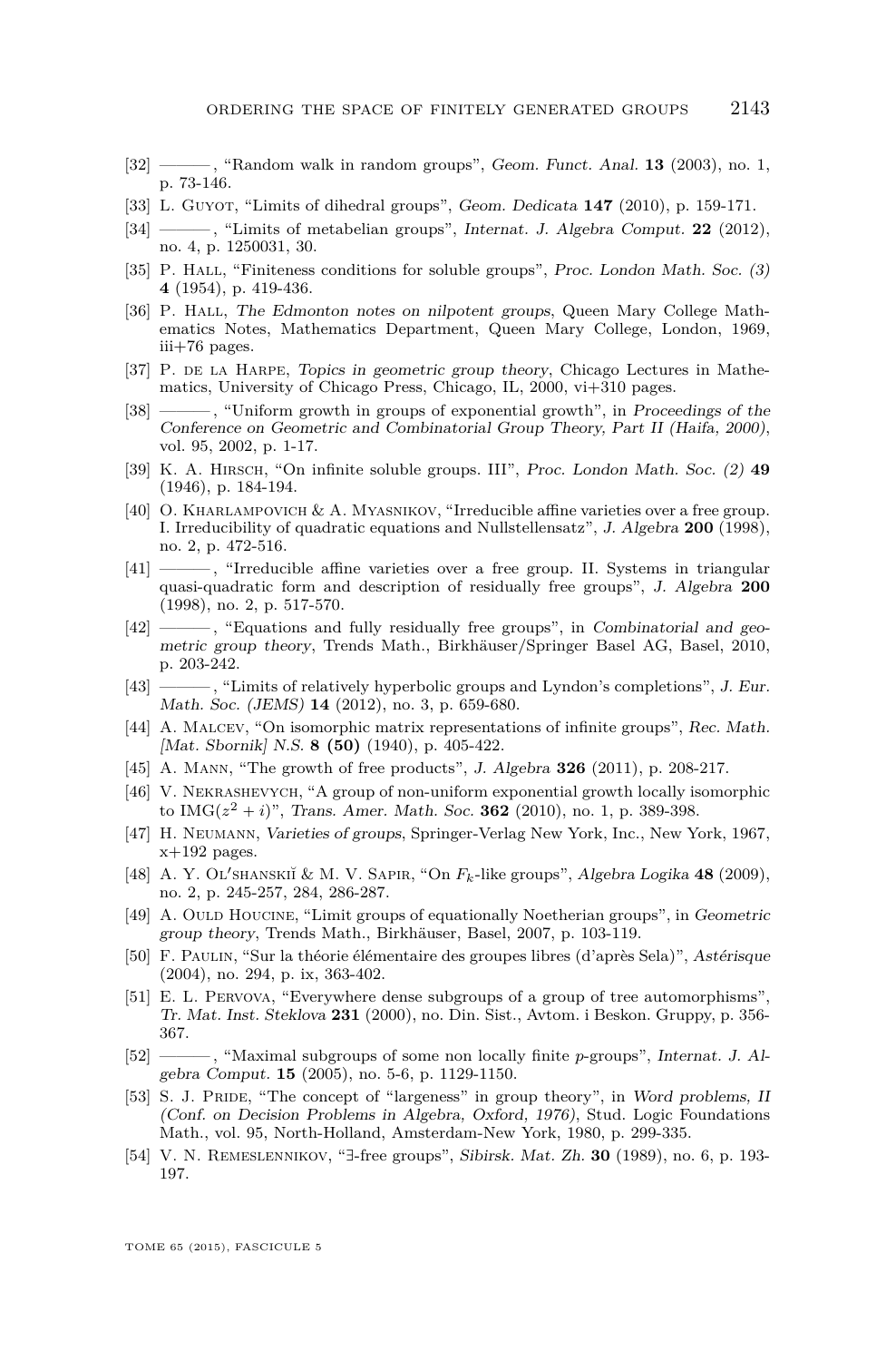- <span id="page-53-0"></span>[32] ——— , "Random walk in random groups", Geom. Funct. Anal. **13** (2003), no. 1, p. 73-146.
- [33] L. GUYOT, "Limits of dihedral groups", Geom. Dedicata **147** (2010), p. 159-171.
- [34] ——— , "Limits of metabelian groups", Internat. J. Algebra Comput. **22** (2012), no. 4, p. 1250031, 30.
- [35] P. HALL, "Finiteness conditions for soluble groups", Proc. London Math. Soc. (3) **4** (1954), p. 419-436.
- [36] P. HALL, The Edmonton notes on nilpotent groups, Queen Mary College Mathematics Notes, Mathematics Department, Queen Mary College, London, 1969, iii+76 pages.
- [37] P. DE LA HARPE, Topics in geometric group theory, Chicago Lectures in Mathematics, University of Chicago Press, Chicago, IL, 2000, vi+310 pages.
- [38] ——— , "Uniform growth in groups of exponential growth", in Proceedings of the Conference on Geometric and Combinatorial Group Theory, Part II (Haifa, 2000), vol. 95, 2002, p. 1-17.
- [39] K. A. Hirsch, "On infinite soluble groups. III", Proc. London Math. Soc. (2) **49** (1946), p. 184-194.
- [40] O. Kharlampovich & A. Myasnikov, "Irreducible affine varieties over a free group. I. Irreducibility of quadratic equations and Nullstellensatz", J. Algebra **200** (1998), no. 2, p. 472-516.
- [41] -----------, "Irreducible affine varieties over a free group. II. Systems in triangular quasi-quadratic form and description of residually free groups", J. Algebra **200** (1998), no. 2, p. 517-570.
- [42] ——, "Equations and fully residually free groups", in Combinatorial and geometric group theory, Trends Math., Birkhäuser/Springer Basel AG, Basel, 2010, p. 203-242.
- [43] ——— , "Limits of relatively hyperbolic groups and Lyndon's completions", J. Eur. Math. Soc. (JEMS) **14** (2012), no. 3, p. 659-680.
- [44] A. Malcev, "On isomorphic matrix representations of infinite groups", Rec. Math. [Mat. Sbornik] N.S. **8 (50)** (1940), p. 405-422.
- [45] A. Mann, "The growth of free products", J. Algebra **326** (2011), p. 208-217.
- [46] V. Nekrashevych, "A group of non-uniform exponential growth locally isomorphic to  $IMG(z^2 + i)$ ", Trans. Amer. Math. Soc. **362** (2010), no. 1, p. 389-398.
- [47] H. Neumann, Varieties of groups, Springer-Verlag New York, Inc., New York, 1967,  $x+192$  pages.
- [48] A. Y. OL'SHANSKIĬ & M. V. SAPIR, "On  $F_k$ -like groups", Algebra Logika 48 (2009), no. 2, p. 245-257, 284, 286-287.
- [49] A. OULD HOUCINE, "Limit groups of equationally Noetherian groups", in Geometric group theory, Trends Math., Birkhäuser, Basel, 2007, p. 103-119.
- [50] F. Paulin, "Sur la théorie élémentaire des groupes libres (d'après Sela)", Astérisque (2004), no. 294, p. ix, 363-402.
- [51] E. L. Pervova, "Everywhere dense subgroups of a group of tree automorphisms", Tr. Mat. Inst. Steklova **231** (2000), no. Din. Sist., Avtom. i Beskon. Gruppy, p. 356- 367.
- [52] ——— , "Maximal subgroups of some non locally finite *p*-groups", Internat. J. Algebra Comput. **15** (2005), no. 5-6, p. 1129-1150.
- [53] S. J. PRIDE, "The concept of "largeness" in group theory", in Word problems, II (Conf. on Decision Problems in Algebra, Oxford, 1976), Stud. Logic Foundations Math., vol. 95, North-Holland, Amsterdam-New York, 1980, p. 299-335.
- [54] V. N. REMESLENNIKOV, "E-free groups", Sibirsk. Mat. Zh. **30** (1989), no. 6, p. 193-197.